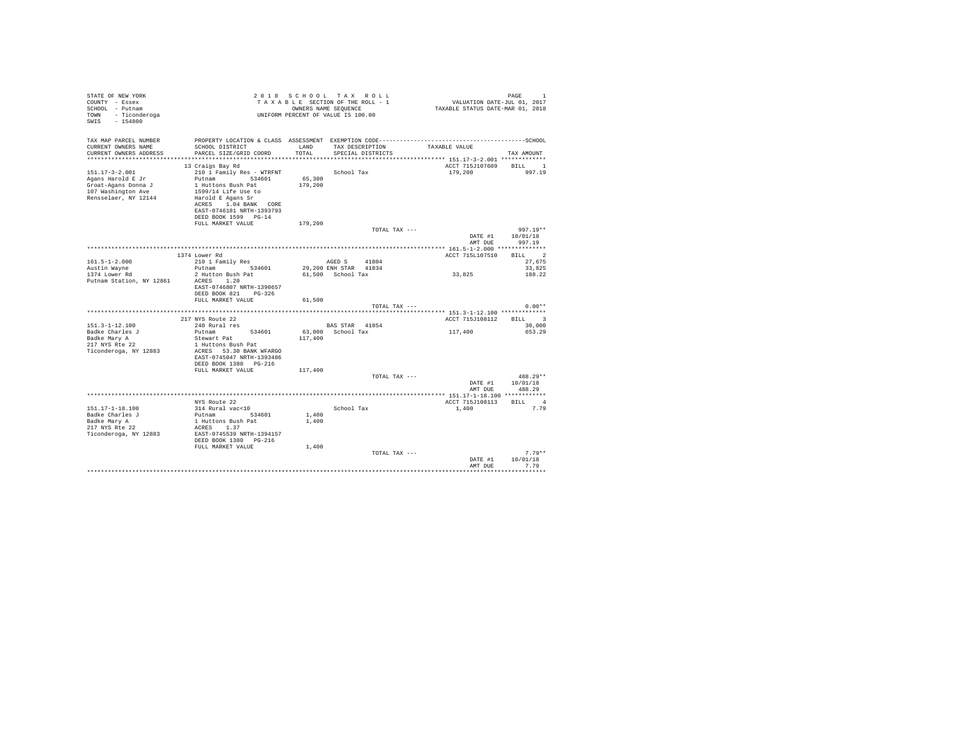| TAX MAP PARCEL NUMBER<br>TAX DESCRIPTION<br>CURRENT OWNERS NAME<br>LAND<br>SCHOOL DISTRICT<br>TAXABLE VALUE<br>PARCEL SIZE/GRID COORD<br>TOTAL<br>CURRENT OWNERS ADDRESS<br>SPECIAL DISTRICTS<br>TAX AMOUNT<br>BILL 1<br>ACCT 715J107609<br>13 Craigs Bay Rd<br>210 1 Family Res - WTRFNT School Tax<br>$151.17 - 3 - 2.001$<br>997.19<br>179,200<br>65,300<br>Putnam 534601<br>Agans Harold E Jr<br>1 Huttons Bush Pat<br>179,200<br>Groat-Agans Donna J |            |
|-----------------------------------------------------------------------------------------------------------------------------------------------------------------------------------------------------------------------------------------------------------------------------------------------------------------------------------------------------------------------------------------------------------------------------------------------------------|------------|
|                                                                                                                                                                                                                                                                                                                                                                                                                                                           |            |
|                                                                                                                                                                                                                                                                                                                                                                                                                                                           |            |
|                                                                                                                                                                                                                                                                                                                                                                                                                                                           |            |
|                                                                                                                                                                                                                                                                                                                                                                                                                                                           |            |
|                                                                                                                                                                                                                                                                                                                                                                                                                                                           |            |
|                                                                                                                                                                                                                                                                                                                                                                                                                                                           |            |
| 107 Washington Ave<br>1599/14 Life Use to                                                                                                                                                                                                                                                                                                                                                                                                                 |            |
| Rensselaer, NY 12144<br>Harold E Agans Sr                                                                                                                                                                                                                                                                                                                                                                                                                 |            |
| ACRES 1.04 BANK CORE                                                                                                                                                                                                                                                                                                                                                                                                                                      |            |
| EAST-0746181 NRTH-1393793                                                                                                                                                                                                                                                                                                                                                                                                                                 |            |
| DEED BOOK 1599 PG-14                                                                                                                                                                                                                                                                                                                                                                                                                                      |            |
| FULL MARKET VALUE<br>179,200                                                                                                                                                                                                                                                                                                                                                                                                                              |            |
| TOTAL TAX ---<br>DATE #1<br>10/01/18                                                                                                                                                                                                                                                                                                                                                                                                                      | $997.19**$ |
| AMT DUE<br>997.19                                                                                                                                                                                                                                                                                                                                                                                                                                         |            |
|                                                                                                                                                                                                                                                                                                                                                                                                                                                           |            |
| BILL 2<br>ACCT 715L107510<br>1374 Lower Rd                                                                                                                                                                                                                                                                                                                                                                                                                |            |
| AGED S<br>$161.5 - 1 - 2.000$<br>210 1 Family Res<br>41804                                                                                                                                                                                                                                                                                                                                                                                                | 27.675     |
| Putnam 534601<br>29,200 ENH STAR 41834<br>Austin Wayne                                                                                                                                                                                                                                                                                                                                                                                                    | 33,825     |
| 2 Hutton Bush Pat<br>61.500 School Tax<br>33,825<br>1374 Lower Rd<br>ACRES 1.20                                                                                                                                                                                                                                                                                                                                                                           | 188.22     |
| Putnam Station, NY 12861<br>EAST-0746807 NRTH-1390657                                                                                                                                                                                                                                                                                                                                                                                                     |            |
| DEED BOOK 821 PG-326                                                                                                                                                                                                                                                                                                                                                                                                                                      |            |
| FULL MARKET VALUE<br>61,500                                                                                                                                                                                                                                                                                                                                                                                                                               |            |
| TOTAL TAX ---                                                                                                                                                                                                                                                                                                                                                                                                                                             | $0.00**$   |
|                                                                                                                                                                                                                                                                                                                                                                                                                                                           |            |
| 217 NYS Route 22<br>ACCT 715J108112 BILL 3                                                                                                                                                                                                                                                                                                                                                                                                                |            |
| $151.3 - 1 - 12.100$<br>240 Rural res<br>BAS STAR 41854<br>117,400<br>Badke Charles J<br>Putnam<br>534601<br>63,000 School Tax<br>653.29                                                                                                                                                                                                                                                                                                                  | 30,000     |
| 117,400<br>Badke Mary A<br>Stewart Pat                                                                                                                                                                                                                                                                                                                                                                                                                    |            |
| 217 NYS Rte 22<br>1 Huttons Bush Pat                                                                                                                                                                                                                                                                                                                                                                                                                      |            |
| Ticonderoga, NY 12883<br>ACRES 53.30 BANK WFARGO                                                                                                                                                                                                                                                                                                                                                                                                          |            |
| EAST-0745047 NRTH-1393486                                                                                                                                                                                                                                                                                                                                                                                                                                 |            |
| DEED BOOK 1380 PG-216                                                                                                                                                                                                                                                                                                                                                                                                                                     |            |
| FULL MARKET VALUE<br>117,400<br>TOTAL TAX ---                                                                                                                                                                                                                                                                                                                                                                                                             | 488.29**   |
| DATE #1<br>10/01/18                                                                                                                                                                                                                                                                                                                                                                                                                                       |            |
| AMT DUE<br>488.29                                                                                                                                                                                                                                                                                                                                                                                                                                         |            |
|                                                                                                                                                                                                                                                                                                                                                                                                                                                           |            |
| ACCT 715J108113 BILL 4<br>NYS Route 22                                                                                                                                                                                                                                                                                                                                                                                                                    |            |
| 151.17-1-18.100<br>314 Rural vac<10<br>School Tax<br>1,400                                                                                                                                                                                                                                                                                                                                                                                                | 7.79       |
| Putnam 534601<br>1,400<br>Badke Charles J                                                                                                                                                                                                                                                                                                                                                                                                                 |            |
| 1 Huttons Bush Pat<br>1,400<br>Badke Mary A<br>217 NYS Rte 22<br>ACRES 1.37                                                                                                                                                                                                                                                                                                                                                                               |            |
| Ticonderoga, NY 12883<br>EAST-0745539 NRTH-1394157                                                                                                                                                                                                                                                                                                                                                                                                        |            |
| DEED BOOK 1380 PG-216                                                                                                                                                                                                                                                                                                                                                                                                                                     |            |
| FULL MARKET VALUE<br>1,400                                                                                                                                                                                                                                                                                                                                                                                                                                |            |
| TOTAL TAX ---                                                                                                                                                                                                                                                                                                                                                                                                                                             | $7.79**$   |
| 10/01/18<br>DATE #1                                                                                                                                                                                                                                                                                                                                                                                                                                       |            |
| 7.79<br>AMT DUE                                                                                                                                                                                                                                                                                                                                                                                                                                           |            |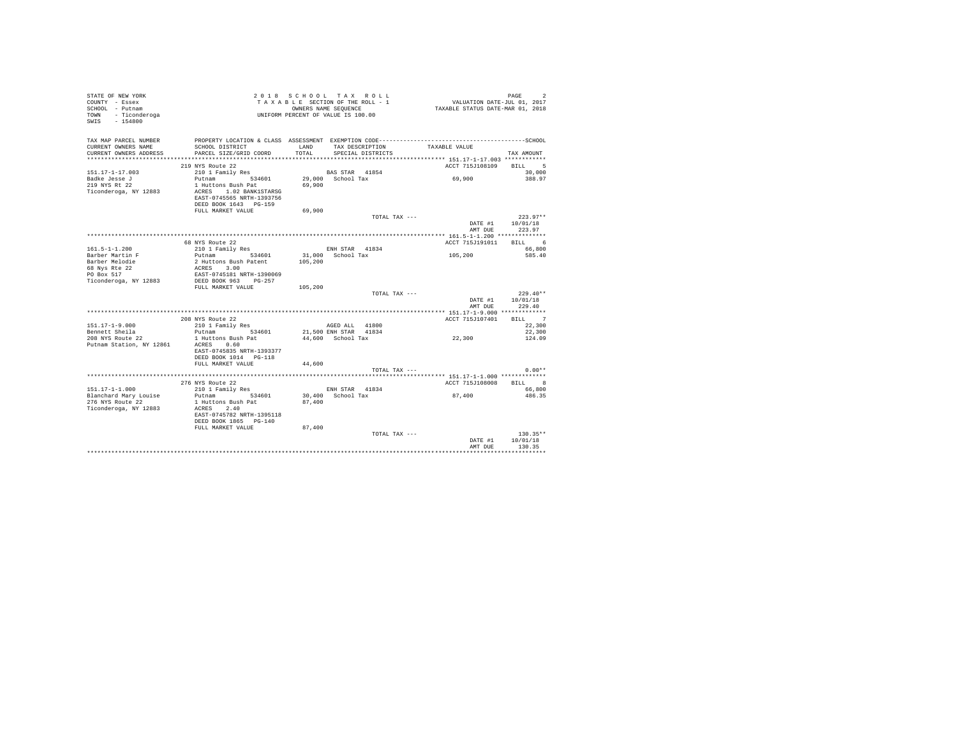| STATE OF NEW YORK<br>COUNTY - Essex<br>SCHOOL - Putnam<br>TOWN - Ticonderoga<br>SWIS - 154800                    |                                                                                                                                                                                            | 2018 SCHOOL TAX ROLL<br>TAXABLE SECTION OF THE ROLL - 1<br>OWNERS NAME SEQUENCE<br>UNIFORM PERCENT OF VALUE IS 100.00                                   | PAGE<br>$\overline{2}$<br>VALUATION DATE-JUL 01, 2017<br>TAXABLE STATUS DATE-MAR 01, 2018                                                        |
|------------------------------------------------------------------------------------------------------------------|--------------------------------------------------------------------------------------------------------------------------------------------------------------------------------------------|---------------------------------------------------------------------------------------------------------------------------------------------------------|--------------------------------------------------------------------------------------------------------------------------------------------------|
| TAX MAP PARCEL NUMBER<br>CURRENT OWNERS NAME<br>CURRENT OWNERS ADDRESS                                           | SCHOOL DISTRICT<br>PARCEL SIZE/GRID COORD                                                                                                                                                  | PROPERTY LOCATION & CLASS ASSESSMENT EXEMPTION CODE-----------------------------------SCHOOL<br>TAX DESCRIPTION<br>T.AND<br>TOTAL.<br>SPECIAL DISTRICTS | TAXABLE VALUE<br>TAX AMOUNT                                                                                                                      |
|                                                                                                                  |                                                                                                                                                                                            |                                                                                                                                                         |                                                                                                                                                  |
| $151.17 - 1 - 17.003$<br>Badke Jesse J<br>219 NYS Rt 22<br>Ticonderoga, NY 12883                                 | 219 NYS Route 22<br>210 1 Family Res<br>Putnam 534601<br>1 Huttons Bush Pat<br>ACRES 1.02 BANK1STARSG<br>EAST-0745565 NRTH-1393756<br>DEED BOOK 1643 PG-159                                | <b>BAS STAR 41854</b><br>29.000 School Tax<br>69,900                                                                                                    | ACCT 715J108109<br><b>BILL</b><br>5<br>30,000<br>69,900<br>388.97                                                                                |
|                                                                                                                  | FULL MARKET VALUE                                                                                                                                                                          | 69,900                                                                                                                                                  |                                                                                                                                                  |
|                                                                                                                  |                                                                                                                                                                                            | TOTAL TAX ---                                                                                                                                           | $223.97**$<br>DATE #1<br>10/01/18<br>223.97<br>AMT DUE                                                                                           |
|                                                                                                                  |                                                                                                                                                                                            |                                                                                                                                                         |                                                                                                                                                  |
| $161.5 - 1 - 1.200$<br>Barber Martin F<br>Barber Melodie<br>68 Nys Rte 22<br>PO Box 517<br>Ticonderoga, NY 12883 | 68 NYS Route 22<br>210 1 Family Res<br>Putnam 534601<br>2 Huttons Bush Patent<br>ACRES 3.00<br>EAST-0745181 NRTH-1390069<br>DEED BOOK 963 PG-257<br>FIILL MARKET VALUE<br>208 NYS Route 22 | ENH STAR 41834<br>31,000 School Tax<br>105,200<br>105,200<br>TOTAL TAX ---                                                                              | RTLL 6<br>ACCT 715.7191011<br>66,800<br>105,200<br>585.40<br>$229.40**$<br>DATE #1<br>10/01/18<br>229.40<br>AMT DUE<br>BILL 7<br>ACCT 715J107401 |
| $151.17 - 1 - 9.000$                                                                                             | 210 1 Family Res                                                                                                                                                                           | AGED ALL 41800                                                                                                                                          | 22,300                                                                                                                                           |
| Bennett Sheila<br>208 NYS Route 22<br>Putnam Station, NY 12861                                                   | Putnam 534601<br>1 Huttons Bush Pat<br>ACRES 0.60<br>EAST-0745835 NRTH-1393377<br>DEED BOOK 1014 PG-118<br>FULL MARKET VALUE                                                               | 21,500 ENH STAR 41834<br>44,600 School Tax<br>44,600                                                                                                    | 22,300<br>22,300<br>124.09                                                                                                                       |
|                                                                                                                  |                                                                                                                                                                                            | TOTAL TAX ---                                                                                                                                           | $0.00**$                                                                                                                                         |
| $151.17 - 1 - 1.000$<br>Blanchard Mary Louise<br>276 NYS Route 22<br>Ticonderoga, NY 12883                       | 276 NYS Route 22<br>210 1 Family Res<br>Putnam 534601<br>1 Huttons Bush Pat<br>ACRES 2.40<br>EAST-0745782 NRTH-1395118<br>DEED BOOK 1865 PG-140<br>FULL MARKET VALUE                       | ENH STAR 41834<br>30,400 School Tax<br>87,400<br>87.400                                                                                                 | ACCT 715J108008<br>BILL 8<br>66,800<br>87,400<br>486.35                                                                                          |
|                                                                                                                  |                                                                                                                                                                                            | TOTAL TAX ---                                                                                                                                           | $130.35**$<br>10/01/18<br>DATE #1<br>AMT DUR<br>130.35                                                                                           |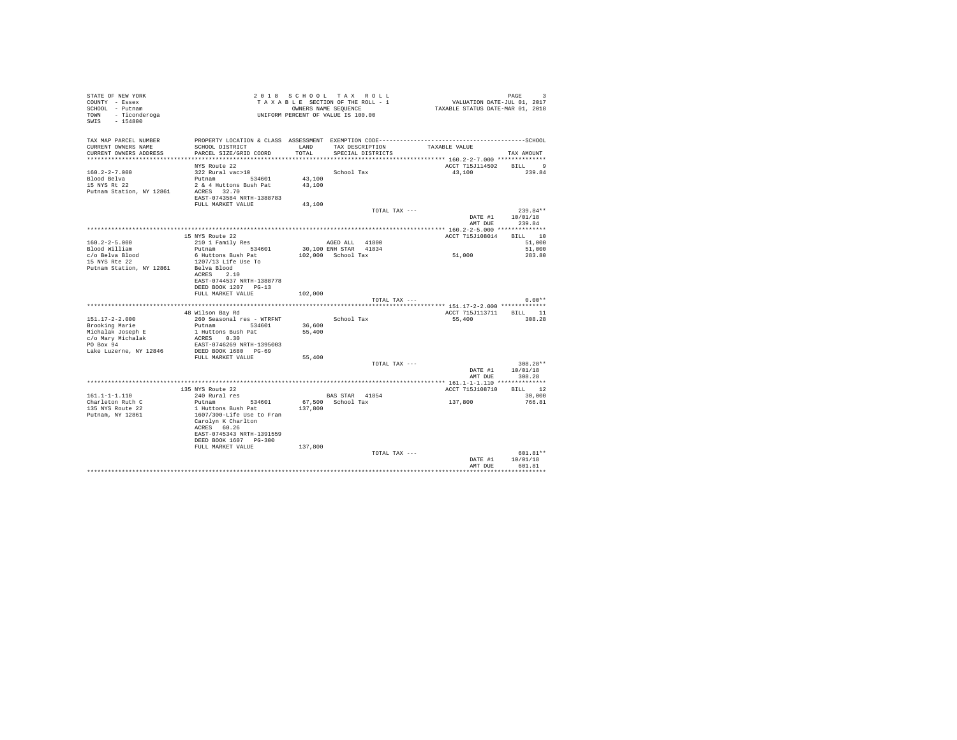| COUNTY - Essex<br>SCHOOL - Putnam<br>TOWN - Ticonderoga<br>SWIS - 154800 | UNIFORM PERCENT OF VALUE IS 100.00              | 2018 SCHOOL TAX ROLL<br>TAXABLE SECTION OF THE ROLL - 1<br>OWNERS NAME SEQUENCE |                    |                   | VALUATION DATE-JUL 01, 2017<br>TAXABLE STATUS DATE-MAR 01, 2018 | PAGE<br>3              |
|--------------------------------------------------------------------------|-------------------------------------------------|---------------------------------------------------------------------------------|--------------------|-------------------|-----------------------------------------------------------------|------------------------|
| TAX MAP PARCEL NUMBER<br>CURRENT OWNERS NAME<br>CURRENT OWNERS ADDRESS   | SCHOOL DISTRICT<br>PARCEL SIZE/GRID COORD       | LAND<br>TOTAL                                                                   |                    | SPECIAL DISTRICTS | TAX DESCRIPTION TAXABLE VALUE                                   | TAX AMOUNT             |
|                                                                          |                                                 |                                                                                 |                    |                   |                                                                 |                        |
|                                                                          | NYS Route 22                                    |                                                                                 |                    |                   | ACCT 715J114502                                                 | BILL 9                 |
| $160.2 - 2 - 7.000$                                                      | 322 Rural vac>10                                |                                                                                 | School Tax         |                   | 43,100                                                          | 239.84                 |
| Blood Belva                                                              | Putnam 534601                                   | 43,100                                                                          |                    |                   |                                                                 |                        |
| 15 NYS Rt 22                                                             | 2 & 4 Huttons Bush Pat                          | 43,100                                                                          |                    |                   |                                                                 |                        |
| Putnam Station, NY 12861                                                 | ACRES 32.70<br>EAST-0743584 NRTH-1388783        |                                                                                 |                    |                   |                                                                 |                        |
|                                                                          | FULL MARKET VALUE                               | 43,100                                                                          |                    |                   |                                                                 |                        |
|                                                                          |                                                 |                                                                                 |                    | TOTAL TAX ---     |                                                                 | $239.84**$             |
|                                                                          |                                                 |                                                                                 |                    |                   | DATE #1                                                         | 10/01/18               |
|                                                                          |                                                 |                                                                                 |                    |                   | AMT DUE                                                         | 239.84                 |
|                                                                          | 15 NYS Route 22                                 |                                                                                 |                    |                   | ACCT 715J108014                                                 | BILL 10                |
| $160.2 - 2 - 5.000$                                                      | 210 1 Family Res                                |                                                                                 | AGED ALL 41800     |                   |                                                                 | 51,000                 |
| Blood William                                                            | Putnam 534601                                   | 30,100 ENH STAR 41834                                                           |                    |                   |                                                                 | 51,000                 |
| c/o Belva Blood                                                          | 6 Huttons Bush Pat                              |                                                                                 | 102,000 School Tax |                   | 51,000                                                          | 283.80                 |
| 15 NYS Rte 22                                                            | 1207/13 Life Use To                             |                                                                                 |                    |                   |                                                                 |                        |
| Putnam Station, NY 12861                                                 | Belva Blood                                     |                                                                                 |                    |                   |                                                                 |                        |
|                                                                          | ACRES 2.10<br>EAST-0744537 NRTH-1388778         |                                                                                 |                    |                   |                                                                 |                        |
|                                                                          | DEED BOOK 1207 PG-13                            |                                                                                 |                    |                   |                                                                 |                        |
|                                                                          | FULL MARKET VALUE                               | 102,000                                                                         |                    |                   |                                                                 |                        |
|                                                                          |                                                 |                                                                                 |                    | TOTAL TAX ---     |                                                                 | $0.00**$               |
|                                                                          |                                                 |                                                                                 |                    |                   |                                                                 |                        |
| $151.17 - 2 - 2.000$                                                     | 48 Wilson Bay Rd<br>260 Seasonal res - WTRFNT   |                                                                                 | School Tax         |                   | ACCT 715J113711 BILL 11<br>55,400                               | 308.28                 |
| Brooking Marie                                                           | Putnam 534601                                   | 36,600                                                                          |                    |                   |                                                                 |                        |
| Michalak Joseph E                                                        | 1 Huttons Bush Pat                              | 55,400                                                                          |                    |                   |                                                                 |                        |
| c/o Mary Michalak                                                        | ACRES 0.30                                      |                                                                                 |                    |                   |                                                                 |                        |
| PO Box 94                                                                | EAST-0746269 NRTH-1395003                       |                                                                                 |                    |                   |                                                                 |                        |
| Lake Luzerne, NY 12846                                                   | DEED BOOK 1680 PG-69                            |                                                                                 |                    |                   |                                                                 |                        |
|                                                                          | FULL MARKET VALUE                               | 55,400                                                                          |                    | TOTAL TAX ---     |                                                                 | 308.28**               |
|                                                                          |                                                 |                                                                                 |                    |                   | DATE #1                                                         | 10/01/18               |
|                                                                          |                                                 |                                                                                 |                    |                   |                                                                 | 308.28                 |
|                                                                          |                                                 |                                                                                 |                    |                   | AMT DUE                                                         |                        |
|                                                                          |                                                 |                                                                                 |                    |                   |                                                                 |                        |
|                                                                          | 135 NYS Route 22                                |                                                                                 |                    |                   | ACCT 715J108710                                                 | BILL 12                |
| $161.1 - 1 - 1.110$                                                      | 240 Rural res                                   |                                                                                 | BAS STAR 41854     |                   |                                                                 | 30,000                 |
| Charleton Ruth C                                                         | Putnam 534601                                   |                                                                                 | 67.500 School Tax  |                   | 137,800                                                         | 766.81                 |
| 135 NYS Route 22                                                         | 1 Huttons Bush Pat                              | 137,800                                                                         |                    |                   |                                                                 |                        |
| Putnam, NY 12861                                                         | 1607/300-Life Use to Fran<br>Carolyn K Charlton |                                                                                 |                    |                   |                                                                 |                        |
|                                                                          | ACRES 60.26                                     |                                                                                 |                    |                   |                                                                 |                        |
|                                                                          | EAST-0745343 NRTH-1391559                       |                                                                                 |                    |                   |                                                                 |                        |
|                                                                          | DEED BOOK 1607 PG-300                           |                                                                                 |                    |                   |                                                                 |                        |
|                                                                          | FULL MARKET VALUE                               | 137,800                                                                         |                    |                   |                                                                 |                        |
|                                                                          |                                                 |                                                                                 |                    | TOTAL TAX ---     | DATE #1                                                         | $601.81**$<br>10/01/18 |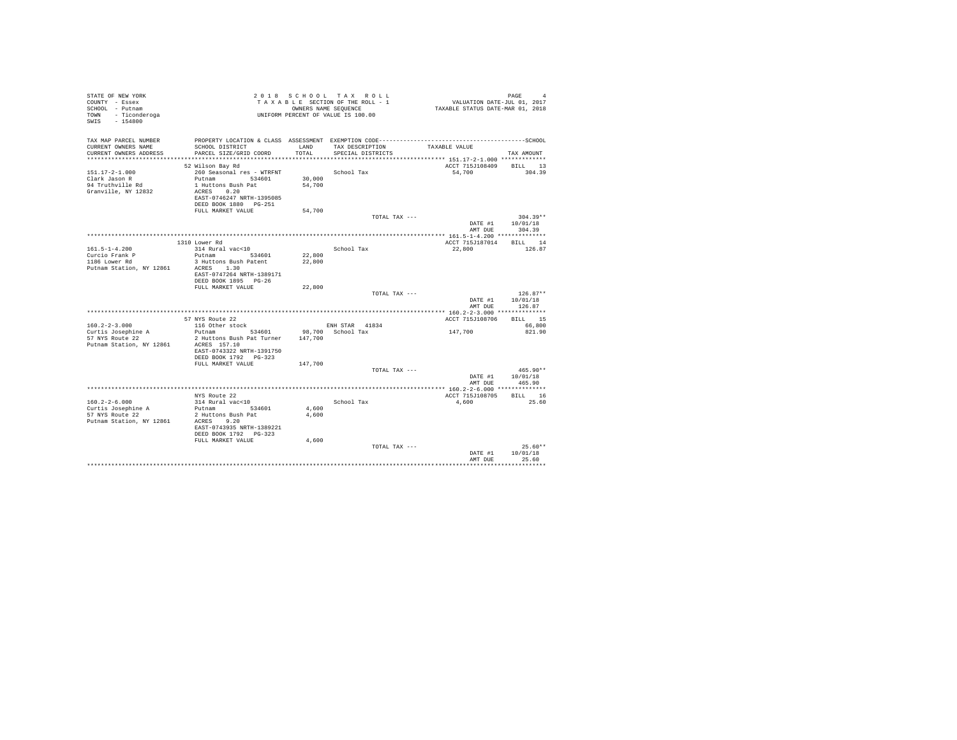| TAX MAP PARCEL NUMBER<br>PROPERTY LOCATION & CLASS ASSESSMENT EXEMPTION CODE-----------------------------------SCHOOL<br>CURRENT OWNERS NAME<br>SCHOOL DISTRICT<br>LAND<br>TAX DESCRIPTION<br>TAXABLE VALUE<br>PARCEL SIZE/GRID COORD<br>TOTAL<br>CURRENT OWNERS ADDRESS<br>SPECIAL DISTRICTS<br>TAX AMOUNT<br>ACCT 715J108409 BILL 13<br>52 Wilson Bay Rd<br>304.39<br>$151.17 - 2 - 1.000$<br>260 Seasonal res - WTRFNT<br>School Tax<br>54,700<br>Clark Jason R<br>Putnam 534601<br>30,000<br>94 Truthville Rd<br>1 Huttons Bush Pat<br>54,700<br>ACRES 0.20<br>Granville, NY 12832<br>EAST-0746247 NRTH-1395085<br>DEED BOOK 1880 PG-251<br>54,700<br>FULL MARKET VALUE<br>$304.39**$<br>TOTAL TAX ---<br>DATE #1 10/01/18<br>AMT DUE<br>304.39<br>1310 Lower Rd<br>ACCT 715J187014 BILL 14<br>$161.5 - 1 - 4.200$<br>314 Rural vac<10<br>School Tax<br>22,800<br>126.87<br>Putnam 534601<br>Curcio Frank P<br>22,800<br>22,800<br>1186 Lower Rd<br>3 Huttons Bush Patent<br>Putnam Station, NY 12861<br>ACRES 1.30<br>EAST-0747264 NRTH-1389171<br>DEED BOOK 1895 PG-26<br>22,800<br>FULL MARKET VALUE<br>$126.87**$<br>TOTAL TAX ---<br>DATE #1<br>10/01/18<br>126.87<br>AMT DUE<br>57 NYS Route 22<br>ACCT 715J108706 BILL 15<br>$160.2 - 2 - 3.000$<br>116 Other stock<br>ENH STAR 41834<br>66,800<br>Putnam 534601<br>98.700 School Tax<br>147,700<br>Curtis Josephine A<br>821.90<br>2 Huttons Bush Pat Turner 147,700<br>57 NYS Route 22<br>Putnam Station, NY 12861<br>ACRES 157.10<br>EAST-0743322 NRTH-1391750<br>DEED BOOK 1792 PG-323<br>147,700<br>FULL MARKET VALUE<br>$465.90**$<br>TOTAL TAX ---<br>DATE #1 10/01/18<br>AMT DUE<br>465.90<br>ACCT 715J108705 BILL 16<br>NYS Route 22<br>314 Rural vac<10<br>25.60<br>$160.2 - 2 - 6.000$<br>School Tax<br>4,600<br>Curtis Josephine A<br>Putnam 534601<br>4,600<br>57 NYS Route 22<br>2 Huttons Bush Pat<br>4,600<br>Putnam Station, NY 12861<br>ACRES 9.20<br>EAST-0743935 NRTH-1389221<br>DEED BOOK 1792 PG-323<br>4,600<br>FULL MARKET VALUE<br>$25.60**$<br>TOTAL TAX ---<br>10/01/18<br>DATE #1 | STATE OF NEW YORK<br>COUNTY - Essex<br>SCHOOL - Putnam<br>- Ticonderoga<br>TOWN<br>SWIS - 154800 |  | 2018 SCHOOL TAX ROLL<br>TAXABLE SECTION OF THE ROLL - 1<br>OWNERS NAME SEOUENCE<br>UNIFORM PERCENT OF VALUE IS 100.00 | 4<br>VALUATION DATE-JUL 01, 2017<br>TAXABLE STATUS DATE-MAR 01, 2018 | PAGE<br>$\overline{4}$ |
|--------------------------------------------------------------------------------------------------------------------------------------------------------------------------------------------------------------------------------------------------------------------------------------------------------------------------------------------------------------------------------------------------------------------------------------------------------------------------------------------------------------------------------------------------------------------------------------------------------------------------------------------------------------------------------------------------------------------------------------------------------------------------------------------------------------------------------------------------------------------------------------------------------------------------------------------------------------------------------------------------------------------------------------------------------------------------------------------------------------------------------------------------------------------------------------------------------------------------------------------------------------------------------------------------------------------------------------------------------------------------------------------------------------------------------------------------------------------------------------------------------------------------------------------------------------------------------------------------------------------------------------------------------------------------------------------------------------------------------------------------------------------------------------------------------------------------------------------------------------------------------------------------------------------------------------------------------------------------------------------------------------------------------------------------------------------------|--------------------------------------------------------------------------------------------------|--|-----------------------------------------------------------------------------------------------------------------------|----------------------------------------------------------------------|------------------------|
|                                                                                                                                                                                                                                                                                                                                                                                                                                                                                                                                                                                                                                                                                                                                                                                                                                                                                                                                                                                                                                                                                                                                                                                                                                                                                                                                                                                                                                                                                                                                                                                                                                                                                                                                                                                                                                                                                                                                                                                                                                                                          |                                                                                                  |  |                                                                                                                       |                                                                      |                        |
|                                                                                                                                                                                                                                                                                                                                                                                                                                                                                                                                                                                                                                                                                                                                                                                                                                                                                                                                                                                                                                                                                                                                                                                                                                                                                                                                                                                                                                                                                                                                                                                                                                                                                                                                                                                                                                                                                                                                                                                                                                                                          |                                                                                                  |  |                                                                                                                       |                                                                      |                        |
|                                                                                                                                                                                                                                                                                                                                                                                                                                                                                                                                                                                                                                                                                                                                                                                                                                                                                                                                                                                                                                                                                                                                                                                                                                                                                                                                                                                                                                                                                                                                                                                                                                                                                                                                                                                                                                                                                                                                                                                                                                                                          |                                                                                                  |  |                                                                                                                       |                                                                      |                        |
|                                                                                                                                                                                                                                                                                                                                                                                                                                                                                                                                                                                                                                                                                                                                                                                                                                                                                                                                                                                                                                                                                                                                                                                                                                                                                                                                                                                                                                                                                                                                                                                                                                                                                                                                                                                                                                                                                                                                                                                                                                                                          |                                                                                                  |  |                                                                                                                       |                                                                      |                        |
|                                                                                                                                                                                                                                                                                                                                                                                                                                                                                                                                                                                                                                                                                                                                                                                                                                                                                                                                                                                                                                                                                                                                                                                                                                                                                                                                                                                                                                                                                                                                                                                                                                                                                                                                                                                                                                                                                                                                                                                                                                                                          |                                                                                                  |  |                                                                                                                       |                                                                      |                        |
|                                                                                                                                                                                                                                                                                                                                                                                                                                                                                                                                                                                                                                                                                                                                                                                                                                                                                                                                                                                                                                                                                                                                                                                                                                                                                                                                                                                                                                                                                                                                                                                                                                                                                                                                                                                                                                                                                                                                                                                                                                                                          |                                                                                                  |  |                                                                                                                       |                                                                      |                        |
|                                                                                                                                                                                                                                                                                                                                                                                                                                                                                                                                                                                                                                                                                                                                                                                                                                                                                                                                                                                                                                                                                                                                                                                                                                                                                                                                                                                                                                                                                                                                                                                                                                                                                                                                                                                                                                                                                                                                                                                                                                                                          |                                                                                                  |  |                                                                                                                       |                                                                      |                        |
|                                                                                                                                                                                                                                                                                                                                                                                                                                                                                                                                                                                                                                                                                                                                                                                                                                                                                                                                                                                                                                                                                                                                                                                                                                                                                                                                                                                                                                                                                                                                                                                                                                                                                                                                                                                                                                                                                                                                                                                                                                                                          |                                                                                                  |  |                                                                                                                       |                                                                      |                        |
|                                                                                                                                                                                                                                                                                                                                                                                                                                                                                                                                                                                                                                                                                                                                                                                                                                                                                                                                                                                                                                                                                                                                                                                                                                                                                                                                                                                                                                                                                                                                                                                                                                                                                                                                                                                                                                                                                                                                                                                                                                                                          |                                                                                                  |  |                                                                                                                       |                                                                      |                        |
|                                                                                                                                                                                                                                                                                                                                                                                                                                                                                                                                                                                                                                                                                                                                                                                                                                                                                                                                                                                                                                                                                                                                                                                                                                                                                                                                                                                                                                                                                                                                                                                                                                                                                                                                                                                                                                                                                                                                                                                                                                                                          |                                                                                                  |  |                                                                                                                       |                                                                      |                        |
|                                                                                                                                                                                                                                                                                                                                                                                                                                                                                                                                                                                                                                                                                                                                                                                                                                                                                                                                                                                                                                                                                                                                                                                                                                                                                                                                                                                                                                                                                                                                                                                                                                                                                                                                                                                                                                                                                                                                                                                                                                                                          |                                                                                                  |  |                                                                                                                       |                                                                      |                        |
|                                                                                                                                                                                                                                                                                                                                                                                                                                                                                                                                                                                                                                                                                                                                                                                                                                                                                                                                                                                                                                                                                                                                                                                                                                                                                                                                                                                                                                                                                                                                                                                                                                                                                                                                                                                                                                                                                                                                                                                                                                                                          |                                                                                                  |  |                                                                                                                       |                                                                      |                        |
|                                                                                                                                                                                                                                                                                                                                                                                                                                                                                                                                                                                                                                                                                                                                                                                                                                                                                                                                                                                                                                                                                                                                                                                                                                                                                                                                                                                                                                                                                                                                                                                                                                                                                                                                                                                                                                                                                                                                                                                                                                                                          |                                                                                                  |  |                                                                                                                       |                                                                      |                        |
|                                                                                                                                                                                                                                                                                                                                                                                                                                                                                                                                                                                                                                                                                                                                                                                                                                                                                                                                                                                                                                                                                                                                                                                                                                                                                                                                                                                                                                                                                                                                                                                                                                                                                                                                                                                                                                                                                                                                                                                                                                                                          |                                                                                                  |  |                                                                                                                       |                                                                      |                        |
|                                                                                                                                                                                                                                                                                                                                                                                                                                                                                                                                                                                                                                                                                                                                                                                                                                                                                                                                                                                                                                                                                                                                                                                                                                                                                                                                                                                                                                                                                                                                                                                                                                                                                                                                                                                                                                                                                                                                                                                                                                                                          |                                                                                                  |  |                                                                                                                       |                                                                      |                        |
|                                                                                                                                                                                                                                                                                                                                                                                                                                                                                                                                                                                                                                                                                                                                                                                                                                                                                                                                                                                                                                                                                                                                                                                                                                                                                                                                                                                                                                                                                                                                                                                                                                                                                                                                                                                                                                                                                                                                                                                                                                                                          |                                                                                                  |  |                                                                                                                       |                                                                      |                        |
|                                                                                                                                                                                                                                                                                                                                                                                                                                                                                                                                                                                                                                                                                                                                                                                                                                                                                                                                                                                                                                                                                                                                                                                                                                                                                                                                                                                                                                                                                                                                                                                                                                                                                                                                                                                                                                                                                                                                                                                                                                                                          |                                                                                                  |  |                                                                                                                       |                                                                      |                        |
|                                                                                                                                                                                                                                                                                                                                                                                                                                                                                                                                                                                                                                                                                                                                                                                                                                                                                                                                                                                                                                                                                                                                                                                                                                                                                                                                                                                                                                                                                                                                                                                                                                                                                                                                                                                                                                                                                                                                                                                                                                                                          |                                                                                                  |  |                                                                                                                       |                                                                      |                        |
|                                                                                                                                                                                                                                                                                                                                                                                                                                                                                                                                                                                                                                                                                                                                                                                                                                                                                                                                                                                                                                                                                                                                                                                                                                                                                                                                                                                                                                                                                                                                                                                                                                                                                                                                                                                                                                                                                                                                                                                                                                                                          |                                                                                                  |  |                                                                                                                       |                                                                      |                        |
|                                                                                                                                                                                                                                                                                                                                                                                                                                                                                                                                                                                                                                                                                                                                                                                                                                                                                                                                                                                                                                                                                                                                                                                                                                                                                                                                                                                                                                                                                                                                                                                                                                                                                                                                                                                                                                                                                                                                                                                                                                                                          |                                                                                                  |  |                                                                                                                       |                                                                      |                        |
|                                                                                                                                                                                                                                                                                                                                                                                                                                                                                                                                                                                                                                                                                                                                                                                                                                                                                                                                                                                                                                                                                                                                                                                                                                                                                                                                                                                                                                                                                                                                                                                                                                                                                                                                                                                                                                                                                                                                                                                                                                                                          |                                                                                                  |  |                                                                                                                       |                                                                      |                        |
|                                                                                                                                                                                                                                                                                                                                                                                                                                                                                                                                                                                                                                                                                                                                                                                                                                                                                                                                                                                                                                                                                                                                                                                                                                                                                                                                                                                                                                                                                                                                                                                                                                                                                                                                                                                                                                                                                                                                                                                                                                                                          |                                                                                                  |  |                                                                                                                       | AMT DUE                                                              | 25.60                  |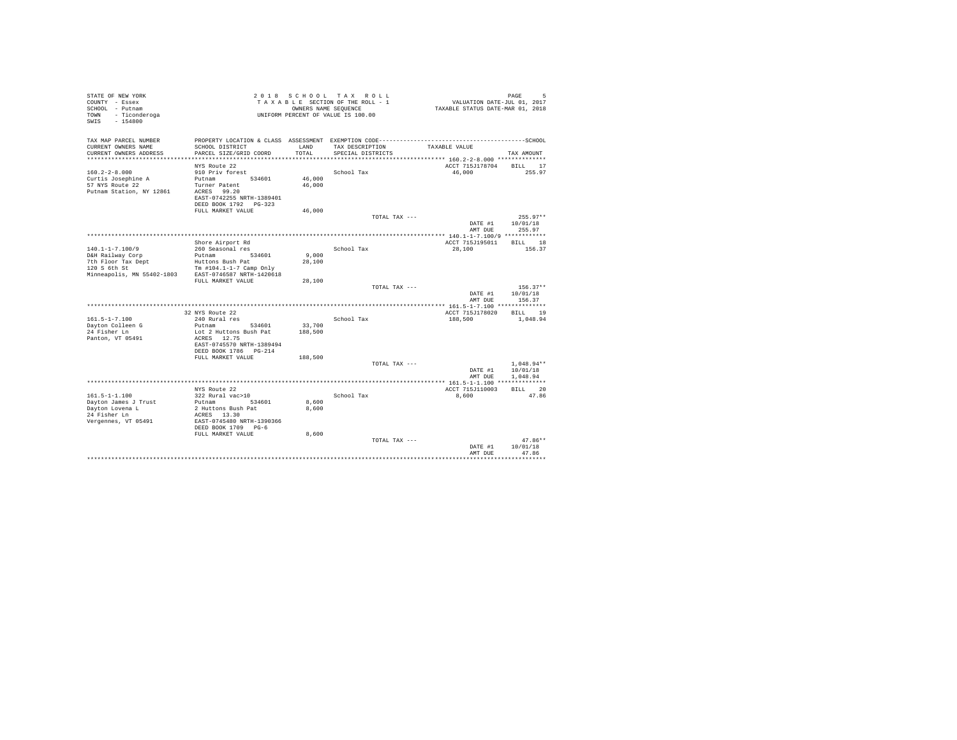| STATE OF NEW YORK<br>COUNTY - Essex<br>SCHOOL - Putnam<br>- Ticonderoga<br>TOWN<br>SWIS<br>$-154800$ | 2 0 1 8                                            | OWNERS NAME SEQUENCE | SCHOOL TAX ROLL<br>TAXABLE SECTION OF THE ROLL - 1<br>UNIFORM PERCENT OF VALUE IS 100.00 | VALUATION DATE-JUL 01, 2017<br>TAXABLE STATUS DATE-MAR 01, 2018 | PAGE<br>5                        |
|------------------------------------------------------------------------------------------------------|----------------------------------------------------|----------------------|------------------------------------------------------------------------------------------|-----------------------------------------------------------------|----------------------------------|
| TAX MAP PARCEL NUMBER                                                                                |                                                    |                      |                                                                                          |                                                                 |                                  |
| CURRENT OWNERS NAME<br>CURRENT OWNERS ADDRESS                                                        | SCHOOL DISTRICT<br>PARCEL SIZE/GRID COORD          | LAND<br>TOTAL        | TAX DESCRIPTION<br>SPECIAL DISTRICTS                                                     | TAXABLE VALUE                                                   |                                  |
| ************************                                                                             |                                                    |                      |                                                                                          |                                                                 | TAX AMOUNT                       |
|                                                                                                      | NYS Route 22                                       |                      |                                                                                          | ACCT 715J178704                                                 | BILL 17                          |
| $160.2 - 2 - 8.000$                                                                                  | 910 Priv forest                                    |                      | School Tax                                                                               | 46,000                                                          | 255.97                           |
| Curtis Josephine A                                                                                   | Putnam<br>534601                                   | 46,000               |                                                                                          |                                                                 |                                  |
| 57 NYS Route 22                                                                                      | Turner Patent                                      | 46,000               |                                                                                          |                                                                 |                                  |
| Putnam Station, NY 12861                                                                             | ACRES 99.20                                        |                      |                                                                                          |                                                                 |                                  |
|                                                                                                      | EAST-0742255 NRTH-1389401<br>DEED BOOK 1792 PG-323 |                      |                                                                                          |                                                                 |                                  |
|                                                                                                      | FULL MARKET VALUE                                  | 46,000               |                                                                                          |                                                                 |                                  |
|                                                                                                      |                                                    |                      | TOTAL TAX ---                                                                            |                                                                 | $255.97**$                       |
|                                                                                                      |                                                    |                      |                                                                                          | DATE #1<br>AMT DUE                                              | 10/01/18<br>255.97               |
|                                                                                                      |                                                    |                      |                                                                                          |                                                                 |                                  |
|                                                                                                      | Shore Airport Rd                                   |                      |                                                                                          | ACCT 715J195011                                                 | BILL 18                          |
| $140.1 - 1 - 7.100/9$<br>D&H Railway Corp                                                            | 260 Seasonal res<br>Putnam 534601                  | 9.000                | School Tax                                                                               | 28,100                                                          | 156.37                           |
| 7th Floor Tax Dept                                                                                   | Huttons Bush Pat                                   | 28,100               |                                                                                          |                                                                 |                                  |
| 120 S 6th St                                                                                         | Tm #104.1-1-7 Camp Only                            |                      |                                                                                          |                                                                 |                                  |
| Minneapolis, MN 55402-1803                                                                           | EAST-0746587 NRTH-1420618                          |                      |                                                                                          |                                                                 |                                  |
|                                                                                                      | FULL MARKET VALUE                                  | 28,100               |                                                                                          |                                                                 |                                  |
|                                                                                                      |                                                    |                      | TOTAL TAX ---                                                                            | DATE #1<br>AMT DUE                                              | $156.37**$<br>10/01/18<br>156.37 |
|                                                                                                      |                                                    |                      |                                                                                          |                                                                 |                                  |
|                                                                                                      | 32 NYS Route 22                                    |                      |                                                                                          | ACCT 715J178020                                                 | BILL.<br>19                      |
| $161.5 - 1 - 7.100$                                                                                  | 240 Rural res                                      |                      | School Tax                                                                               | 188,500                                                         | 1,048.94                         |
| Dayton Colleen G                                                                                     | Putnam<br>534601                                   | 33,700               |                                                                                          |                                                                 |                                  |
| 24 Fisher Ln<br>Panton, VT 05491                                                                     | Lot 2 Huttons Bush Pat<br>ACRES 12.75              | 188,500              |                                                                                          |                                                                 |                                  |
|                                                                                                      | EAST-0745570 NRTH-1389494                          |                      |                                                                                          |                                                                 |                                  |
|                                                                                                      | DEED BOOK 1786 PG-214                              |                      |                                                                                          |                                                                 |                                  |
|                                                                                                      | FULL MARKET VALUE                                  | 188,500              |                                                                                          |                                                                 |                                  |
|                                                                                                      |                                                    |                      | TOTAL TAX ---                                                                            |                                                                 | $1.048.94**$                     |
|                                                                                                      |                                                    |                      |                                                                                          | DATE #1                                                         | 10/01/18                         |
|                                                                                                      |                                                    |                      |                                                                                          | AMT DUE<br>********* 161.5-1-1.100 **************               | 1.048.94                         |
|                                                                                                      | NYS Route 22                                       |                      |                                                                                          | ACCT 715J110003                                                 | BILL 20                          |
| $161.5 - 1 - 1.100$                                                                                  | 322 Rural vac>10                                   |                      | School Tax                                                                               | 8,600                                                           | 47.86                            |
| Dayton James J Trust                                                                                 | Putnam 534601                                      | 8,600                |                                                                                          |                                                                 |                                  |
| Dayton Lovena L                                                                                      | 2 Huttons Bush Pat                                 | 8,600                |                                                                                          |                                                                 |                                  |
| 24 Fisher Ln                                                                                         | ACRES 13.30<br>EAST-0745480 NRTH-1390366           |                      |                                                                                          |                                                                 |                                  |
| Vergennes, VT 05491                                                                                  | DEED BOOK 1709 PG-6                                |                      |                                                                                          |                                                                 |                                  |
|                                                                                                      | FULL MARKET VALUE                                  | 8,600                |                                                                                          |                                                                 |                                  |
|                                                                                                      |                                                    |                      | TOTAL TAX ---                                                                            |                                                                 | $47.86**$                        |
|                                                                                                      |                                                    |                      |                                                                                          | DATE #1                                                         | 10/01/18                         |
|                                                                                                      |                                                    |                      |                                                                                          | AMT DUE                                                         | 47.86                            |
|                                                                                                      |                                                    |                      |                                                                                          |                                                                 |                                  |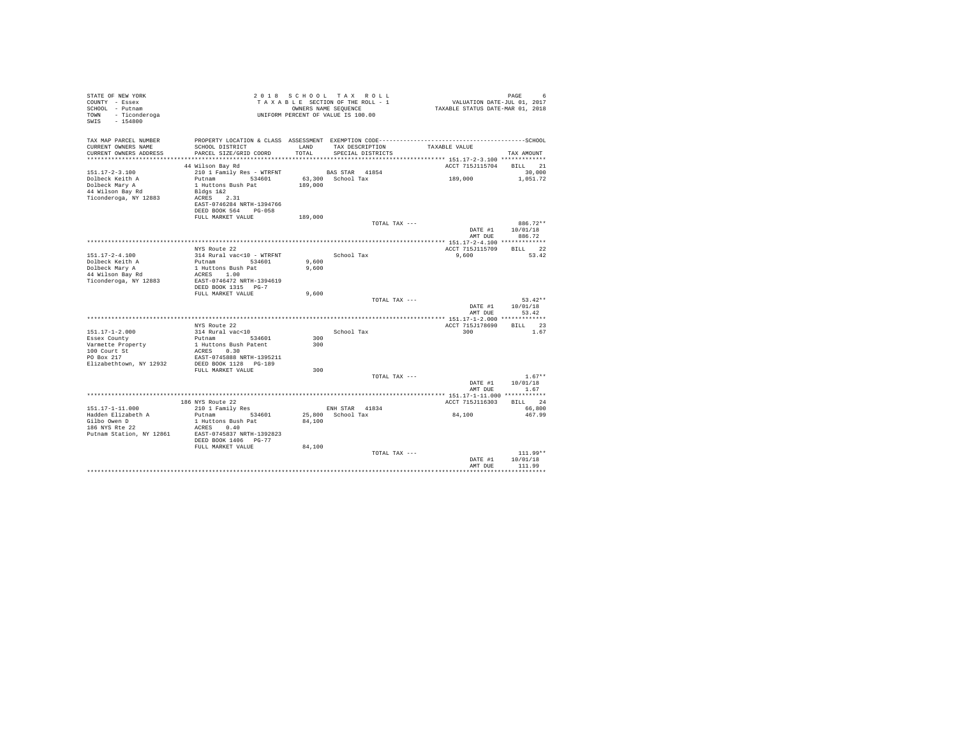| STATE OF NEW YORK<br>COUNTY - Essex<br>SCHOOL - Putnam |                                           |         | 2018 SCHOOL TAX ROLL<br>TAXABLE SECTION OF THE ROLL - 1<br>OWNERS NAME SEQUENCE | PAGE 6<br>VALUATION DATE-JUL 01, 2017<br>TAXABLE STATUS DATE-MAR 01, 2018 |                          |
|--------------------------------------------------------|-------------------------------------------|---------|---------------------------------------------------------------------------------|---------------------------------------------------------------------------|--------------------------|
| TOWN - Ticonderoga<br>SWIS - 154800                    |                                           |         | UNIFORM PERCENT OF VALUE IS 100.00                                              |                                                                           |                          |
| TAX MAP PARCEL NUMBER                                  |                                           |         |                                                                                 |                                                                           |                          |
| CURRENT OWNERS NAME                                    | SCHOOL DISTRICT                           | LAND    | TAX DESCRIPTION                                                                 | TAXABLE VALUE                                                             |                          |
| CURRENT OWNERS ADDRESS                                 | PARCEL SIZE/GRID COORD                    | TOTAL   | SPECIAL DISTRICTS                                                               |                                                                           | TAX AMOUNT               |
|                                                        | 44 Wilson Bay Rd                          |         |                                                                                 | ACCT 715J115704 BILL 21                                                   |                          |
| 151.17-2-3.100                                         | 210 1 Family Res - WTRFNT                 |         | BAS STAR 41854                                                                  |                                                                           | 30,000                   |
| Dolbeck Keith A                                        | Putnam 534601                             |         | 63,300 School Tax                                                               | 189,000                                                                   | 1,051.72                 |
| Dolbeck Mary A                                         | 1 Huttons Bush Pat                        | 189,000 |                                                                                 |                                                                           |                          |
| 44 Wilson Bay Rd                                       | Bldgs 1&2                                 |         |                                                                                 |                                                                           |                          |
| Ticonderoga, NY 12883                                  | ACRES 2.31                                |         |                                                                                 |                                                                           |                          |
|                                                        | EAST-0746284 NRTH-1394766                 |         |                                                                                 |                                                                           |                          |
|                                                        | DEED BOOK 564 PG-058                      |         |                                                                                 |                                                                           |                          |
|                                                        | FULL MARKET VALUE                         | 189,000 | TOTAL TAX ---                                                                   |                                                                           | 886.72**                 |
|                                                        |                                           |         |                                                                                 |                                                                           | DATE #1 10/01/18         |
|                                                        |                                           |         |                                                                                 | AMT DUE                                                                   | 886.72                   |
|                                                        |                                           |         |                                                                                 |                                                                           |                          |
|                                                        | NYS Route 22                              |         |                                                                                 | ACCT 715J115709                                                           | BILL 22                  |
| 151.17-2-4.100                                         | 314 Rural vac<10 - WTRFNT                 |         | School Tax                                                                      | 9,600                                                                     | 53.42                    |
| Dolbeck Keith A                                        | Putnam 534601                             | 9,600   |                                                                                 |                                                                           |                          |
| Dolbeck Mary A                                         | 1 Huttons Bush Pat<br>ACRES 1.00          | 9,600   |                                                                                 |                                                                           |                          |
| 44 Wilson Bay Rd<br>Ticonderoga, NY 12883              | EAST-0746472 NRTH-1394619                 |         |                                                                                 |                                                                           |                          |
|                                                        | DEED BOOK 1315 PG-7                       |         |                                                                                 |                                                                           |                          |
|                                                        | FULL MARKET VALUE                         | 9,600   |                                                                                 |                                                                           |                          |
|                                                        |                                           |         | TOTAL TAX ---                                                                   |                                                                           | $53.42**$                |
|                                                        |                                           |         |                                                                                 |                                                                           | DATE #1   10/01/18       |
|                                                        |                                           |         |                                                                                 | AMT DUE                                                                   | 53.42                    |
|                                                        |                                           |         |                                                                                 |                                                                           |                          |
| $151.17 - 1 - 2.000$                                   | NYS Route 22<br>314 Rural vac<10          |         | School Tax                                                                      | ACCT 715J178690<br>300 000                                                | BILL 23<br>1.67          |
| Essex County                                           | Putnam 534601                             | 300     |                                                                                 |                                                                           |                          |
| Varmette Property                                      | 1 Huttons Bush Patent                     | 300     |                                                                                 |                                                                           |                          |
| 100 Court St                                           | ACRES 0.30                                |         |                                                                                 |                                                                           |                          |
| PO Box 217                                             | EAST-0745888 NRTH-1395211                 |         |                                                                                 |                                                                           |                          |
| Elizabethtown, NY 12932                                | DEED BOOK 1128 PG-189                     |         |                                                                                 |                                                                           |                          |
|                                                        | FULL MARKET VALUE                         | 300     |                                                                                 |                                                                           |                          |
|                                                        |                                           |         | TOTAL TAX ---                                                                   |                                                                           | $1.67**$                 |
|                                                        |                                           |         |                                                                                 | AMT DUE                                                                   | DATE #1 10/01/18<br>1.67 |
|                                                        |                                           |         |                                                                                 | *************** 151.17-1-11.000 ************                              |                          |
|                                                        | 186 NYS Route 22                          |         |                                                                                 | ACCT 715J116303                                                           | BILL 24                  |
| 151.17-1-11.000                                        | 210 1 Family Res                          |         | ENH STAR 41834                                                                  |                                                                           | 66,800                   |
| Hadden Elizabeth A                                     | Putnam 534601                             |         | 25,800 School Tax                                                               | 84,100                                                                    | 467.99                   |
| Gilbo Owen D<br>186 NYS Rte 22                         | 1 Huttons Bush Pat                        | 84,100  |                                                                                 |                                                                           |                          |
|                                                        | ACRES 0.40                                |         |                                                                                 |                                                                           |                          |
| Putnam Station, NY 12861                               | EAST-0745837 NRTH-1392823                 |         |                                                                                 |                                                                           |                          |
|                                                        | DEED BOOK 1406 PG-77<br>FULL MARKET VALUE | 84,100  |                                                                                 |                                                                           |                          |
|                                                        |                                           |         | TOTAL TAX ---                                                                   |                                                                           | $111.99**$               |
|                                                        |                                           |         |                                                                                 | DATE #1                                                                   | 10/01/18                 |
|                                                        |                                           |         |                                                                                 | AMT DUE                                                                   | 111.99                   |
|                                                        |                                           |         |                                                                                 |                                                                           |                          |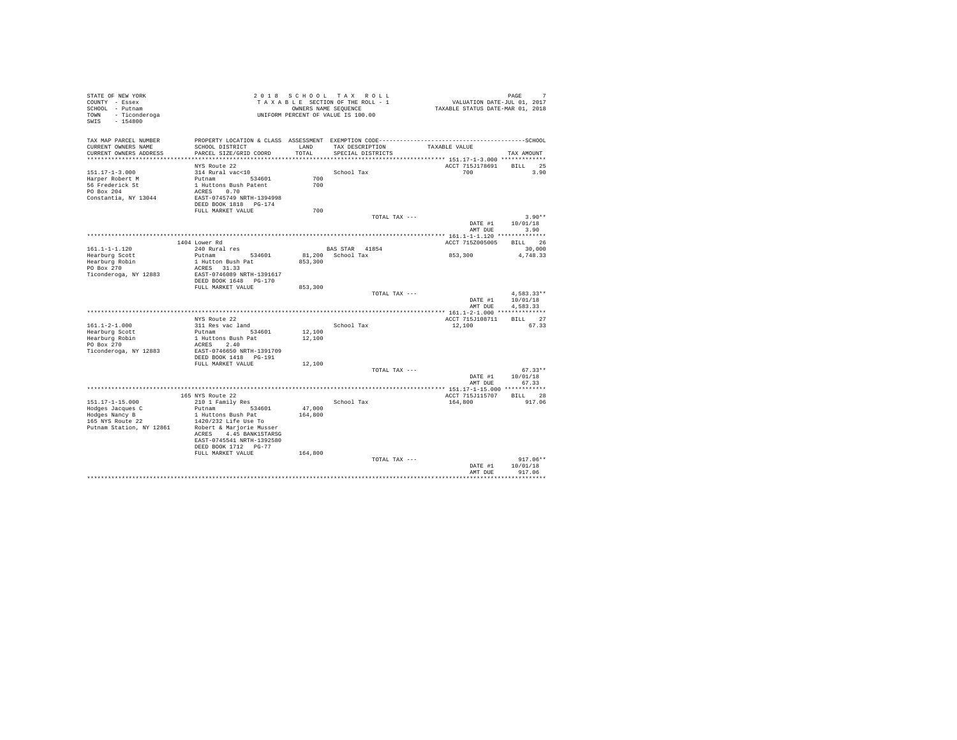| STATE OF NEW YORK                       |                                     |                   | 2018 SCHOOL TAX ROLL                |                                                       | PAGE<br>7                        |
|-----------------------------------------|-------------------------------------|-------------------|-------------------------------------|-------------------------------------------------------|----------------------------------|
| COUNTY - Essex                          |                                     |                   | TAXABLE SECTION OF THE ROLL - 1     |                                                       | VALUATION DATE-JUL 01, 2017      |
| SCHOOL - Putnam                         |                                     |                   | OWNERS NAME SEQUENCE                |                                                       | TAXABLE STATUS DATE-MAR 01, 2018 |
| TOWN - Ticonderoga<br>$-154800$<br>SWIS |                                     |                   | UNIFORM PERCENT OF VALUE IS 100.00  |                                                       |                                  |
|                                         |                                     |                   |                                     |                                                       |                                  |
|                                         |                                     |                   |                                     |                                                       |                                  |
| TAX MAP PARCEL NUMBER                   |                                     |                   |                                     |                                                       |                                  |
| CURRENT OWNERS NAME                     | SCHOOL DISTRICT                     | LAND              | TAX DESCRIPTION                     | TAXABLE VALUE                                         |                                  |
| CURRENT OWNERS ADDRESS                  | PARCEL SIZE/GRID COORD              | TOTAL             | SPECIAL DISTRICTS                   |                                                       | TAX AMOUNT                       |
| ************************                |                                     |                   |                                     | ************************ 151.17-1-3.000 ************* |                                  |
|                                         | NYS Route 22                        |                   |                                     | ACCT 715J178691                                       | BILL 25                          |
| $151.17 - 1 - 3.000$                    | 314 Rural vac<10                    |                   | School Tax                          | 700 700                                               | 3.90                             |
| Harper Robert M                         | Putnam 534601                       | 700               |                                     |                                                       |                                  |
| 56 Frederick St                         | 1 Huttons Bush Patent               | 700               |                                     |                                                       |                                  |
| PO Box 204                              | ACRES 0.70                          |                   |                                     |                                                       |                                  |
| Constantia, NY 13044                    | EAST-0745749 NRTH-1394998           |                   |                                     |                                                       |                                  |
|                                         | DEED BOOK 1818 PG-174               |                   |                                     |                                                       |                                  |
|                                         | FULL MARKET VALUE                   | 700               |                                     |                                                       |                                  |
|                                         |                                     |                   |                                     | TOTAL TAX ---                                         | $3.90**$                         |
|                                         |                                     |                   |                                     | DATE #1                                               | 10/01/18                         |
|                                         |                                     |                   |                                     | AMT DUE                                               | 3.90                             |
|                                         |                                     |                   |                                     |                                                       |                                  |
|                                         | 1404 Lower Rd                       |                   |                                     | ACCT 715Z005005                                       | BILL 26                          |
| 161.1-1-1.120                           | 240 Rural res<br>Putnam 534601      |                   | BAS STAR 41854<br>81,200 School Tax | 853,300                                               | 30,000                           |
| Hearburg Scott<br>Hearburg Robin        | 1 Hutton Bush Pat                   | 853,300           |                                     |                                                       | 4,748.33                         |
| PO Box 270                              | ACRES 31.33                         |                   |                                     |                                                       |                                  |
| Ticonderoga, NY 12883                   | EAST-0746089 NRTH-1391617           |                   |                                     |                                                       |                                  |
|                                         | DEED BOOK 1648 PG-170               |                   |                                     |                                                       |                                  |
|                                         | FULL MARKET VALUE                   | 853,300           |                                     |                                                       |                                  |
|                                         |                                     |                   |                                     | TOTAL TAX ---                                         | $4,583.33**$                     |
|                                         |                                     |                   |                                     | DATE #1                                               | 10/01/18                         |
|                                         |                                     |                   |                                     | AMT DUE                                               | 4.583.33                         |
|                                         |                                     |                   |                                     |                                                       |                                  |
|                                         | NYS Route 22                        |                   |                                     | ACCT 715J108711                                       | BILL 27                          |
| $161.1 - 2 - 1.000$                     | 311 Res vac land                    |                   | School Tax                          | 12,100                                                | 67.33                            |
| Hearburg Scott                          | Putnam 534601                       | 12,100            |                                     |                                                       |                                  |
| Hearburg Robin                          | 1 Huttons Bush Pat                  | 12,100            |                                     |                                                       |                                  |
| PO Box 270                              | ACRES 2.40                          |                   |                                     |                                                       |                                  |
| Ticonderoga, NY 12883                   | EAST-0746650 NRTH-1391709           |                   |                                     |                                                       |                                  |
|                                         | DEED BOOK 1418    PG-191            |                   |                                     |                                                       |                                  |
|                                         | FULL MARKET VALUE                   | 12,100            |                                     |                                                       |                                  |
|                                         |                                     |                   |                                     | TOTAL TAX ---                                         | $67.33**$                        |
|                                         |                                     |                   |                                     | DATE #1                                               | 10/01/18                         |
|                                         |                                     |                   |                                     | AMT DUE                                               | 67.33                            |
|                                         |                                     |                   |                                     |                                                       |                                  |
|                                         | 165 NYS Route 22                    |                   |                                     | ACCT 715J115707                                       | BILL 28                          |
| 151.17-1-15.000                         | 210 1 Family Res                    |                   | School Tax                          | 164,800                                               | 917.06                           |
| Hodges Jacques C<br>Hodges Nancy B      | Putnam 534601<br>1 Huttons Bush Pat | 47,000<br>164,800 |                                     |                                                       |                                  |
| 165 NYS Route 22                        | 1420/232 Life Use To                |                   |                                     |                                                       |                                  |
| Putnam Station, NY 12861                | Robert & Marjorie Musser            |                   |                                     |                                                       |                                  |
|                                         | ACRES 4.45 BANK1STARSG              |                   |                                     |                                                       |                                  |
|                                         | EAST-0745541 NRTH-1392580           |                   |                                     |                                                       |                                  |
|                                         | DEED BOOK 1712 PG-77                |                   |                                     |                                                       |                                  |
|                                         | FULL MARKET VALUE                   | 164,800           |                                     |                                                       |                                  |
|                                         |                                     |                   |                                     | TOTAL TAX ---                                         | $917.06**$                       |
|                                         |                                     |                   |                                     | DATE #1                                               | 10/01/18                         |
|                                         |                                     |                   |                                     | AMT DUE                                               | 917.06                           |
|                                         |                                     |                   |                                     |                                                       |                                  |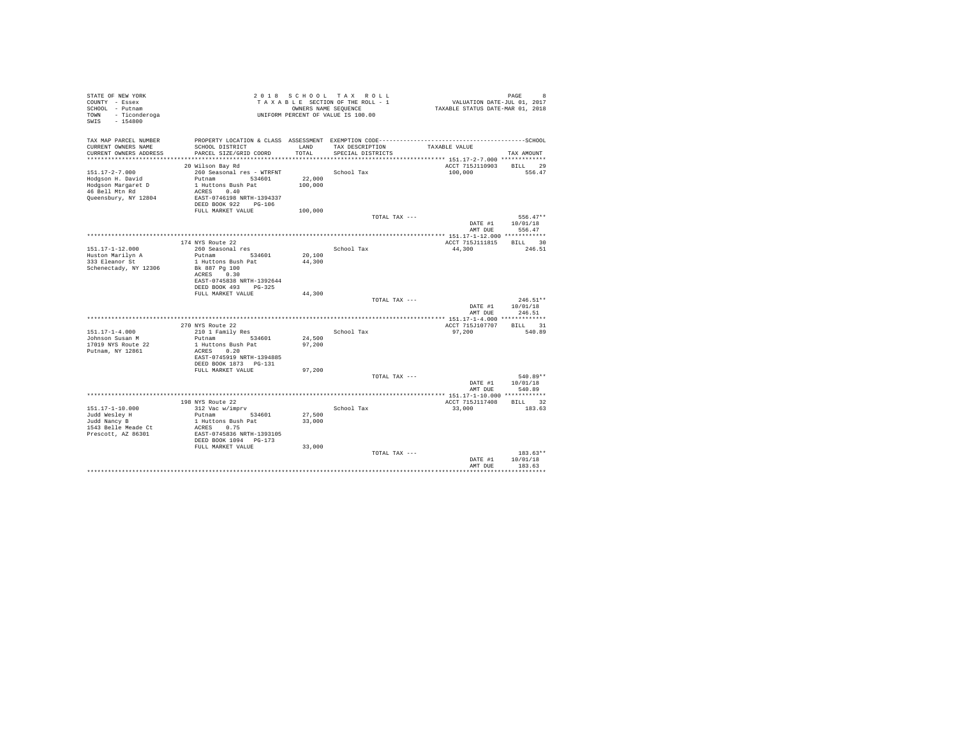| STATE OF NEW YORK<br>COUNTY - Essex<br>SCHOOL - Putnam<br>TOWN - Ticonderoga<br>SWIS - 154800 |                                           |               | 2018 SCHOOL TAX ROLL<br>TAXABLE SECTION OF THE ROLL - 1<br>OWNERS NAME SEQUENCE<br>UNIFORM PERCENT OF VALUE IS 100.00 | VALUATION DATE-JUL 01, 2017<br>TAXABLE STATUS DATE-MAR 01, 2018 | PAGE<br>8                  |
|-----------------------------------------------------------------------------------------------|-------------------------------------------|---------------|-----------------------------------------------------------------------------------------------------------------------|-----------------------------------------------------------------|----------------------------|
|                                                                                               |                                           |               |                                                                                                                       |                                                                 |                            |
| TAX MAP PARCEL NUMBER                                                                         |                                           |               |                                                                                                                       |                                                                 |                            |
| CURRENT OWNERS NAME<br>CURRENT OWNERS ADDRESS                                                 | SCHOOL DISTRICT<br>PARCEL SIZE/GRID COORD | LAND<br>TOTAL | TAX DESCRIPTION<br>SPECIAL DISTRICTS                                                                                  | TAXABLE VALUE                                                   | TAX AMOUNT                 |
|                                                                                               |                                           |               |                                                                                                                       |                                                                 |                            |
| 20 Wilson Bay Rd                                                                              |                                           |               |                                                                                                                       | ACCT 715J110903 BILL 29                                         |                            |
| 151.17-2-7.000                                                                                | 260 Seasonal res - WTRFNT                 |               | School Tax                                                                                                            | 100,000                                                         | 556.47                     |
| Hodgson H. David                                                                              | Putnam 534601                             | 22,000        |                                                                                                                       |                                                                 |                            |
| Hodgson Margaret D<br>46 Bell Mtn Rd                                                          | 1 Huttons Bush Pat<br>ACRES 0.40          | 100,000       |                                                                                                                       |                                                                 |                            |
| Queensbury, NY 12804                                                                          | EAST-0746198 NRTH-1394337                 |               |                                                                                                                       |                                                                 |                            |
|                                                                                               | DEED BOOK 922 PG-106                      |               |                                                                                                                       |                                                                 |                            |
|                                                                                               | FULL MARKET VALUE                         | 100,000       |                                                                                                                       |                                                                 |                            |
|                                                                                               |                                           |               | TOTAL TAX ---                                                                                                         |                                                                 | 556.47**                   |
|                                                                                               |                                           |               |                                                                                                                       | DATE #1                                                         | 10/01/18<br>556.47         |
|                                                                                               |                                           |               |                                                                                                                       | AMT DUE                                                         |                            |
| 174 NYS Route 22                                                                              |                                           |               |                                                                                                                       | ACCT 715J111815                                                 | BILL 30                    |
| 151.17-1-12.000                                                                               | 260 Seasonal res                          |               | School Tax                                                                                                            | 44,300                                                          | 246.51                     |
| Huston Marilyn A                                                                              | Putnam 534601                             | 20,100        |                                                                                                                       |                                                                 |                            |
| 333 Eleanor St                                                                                | 1 Huttons Bush Pat                        | 44,300        |                                                                                                                       |                                                                 |                            |
| Schenectady, NY 12306                                                                         | Bk 887 Pg 100<br>ACRES 0.30               |               |                                                                                                                       |                                                                 |                            |
|                                                                                               | EAST-0745838 NRTH-1392644                 |               |                                                                                                                       |                                                                 |                            |
|                                                                                               | DEED BOOK 493 PG-325                      |               |                                                                                                                       |                                                                 |                            |
|                                                                                               | FULL MARKET VALUE                         | 44,300        |                                                                                                                       |                                                                 |                            |
|                                                                                               |                                           |               | TOTAL TAX ---                                                                                                         |                                                                 | $246.51**$                 |
|                                                                                               |                                           |               |                                                                                                                       | AMT DUE                                                         | DATE #1 10/01/18<br>246.51 |
|                                                                                               |                                           |               |                                                                                                                       |                                                                 |                            |
| 270 NYS Route 22                                                                              |                                           |               |                                                                                                                       | ACCT 715J107707                                                 | BILL 31                    |
| $151.17 - 1 - 4.000$                                                                          | 210 1 Family Res                          |               | School Tax                                                                                                            | 97,200                                                          | 540.89                     |
| Johnson Susan M                                                                               | Putnam 534601                             | 24,500        |                                                                                                                       |                                                                 |                            |
| 17019 NYS Route 22<br>Putnam, NY 12861                                                        | 1 Huttons Bush Pat<br>ACRES 0.20          | 97,200        |                                                                                                                       |                                                                 |                            |
|                                                                                               | EAST-0745919 NRTH-1394885                 |               |                                                                                                                       |                                                                 |                            |
|                                                                                               | DEED BOOK 1873 PG-131                     |               |                                                                                                                       |                                                                 |                            |
|                                                                                               | FULL MARKET VALUE                         | 97,200        |                                                                                                                       |                                                                 |                            |
|                                                                                               |                                           |               | TOTAL TAX ---                                                                                                         |                                                                 | 540.89**                   |
|                                                                                               |                                           |               |                                                                                                                       | DATE #1<br>AMT DUE                                              | 10/01/18<br>540.89         |
|                                                                                               |                                           |               |                                                                                                                       |                                                                 |                            |
| 198 NYS Route 22                                                                              |                                           |               |                                                                                                                       | ACCT 715J117408                                                 | BILL 32                    |
| 151.17-1-10.000                                                                               | 312 Vac w/imprv                           |               | School Tax                                                                                                            | 33,000                                                          | 183.63                     |
| Judd Wesley H                                                                                 | Putnam 534601                             | 27,500        |                                                                                                                       |                                                                 |                            |
| Judd Nancy B<br>1543 Belle Meade Ct<br>ACRES 0.75                                             | 1 Huttons Bush Pat                        | 33,000        |                                                                                                                       |                                                                 |                            |
| Prescott, AZ 86301                                                                            | EAST-0745836 NRTH-1393105                 |               |                                                                                                                       |                                                                 |                            |
|                                                                                               | DEED BOOK 1094 PG-173                     |               |                                                                                                                       |                                                                 |                            |
|                                                                                               | FULL MARKET VALUE                         | 33,000        |                                                                                                                       |                                                                 |                            |
|                                                                                               |                                           |               | TOTAL TAX ---                                                                                                         |                                                                 | $183.63**$                 |
|                                                                                               |                                           |               |                                                                                                                       | DATE #1<br>AMT DUE                                              | 10/01/18<br>183.63         |
|                                                                                               |                                           |               |                                                                                                                       |                                                                 |                            |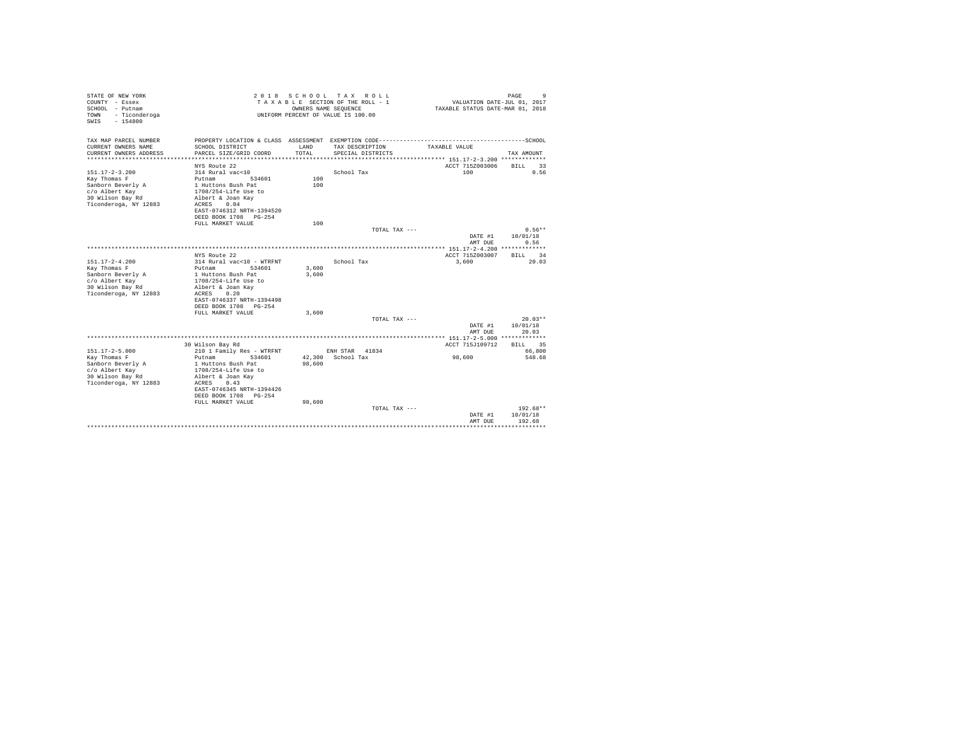| STATE OF NEW YORK<br>COUNTY - Essex<br>SCHOOL - Putnam<br>- Ticonderoga<br>TOWN<br>$-154800$<br>SWTS | 2 0 1 8                                                          | OWNERS NAME SEQUENCE | SCHOOL TAX ROLL<br>TAXABLE SECTION OF THE ROLL - 1<br>UNIFORM PERCENT OF VALUE IS 100.00 | VALUATION DATE-JUL 01, 2017<br>TAXABLE STATUS DATE-MAR 01, 2018 | 9<br>PAGE                |
|------------------------------------------------------------------------------------------------------|------------------------------------------------------------------|----------------------|------------------------------------------------------------------------------------------|-----------------------------------------------------------------|--------------------------|
| TAX MAP PARCEL NUMBER                                                                                | PROPERTY LOCATION & CLASS ASSESSMENT EXEMPTION CODE------------- |                      |                                                                                          |                                                                 | ------------------SCHOOL |
| CURRENT OWNERS NAME<br>CURRENT OWNERS ADDRESS                                                        | SCHOOL DISTRICT<br>PARCEL SIZE/GRID COORD                        | LAND<br>TOTAL        | TAX DESCRIPTION<br>SPECIAL DISTRICTS                                                     | TAXABLE VALUE                                                   | TAX AMOUNT               |
|                                                                                                      |                                                                  |                      |                                                                                          |                                                                 |                          |
|                                                                                                      | NYS Route 22                                                     |                      |                                                                                          | ACCT 715Z003006                                                 | <b>BILL</b><br>33        |
| $151.17 - 2 - 3.200$                                                                                 | 314 Rural vac<10                                                 |                      | School Tax                                                                               | 100                                                             | 0.56                     |
| Kay Thomas F                                                                                         | Putnam<br>534601                                                 | 100                  |                                                                                          |                                                                 |                          |
| Sanborn Beverly A                                                                                    | 1 Huttons Bush Pat                                               | 100                  |                                                                                          |                                                                 |                          |
| c/o Albert Kay                                                                                       | 1708/254-Life Use to                                             |                      |                                                                                          |                                                                 |                          |
| 30 Wilson Bay Rd                                                                                     | Albert & Joan Kav<br>0.04                                        |                      |                                                                                          |                                                                 |                          |
| Ticonderoga, NY 12883                                                                                | ACRES<br>EAST-0746312 NRTH-1394520                               |                      |                                                                                          |                                                                 |                          |
|                                                                                                      | DEED BOOK 1708 PG-254                                            |                      |                                                                                          |                                                                 |                          |
|                                                                                                      | FULL MARKET VALUE                                                | 100                  |                                                                                          |                                                                 |                          |
|                                                                                                      |                                                                  |                      | TOTAL TAX ---                                                                            |                                                                 | $0.56**$                 |
|                                                                                                      |                                                                  |                      |                                                                                          | DATE #1                                                         | 10/01/18                 |
|                                                                                                      |                                                                  |                      |                                                                                          | AMT DUE                                                         | 0.56                     |
|                                                                                                      |                                                                  |                      |                                                                                          | *************** 151.17-2-4.200 *************                    |                          |
|                                                                                                      | NYS Route 22                                                     |                      |                                                                                          | ACCT 715Z003007                                                 | 34<br>RTLL.              |
| $151.17 - 2 - 4.200$                                                                                 | 314 Rural vac<10 - WTRFNT                                        |                      | School Tax                                                                               | 3,600                                                           | 20.03                    |
| Kay Thomas F                                                                                         | Putnam<br>534601                                                 | 3,600                |                                                                                          |                                                                 |                          |
| Sanborn Beverly A                                                                                    | 1 Huttons Bush Pat                                               | 3,600                |                                                                                          |                                                                 |                          |
| c/o Albert Kay                                                                                       | 1708/254-Life Use to                                             |                      |                                                                                          |                                                                 |                          |
| 30 Wilson Bay Rd                                                                                     | Albert & Joan Kav                                                |                      |                                                                                          |                                                                 |                          |
| Ticonderoga, NY 12883                                                                                | 0.20<br>ACRES                                                    |                      |                                                                                          |                                                                 |                          |
|                                                                                                      | EAST-0746337 NRTH-1394498                                        |                      |                                                                                          |                                                                 |                          |
|                                                                                                      | DEED BOOK 1708 PG-254                                            |                      |                                                                                          |                                                                 |                          |
|                                                                                                      | FULL MARKET VALUE                                                | 3,600                |                                                                                          |                                                                 |                          |
|                                                                                                      |                                                                  |                      | TOTAL TAX ---                                                                            |                                                                 | $20.03**$                |
|                                                                                                      |                                                                  |                      |                                                                                          | DATE #1                                                         | 10/01/18                 |
|                                                                                                      |                                                                  |                      |                                                                                          | AMT DUE                                                         | 20.03                    |
|                                                                                                      |                                                                  |                      |                                                                                          |                                                                 |                          |
|                                                                                                      | 30 Wilson Bay Rd                                                 |                      |                                                                                          | ACCT 715J109712                                                 | <b>BILL</b><br>35        |
| $151.17 - 2 - 5.000$                                                                                 | 210 1 Family Res - WTRFNT                                        |                      | ENH STAR<br>41834                                                                        |                                                                 | 66,800                   |
| Kay Thomas F                                                                                         | Putnam<br>534601                                                 |                      | 42.300 School Tax                                                                        | 98,600                                                          | 548.68                   |
| Sanborn Beverly A                                                                                    | 1 Huttons Bush Pat                                               | 98,600               |                                                                                          |                                                                 |                          |
| c/o Albert Kay                                                                                       | 1708/254-Life Use to<br>Albert & Joan Kav                        |                      |                                                                                          |                                                                 |                          |
| 30 Wilson Bay Rd<br>Ticonderoga, NY 12883                                                            | 0.43<br>ACRES                                                    |                      |                                                                                          |                                                                 |                          |
|                                                                                                      | EAST-0746345 NRTH-1394426                                        |                      |                                                                                          |                                                                 |                          |
|                                                                                                      | DEED BOOK 1708<br>$PG-254$                                       |                      |                                                                                          |                                                                 |                          |
|                                                                                                      | FULL MARKET VALUE                                                | 98,600               |                                                                                          |                                                                 |                          |
|                                                                                                      |                                                                  |                      | TOTAL TAX ---                                                                            |                                                                 | 192.68**                 |
|                                                                                                      |                                                                  |                      |                                                                                          | DATE #1                                                         | 10/01/18                 |
|                                                                                                      |                                                                  |                      |                                                                                          | AMT DUE                                                         | 192.68                   |
|                                                                                                      |                                                                  |                      |                                                                                          |                                                                 |                          |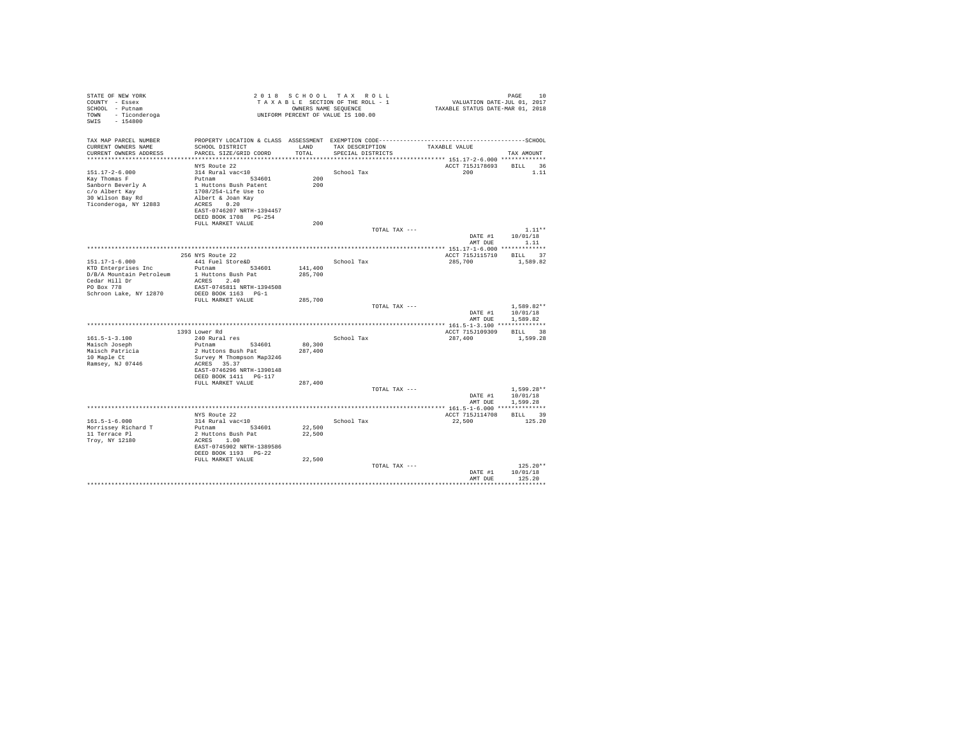| STATE OF NEW YORK<br>COUNTY - Essex                           |                                                   |               | 2018 SCHOOL TAX ROLL<br>TAXABLE SECTION OF THE ROLL - 1    | VALUATION DATE-JUL 01, 2017      | PAGE<br>10           |
|---------------------------------------------------------------|---------------------------------------------------|---------------|------------------------------------------------------------|----------------------------------|----------------------|
| SCHOOL - Putnam<br>TOWN<br>- Ticonderoga<br>$-154800$<br>SWIS |                                                   |               | OWNERS NAME SEQUENCE<br>UNIFORM PERCENT OF VALUE IS 100.00 | TAXABLE STATUS DATE-MAR 01, 2018 |                      |
| TAX MAP PARCEL NUMBER                                         |                                                   |               |                                                            |                                  |                      |
| CURRENT OWNERS NAME<br>CURRENT OWNERS ADDRESS                 | SCHOOL DISTRICT<br>PARCEL SIZE/GRID COORD         | LAND<br>TOTAL | TAX DESCRIPTION<br>SPECIAL DISTRICTS                       | TAXABLE VALUE                    | TAX AMOUNT           |
| ************************                                      |                                                   |               |                                                            |                                  |                      |
|                                                               | NYS Route 22                                      |               |                                                            | ACCT 715J178693                  | BILL 36              |
| $151.17 - 2 - 6.000$                                          | 314 Rural vac<10                                  |               | School Tax                                                 | 200                              | 1.11                 |
| Kay Thomas F                                                  | Putnam 534601                                     | 200           |                                                            |                                  |                      |
| Sanborn Beverly A                                             | 1 Huttons Bush Patent                             | 200           |                                                            |                                  |                      |
| c/o Albert Kay                                                | 1708/254-Life Use to                              |               |                                                            |                                  |                      |
| 30 Wilson Bay Rd<br>Ticonderoga, NY 12883                     | Albert & Joan Kay<br>ACRES 0.20                   |               |                                                            |                                  |                      |
|                                                               | EAST-0746207 NRTH-1394457                         |               |                                                            |                                  |                      |
|                                                               | DEED BOOK 1708 PG-254                             |               |                                                            |                                  |                      |
|                                                               | FULL MARKET VALUE                                 | 200           |                                                            |                                  |                      |
|                                                               |                                                   |               | TOTAL TAX ---                                              |                                  | $1.11**$             |
|                                                               |                                                   |               |                                                            | DATE #1                          | 10/01/18             |
|                                                               |                                                   |               |                                                            | AMT DUE                          | 1.11                 |
|                                                               |                                                   |               |                                                            |                                  |                      |
| $151.17 - 1 - 6.000$                                          | 256 NYS Route 22<br>441 Fuel Store&D              |               | School Tax                                                 | ACCT 715J115710<br>285,700       | BILL 37<br>1,589.82  |
| KTD Enterprises Inc                                           | Putnam 534601                                     | 141,400       |                                                            |                                  |                      |
| D/B/A Mountain Petroleum                                      | 1 Huttons Bush Pat                                | 285,700       |                                                            |                                  |                      |
| Cedar Hill Dr                                                 | ACRES 2.40                                        |               |                                                            |                                  |                      |
| PO Box 778                                                    | EAST-0745811 NRTH-1394508                         |               |                                                            |                                  |                      |
| Schroon Lake, NY 12870                                        | DEED BOOK 1163 PG-1                               |               |                                                            |                                  |                      |
|                                                               | FULL MARKET VALUE                                 | 285,700       |                                                            |                                  |                      |
|                                                               |                                                   |               | TOTAL TAX ---                                              |                                  | $1.589.82**$         |
|                                                               |                                                   |               |                                                            | DATE #1                          | 10/01/18<br>1,589.82 |
|                                                               |                                                   |               |                                                            | AMT DUE                          |                      |
|                                                               | 1393 Lower Rd                                     |               |                                                            | ACCT 715J109309                  | BILL 38              |
| $161.5 - 1 - 3.100$                                           | 240 Rural res                                     |               | School Tax                                                 | 287,400                          | 1,599.28             |
| Maisch Joseph                                                 | Putnam<br>534601                                  | 80,300        |                                                            |                                  |                      |
| Maisch Patricia                                               | 2 Huttons Bush Pat                                | 287,400       |                                                            |                                  |                      |
| 10 Maple Ct                                                   | Survey M Thompson Map3246                         |               |                                                            |                                  |                      |
| Ramsey, NJ 07446                                              | ACRES 35.37                                       |               |                                                            |                                  |                      |
|                                                               | EAST-0746296 NRTH-1390148                         |               |                                                            |                                  |                      |
|                                                               | DEED BOOK 1411 PG-117                             | 287,400       |                                                            |                                  |                      |
|                                                               | FULL MARKET VALUE                                 |               | TOTAL TAX ---                                              |                                  | $1.599.28**$         |
|                                                               |                                                   |               |                                                            | DATE #1                          | 10/01/18             |
|                                                               |                                                   |               |                                                            | AMT DUE                          | 1,599.28             |
|                                                               |                                                   |               |                                                            |                                  |                      |
|                                                               | NYS Route 22                                      |               |                                                            | ACCT 715J114708                  | BILL 39              |
| $161.5 - 1 - 6.000$                                           | 314 Rural vac<10                                  |               | School Tax                                                 | 22,500                           | 125.20               |
| Morrissey Richard T                                           | Putnam<br>534601                                  | 22,500        |                                                            |                                  |                      |
| 11 Terrace Pl                                                 | 2 Huttons Bush Pat                                | 22,500        |                                                            |                                  |                      |
| Trov, NY 12180                                                | ACRES 1.00                                        |               |                                                            |                                  |                      |
|                                                               | EAST-0745902 NRTH-1389586<br>DEED BOOK 1193 PG-22 |               |                                                            |                                  |                      |
|                                                               | FULL MARKET VALUE                                 | 22,500        |                                                            |                                  |                      |
|                                                               |                                                   |               | TOTAL TAX ---                                              |                                  | $125.20**$           |
|                                                               |                                                   |               |                                                            | DATE #1                          | 10/01/18             |
|                                                               |                                                   |               |                                                            | AMT DUE                          | 125.20               |
|                                                               |                                                   |               |                                                            |                                  | .                    |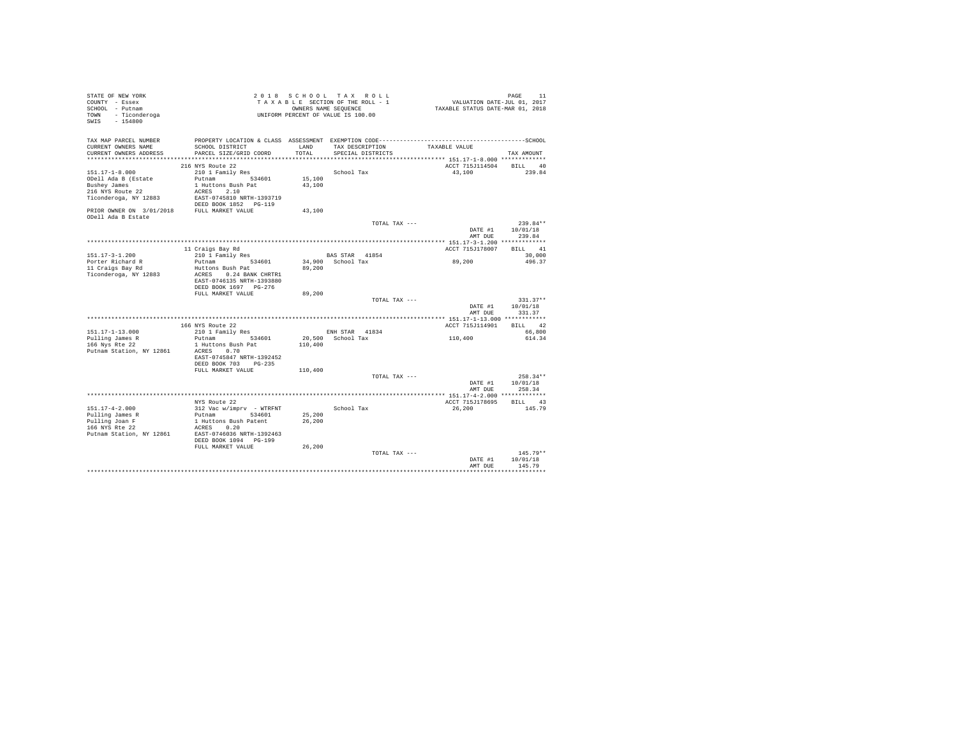| STATE OF NEW YORK<br>COUNTY - Essex                              |                                            |         | 2018 SCHOOL TAX ROLL<br>TAXABLE SECTION OF THE ROLL - 1 | PAGE 11<br>VALUATION DATE-JUL 01, 2017<br>TAXABLE STATUS DATE-MAR 01, 2018 |                                |
|------------------------------------------------------------------|--------------------------------------------|---------|---------------------------------------------------------|----------------------------------------------------------------------------|--------------------------------|
| SCHOOL - Putnam                                                  |                                            |         | OWNERS NAME SEQUENCE                                    |                                                                            |                                |
| TOWN - Ticonderoga<br>SWIS - 154800                              |                                            |         | UNIFORM PERCENT OF VALUE IS 100.00                      |                                                                            |                                |
| TAX MAP PARCEL NUMBER                                            |                                            |         |                                                         |                                                                            |                                |
| CURRENT OWNERS NAME                                              | SCHOOL DISTRICT                            | LAND    | TAX DESCRIPTION                                         | TAXABLE VALUE                                                              |                                |
| CURRENT OWNERS ADDRESS                                           | PARCEL SIZE/GRID COORD                     | TOTAL   | SPECIAL DISTRICTS                                       |                                                                            | TAX AMOUNT                     |
|                                                                  | 216 NYS Route 22                           |         |                                                         | ACCT 715J114504 BILL 40                                                    |                                |
| $151.17 - 1 - 8.000$                                             | 210 1 Family Res                           |         | School Tax                                              | 43,100                                                                     | 239.84                         |
| ODell Ada B (Estate                                              | Putnam 534601                              | 15,100  |                                                         |                                                                            |                                |
| Bushey James                                                     | 1 Huttons Bush Pat                         | 43,100  |                                                         |                                                                            |                                |
| 216 NYS Route 22                                                 | ACRES 2.10                                 |         |                                                         |                                                                            |                                |
| Ticonderoga, NY 12883                                            | EAST-0745810 NRTH-1393719                  |         |                                                         |                                                                            |                                |
|                                                                  | DEED BOOK 1852 PG-119                      |         |                                                         |                                                                            |                                |
| PRIOR OWNER ON 3/01/2018 FULL MARKET VALUE<br>ODell Ada B Estate |                                            | 43,100  |                                                         |                                                                            |                                |
|                                                                  |                                            |         | TOTAL TAX ---                                           |                                                                            | $239.84**$                     |
|                                                                  |                                            |         |                                                         | DATE #1<br>AMT DUE                                                         | 10/01/18<br>239.84             |
|                                                                  |                                            |         |                                                         |                                                                            |                                |
|                                                                  | 11 Craigs Bay Rd                           |         |                                                         | ACCT 715J178007                                                            | BILL 41                        |
| 151.17-3-1.200<br>Porter Richard R                               | 210 1 Family Res<br>Putnam 534601          |         | BAS STAR 41854<br>34,900 School Tax                     | 89,200                                                                     | 30,000<br>496.37               |
| 11 Craigs Bay Rd                                                 | Huttons Bush Pat                           | 89,200  |                                                         |                                                                            |                                |
| Ticonderoga, NY 12883                                            | ACRES 0.24 BANK CHRTR1                     |         |                                                         |                                                                            |                                |
|                                                                  | EAST-0746135 NRTH-1393880                  |         |                                                         |                                                                            |                                |
|                                                                  | DEED BOOK 1697 PG-276                      |         |                                                         |                                                                            |                                |
|                                                                  | FULL MARKET VALUE                          | 89,200  |                                                         |                                                                            |                                |
|                                                                  |                                            |         | TOTAL TAX ---                                           |                                                                            | $331.37**$<br>DATE #1 10/01/18 |
|                                                                  |                                            |         |                                                         | AMT DUE                                                                    | 331.37                         |
|                                                                  |                                            |         |                                                         |                                                                            |                                |
|                                                                  | 166 NYS Route 22                           |         |                                                         | ACCT 715J114901                                                            | BILL 42                        |
| 151.17-1-13.000                                                  | $210$ 1 Family Res                         |         | ENH STAR 41834                                          |                                                                            | 66,800                         |
| Pulling James R                                                  | Putnam 534601                              |         | 20,500 School Tax                                       | 110,400                                                                    | 614.34                         |
| 166 Nys Rte 22<br>Putnam Station, NY 12861                       | 1 Huttons Bush Pat<br>ACRES 0.70           | 110,400 |                                                         |                                                                            |                                |
|                                                                  | EAST-0745847 NRTH-1392452                  |         |                                                         |                                                                            |                                |
|                                                                  | DEED BOOK 703 PG-235                       |         |                                                         |                                                                            |                                |
|                                                                  | FULL MARKET VALUE                          | 110,400 |                                                         |                                                                            |                                |
|                                                                  |                                            |         | TOTAL TAX ---                                           |                                                                            | $258.34**$                     |
|                                                                  |                                            |         |                                                         | DATE #1                                                                    | 10/01/18                       |
|                                                                  |                                            |         |                                                         | AMT DUE                                                                    | 258.34                         |
|                                                                  | NYS Route 22                               |         |                                                         | ACCT 715J178695                                                            | BILL 43                        |
| 151.17-4-2.000                                                   | 312 Vac w/imprv - WTRFNT                   |         | School Tax                                              | 26,200                                                                     | 145.79                         |
|                                                                  | Putnam 534601                              | 25,200  |                                                         |                                                                            |                                |
| Pulling James R<br>Pulling Joan F<br>166 NYS Rte 22              | 1 Huttons Bush Patent                      | 26,200  |                                                         |                                                                            |                                |
|                                                                  | ACRES 0.20                                 |         |                                                         |                                                                            |                                |
| Putnam Station, NY 12861                                         | EAST-0746036 NRTH-1392463                  |         |                                                         |                                                                            |                                |
|                                                                  | DEED BOOK 1094 PG-199<br>FULL MARKET VALUE | 26,200  |                                                         |                                                                            |                                |
|                                                                  |                                            |         | TOTAL TAX ---                                           |                                                                            | $145.79**$                     |
|                                                                  |                                            |         |                                                         | DATE #1                                                                    | 10/01/18                       |
|                                                                  |                                            |         |                                                         | AMT DUE                                                                    | 145.79                         |
|                                                                  |                                            |         |                                                         |                                                                            |                                |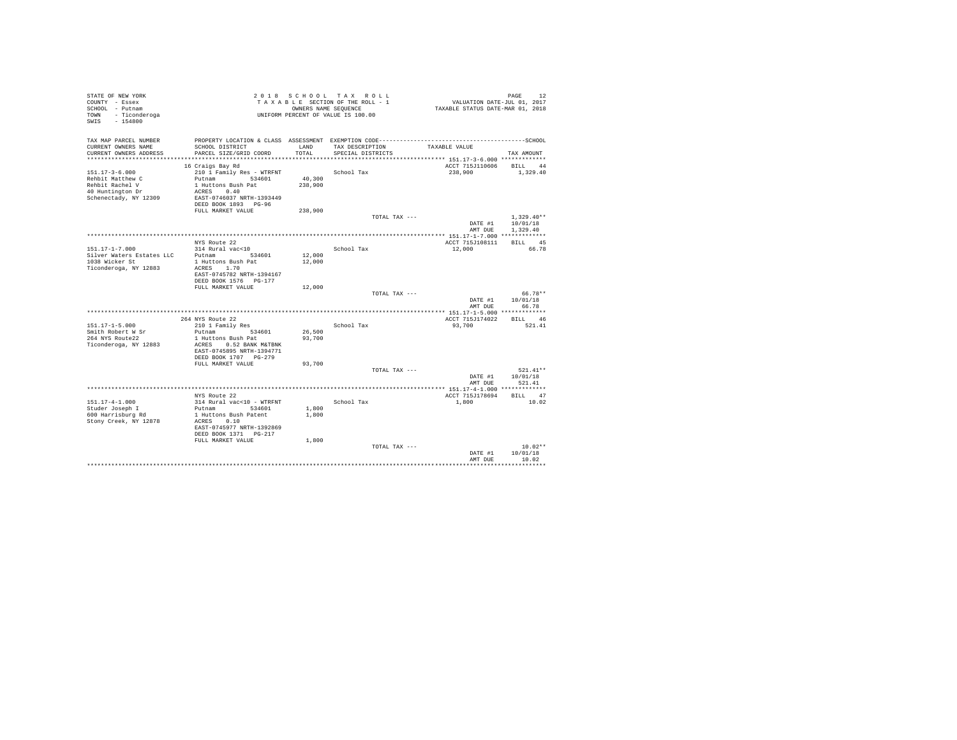| STATE OF NEW YORK<br>COUNTY - Essex<br>SCHOOL - Putnam<br>- Ticonderoga<br>TOWN<br>$-154800$<br>SWIS |                                                    |         | 2018 SCHOOL TAX ROLL<br>TAXABLE SECTION OF THE ROLL - 1<br>OWNERS NAME SEQUENCE<br>UNIFORM PERCENT OF VALUE IS 100.00 | VALUATION DATE-JUL 01, 2017<br>TAXABLE STATUS DATE-MAR 01, 2018 | PAGE<br>12               |
|------------------------------------------------------------------------------------------------------|----------------------------------------------------|---------|-----------------------------------------------------------------------------------------------------------------------|-----------------------------------------------------------------|--------------------------|
|                                                                                                      |                                                    |         |                                                                                                                       |                                                                 |                          |
| TAX MAP PARCEL NUMBER                                                                                |                                                    |         |                                                                                                                       |                                                                 |                          |
| CURRENT OWNERS NAME                                                                                  | SCHOOL DISTRICT                                    | LAND    | TAX DESCRIPTION                                                                                                       | TAXABLE VALUE                                                   |                          |
| CURRENT OWNERS ADDRESS                                                                               | PARCEL SIZE/GRID COORD                             | TOTAL   | SPECIAL DISTRICTS                                                                                                     |                                                                 | TAX AMOUNT               |
|                                                                                                      |                                                    |         |                                                                                                                       | ACCT 715J110606                                                 | <b>BILL</b>              |
| $151.17 - 3 - 6.000$                                                                                 | 16 Craigs Bay Rd<br>210 1 Family Res - WTRFNT      |         | School Tax                                                                                                            | 238,900                                                         | 44<br>1,329.40           |
| Rehbit Matthew C                                                                                     | Putnam 534601                                      | 40,300  |                                                                                                                       |                                                                 |                          |
| Rehbit Rachel V                                                                                      | 1 Huttons Bush Pat                                 | 238,900 |                                                                                                                       |                                                                 |                          |
| 40 Huntington Dr                                                                                     | ACRES 0.40                                         |         |                                                                                                                       |                                                                 |                          |
| Schenectady, NY 12309                                                                                | EAST-0746037 NRTH-1393449                          |         |                                                                                                                       |                                                                 |                          |
|                                                                                                      | DEED BOOK 1893 PG-96                               |         |                                                                                                                       |                                                                 |                          |
|                                                                                                      | FULL MARKET VALUE                                  | 238,900 |                                                                                                                       |                                                                 |                          |
|                                                                                                      |                                                    |         | TOTAL TAX ---                                                                                                         | DATE #1                                                         | $1.329.40**$<br>10/01/18 |
|                                                                                                      |                                                    |         |                                                                                                                       | AMT DUE                                                         | 1,329.40                 |
|                                                                                                      |                                                    |         |                                                                                                                       |                                                                 |                          |
|                                                                                                      | NYS Route 22                                       |         |                                                                                                                       | ACCT 715J108111                                                 | BILL 45                  |
| $151.17 - 1 - 7.000$                                                                                 | 314 Rural vac<10                                   |         | School Tax                                                                                                            | 12,000                                                          | 66.78                    |
| Silver Waters Estates LLC                                                                            | Putnam<br>534601                                   | 12,000  |                                                                                                                       |                                                                 |                          |
| 1038 Wicker St                                                                                       | 1 Huttons Bush Pat                                 | 12,000  |                                                                                                                       |                                                                 |                          |
| Ticonderoga, NY 12883                                                                                | ACRES 1.70                                         |         |                                                                                                                       |                                                                 |                          |
|                                                                                                      | EAST-0745782 NRTH-1394167<br>DEED BOOK 1576 PG-177 |         |                                                                                                                       |                                                                 |                          |
|                                                                                                      | FULL MARKET VALUE                                  | 12,000  |                                                                                                                       |                                                                 |                          |
|                                                                                                      |                                                    |         | TOTAL TAX ---                                                                                                         |                                                                 | 66.78**                  |
|                                                                                                      |                                                    |         |                                                                                                                       | DATE #1                                                         | 10/01/18                 |
|                                                                                                      |                                                    |         |                                                                                                                       | AMT DUE                                                         | 66.78                    |
|                                                                                                      |                                                    |         |                                                                                                                       |                                                                 |                          |
|                                                                                                      | 264 NYS Route 22                                   |         |                                                                                                                       | ACCT 715J174022                                                 | BILL 46                  |
| $151.17 - 1 - 5.000$<br>Smith Robert W Sr                                                            | 210 1 Family Res<br>Putnam<br>534601               | 26,500  | School Tax                                                                                                            | 93,700                                                          | 521.41                   |
| 264 NYS Route22                                                                                      | 1 Huttons Bush Pat                                 | 93,700  |                                                                                                                       |                                                                 |                          |
| Ticonderoga, NY 12883                                                                                | ACRES 0.52 BANK M&TBNK                             |         |                                                                                                                       |                                                                 |                          |
|                                                                                                      | EAST-0745895 NRTH-1394771                          |         |                                                                                                                       |                                                                 |                          |
|                                                                                                      | DEED BOOK 1707 PG-279                              |         |                                                                                                                       |                                                                 |                          |
|                                                                                                      | FULL MARKET VALUE                                  | 93,700  |                                                                                                                       |                                                                 |                          |
|                                                                                                      |                                                    |         | TOTAL TAX ---                                                                                                         |                                                                 | $521.41**$               |
|                                                                                                      |                                                    |         |                                                                                                                       | DATE #1<br>AMT DUE                                              | 10/01/18<br>521.41       |
|                                                                                                      |                                                    |         |                                                                                                                       |                                                                 |                          |
|                                                                                                      | NYS Route 22                                       |         |                                                                                                                       | ACCT 715J178694                                                 | BILL 47                  |
| $151.17 - 4 - 1.000$                                                                                 | 314 Rural vac<10 - WTRFNT                          |         | School Tax                                                                                                            | 1,800                                                           | 10.02                    |
| Studer Joseph I                                                                                      | Putnam 534601                                      | 1,800   |                                                                                                                       |                                                                 |                          |
| 600 Harrisburg Rd                                                                                    | 1 Huttons Bush Patent                              | 1,800   |                                                                                                                       |                                                                 |                          |
| Stony Creek, NY 12878                                                                                | ACRES 0.10                                         |         |                                                                                                                       |                                                                 |                          |
|                                                                                                      | EAST-0745977 NRTH-1392869<br>DEED BOOK 1371 PG-217 |         |                                                                                                                       |                                                                 |                          |
|                                                                                                      | FULL MARKET VALUE                                  | 1,800   |                                                                                                                       |                                                                 |                          |
|                                                                                                      |                                                    |         | TOTAL TAX ---                                                                                                         |                                                                 | $10.02**$                |
|                                                                                                      |                                                    |         |                                                                                                                       | DATE #1                                                         | 10/01/18                 |
|                                                                                                      |                                                    |         |                                                                                                                       | AMT DUE                                                         | 10.02                    |
|                                                                                                      |                                                    |         |                                                                                                                       |                                                                 |                          |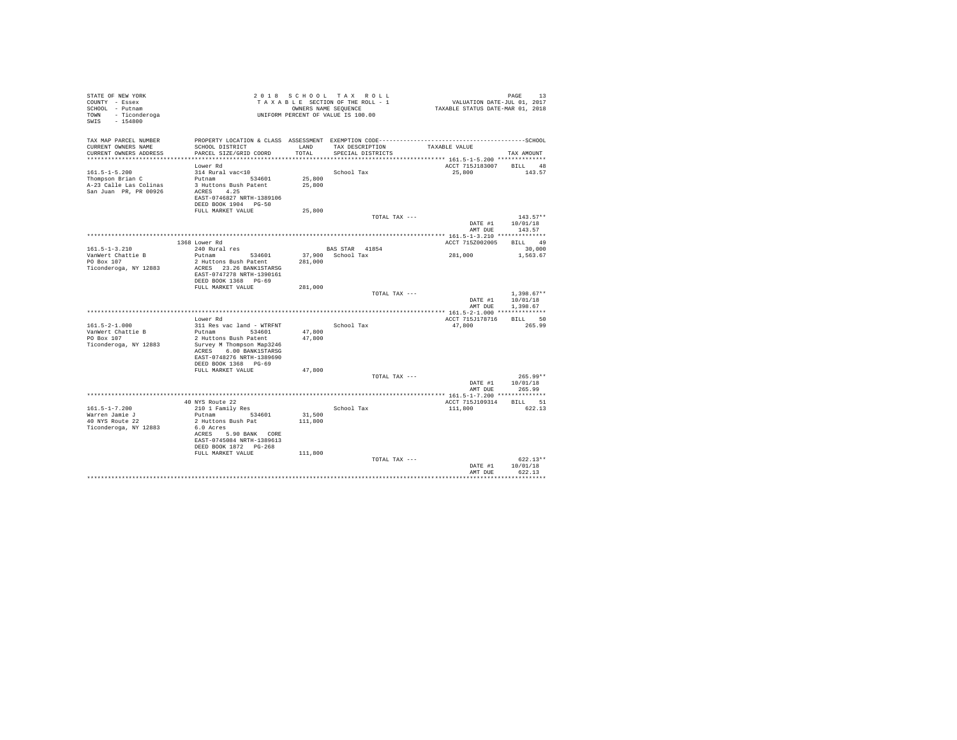| STATE OF NEW YORK<br>COUNTY - Essex<br>SCHOOL - Putnam |                                                                                              |         | 2018 SCHOOL TAX ROLL<br>TAXABLE SECTION OF THE ROLL - 1<br>OWNERS NAME SEQUENCE | PAGE 13<br>VALUATION DATE-JUL 01, 2017<br>TAXABLE STATUS DATE-MAR 01, 2018 | PAGE<br>13              |
|--------------------------------------------------------|----------------------------------------------------------------------------------------------|---------|---------------------------------------------------------------------------------|----------------------------------------------------------------------------|-------------------------|
| TOWN - Ticonderoga<br>SWIS - 154800                    | UNIFORM PERCENT OF VALUE IS 100.00                                                           |         |                                                                                 |                                                                            |                         |
| TAX MAP PARCEL NUMBER                                  | PROPERTY LOCATION & CLASS ASSESSMENT EXEMPTION CODE-----------------------------------SCHOOL |         |                                                                                 |                                                                            |                         |
| CURRENT OWNERS NAME                                    | SCHOOL DISTRICT                                                                              | LAND    | TAX DESCRIPTION                                                                 | TAXABLE VALUE                                                              |                         |
| CURRENT OWNERS ADDRESS                                 | PARCEL SIZE/GRID COORD                                                                       | TOTAL   | SPECIAL DISTRICTS                                                               |                                                                            | TAX AMOUNT              |
|                                                        | Lower Rd                                                                                     |         |                                                                                 |                                                                            | ACCT 715J183007 BILL 48 |
| $161.5 - 1 - 5.200$                                    | 314 Rural vac<10                                                                             |         | School Tax                                                                      | 25,800                                                                     | 143.57                  |
| Thompson Brian C                                       | Putnam 534601                                                                                | 25,800  |                                                                                 |                                                                            |                         |
| A-23 Calle Las Colinas                                 | 3 Huttons Bush Patent                                                                        | 25,800  |                                                                                 |                                                                            |                         |
| San Juan PR, PR 00926                                  | ACRES 4.25                                                                                   |         |                                                                                 |                                                                            |                         |
|                                                        | EAST-0746827 NRTH-1389106                                                                    |         |                                                                                 |                                                                            |                         |
|                                                        | DEED BOOK 1904 PG-50<br>FULL MARKET VALUE                                                    | 25,800  |                                                                                 |                                                                            |                         |
|                                                        |                                                                                              |         |                                                                                 | TOTAL TAX ---                                                              | $143.57**$              |
|                                                        |                                                                                              |         |                                                                                 | DATE #1                                                                    | 10/01/18                |
|                                                        |                                                                                              |         |                                                                                 |                                                                            | AMT DUE 143.57          |
|                                                        | 1368 Lower Rd                                                                                |         |                                                                                 | ACCT 715Z002005                                                            | BILL 49                 |
| $161.5 - 1 - 3.210$                                    | 240 Rural res                                                                                |         | BAS STAR 41854                                                                  |                                                                            | 30,000                  |
| VanWert Chattie B                                      | Putnam 534601                                                                                |         | 37,900 School Tax                                                               | 281,000                                                                    | 1,563.67                |
| PO Box 107                                             | 2 Huttons Bush Patent                                                                        | 281,000 |                                                                                 |                                                                            |                         |
| Ticonderoga, NY 12883                                  | ACRES 23.26 BANK1STARSG                                                                      |         |                                                                                 |                                                                            |                         |
|                                                        | EAST-0747278 NRTH-1390161                                                                    |         |                                                                                 |                                                                            |                         |
|                                                        | DEED BOOK 1368 PG-69                                                                         |         |                                                                                 |                                                                            |                         |
|                                                        | FULL MARKET VALUE                                                                            | 281,000 | TOTAL TAX ---                                                                   |                                                                            | $1,398.67**$            |
|                                                        |                                                                                              |         |                                                                                 | DATE #1                                                                    | 10/01/18                |
|                                                        |                                                                                              |         |                                                                                 |                                                                            | AMT DUE<br>1,398.67     |
|                                                        |                                                                                              |         |                                                                                 |                                                                            |                         |
|                                                        | Lower Rd                                                                                     |         |                                                                                 | ACCT 715J178716                                                            | BILL 50                 |
| $161.5 - 2 - 1.000$                                    | 311 Res vac land - WTRFNT                                                                    |         | School Tax                                                                      | 47.800                                                                     | 265.99                  |
| VanWert Chattie B                                      | Putnam 534601                                                                                | 47,800  |                                                                                 |                                                                            |                         |
| PO Box 107                                             | 2 Huttons Bush Patent                                                                        | 47,800  |                                                                                 |                                                                            |                         |
| Ticonderoga, NY 12883                                  | Survey M Thompson Map3246<br>ACRES 6.00 BANK1STARSG                                          |         |                                                                                 |                                                                            |                         |
|                                                        | EAST-0748276 NRTH-1389690                                                                    |         |                                                                                 |                                                                            |                         |
|                                                        | DEED BOOK 1368 PG-69                                                                         |         |                                                                                 |                                                                            |                         |
|                                                        | FULL MARKET VALUE                                                                            | 47,800  |                                                                                 |                                                                            |                         |
|                                                        |                                                                                              |         |                                                                                 | TOTAL TAX ---                                                              | $265.99**$              |
|                                                        |                                                                                              |         |                                                                                 |                                                                            | DATE #1   10/01/18      |
|                                                        |                                                                                              |         |                                                                                 |                                                                            | 265.99<br>AMT DUE       |
|                                                        |                                                                                              |         |                                                                                 |                                                                            | BILL 51                 |
| $161.5 - 1 - 7.200$                                    | 40 NYS Route 22<br>210 1 Family Res                                                          |         | School Tax                                                                      | ACCT 715J109314<br>111,800                                                 | 622.13                  |
| Warren Jamie J                                         | Putnam 534601                                                                                | 31,500  |                                                                                 |                                                                            |                         |
| 40 NYS Route 22                                        | 2 Huttons Bush Pat                                                                           | 111,800 |                                                                                 |                                                                            |                         |
| Ticonderoga, NY 12883                                  | 6.0 Acres                                                                                    |         |                                                                                 |                                                                            |                         |
|                                                        | ACRES 5.90 BANK CORE                                                                         |         |                                                                                 |                                                                            |                         |
|                                                        | EAST-0745084 NRTH-1389613                                                                    |         |                                                                                 |                                                                            |                         |
|                                                        | DEED BOOK 1872 PG-268                                                                        |         |                                                                                 |                                                                            |                         |
|                                                        | FULL MARKET VALUE                                                                            | 111,800 |                                                                                 |                                                                            | $622.13**$              |
|                                                        |                                                                                              |         |                                                                                 | TOTAL TAX ---<br>DATE #1                                                   | 10/01/18                |
|                                                        |                                                                                              |         |                                                                                 | AMT DUE                                                                    | 622.13                  |
|                                                        |                                                                                              |         |                                                                                 |                                                                            |                         |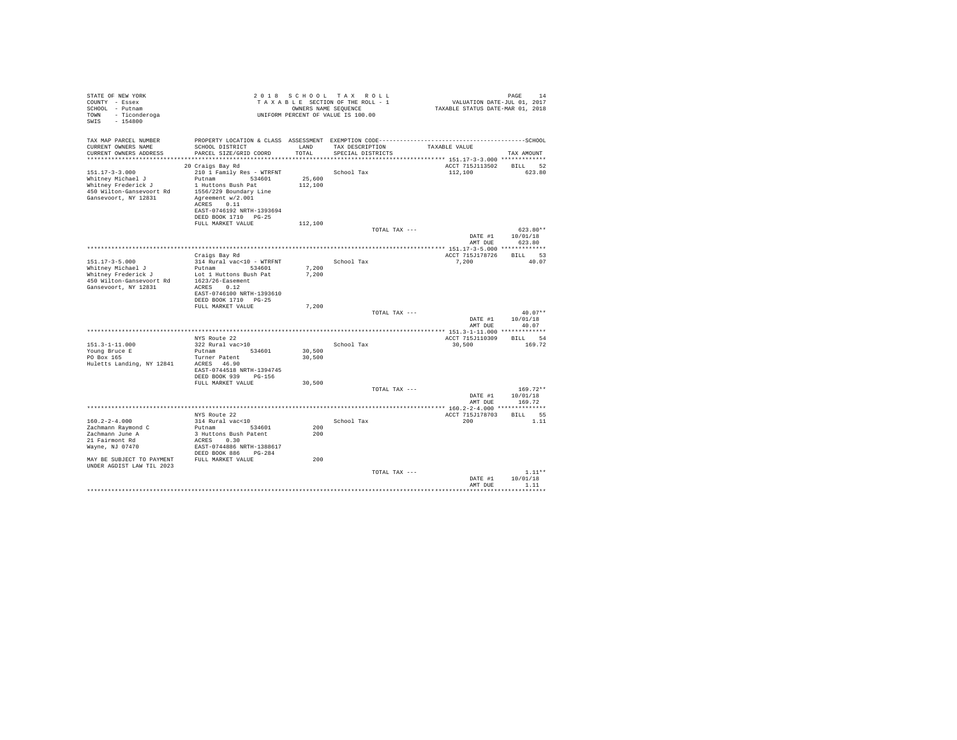| STATE OF NEW YORK<br>COUNTY - Essex<br>SCHOOL - Putnam<br>- Ticonderoga<br>TOWN<br>SWIS<br>$-154800$                                                        |                                                                                                                                                                                                        |                   | 2018 SCHOOL TAX ROLL<br>TAXABLE SECTION OF THE ROLL - 1<br>OWNERS NAME SEOUENCE<br>UNIFORM PERCENT OF VALUE IS 100.00 | PAGE<br>14<br>VALUATION DATE-JUL 01, 2017<br>TAXABLE STATUS DATE-MAR 01, 2018 |                              |  |
|-------------------------------------------------------------------------------------------------------------------------------------------------------------|--------------------------------------------------------------------------------------------------------------------------------------------------------------------------------------------------------|-------------------|-----------------------------------------------------------------------------------------------------------------------|-------------------------------------------------------------------------------|------------------------------|--|
| TAX MAP PARCEL NUMBER<br>CURRENT OWNERS NAME<br>CURRENT OWNERS ADDRESS                                                                                      | SCHOOL DISTRICT<br>PARCEL SIZE/GRID COORD                                                                                                                                                              | LAND<br>TOTAL.    | TAX DESCRIPTION<br>SPECIAL DISTRICTS                                                                                  | TAXABLE VALUE                                                                 | TAX AMOUNT                   |  |
| $151.17 - 3 - 3.000$<br>Whitney Michael J<br>Whitney Frederick J<br>450 Wilton-Gansevoort Rd<br>Gansevoort, NY 12831                                        | 20 Craigs Bay Rd<br>210 1 Family Res - WTRFNT<br>Putnam 534601<br>1 Huttons Bush Pat<br>1556/229 Boundary Line<br>Agreement w/2.001<br>ACRES 0.11<br>EAST-0746192 NRTH-1393694<br>DEED BOOK 1710 PG-25 | 25,600<br>112,100 | School Tax                                                                                                            | ACCT 715J113502 BILL 52<br>112,100                                            | 623.80                       |  |
|                                                                                                                                                             | FULL MARKET VALUE                                                                                                                                                                                      | 112,100           | TOTAL TAX ---                                                                                                         | DATE #1                                                                       | $623.80**$<br>10/01/18       |  |
|                                                                                                                                                             | Craigs Bay Rd                                                                                                                                                                                          |                   |                                                                                                                       | AMT DUE<br>ACCT 715J178726                                                    | 623.80<br>BILL 53            |  |
| $151.17 - 3 - 5.000$<br>Whitney Michael J<br>Whitney Frederick J<br>450 Wilton-Gansevoort Rd<br>Gansevoort, NY 12831                                        | 314 Rural vac<10 - WTRFNT<br>Putnam<br>534601<br>Lot 1 Huttons Bush Pat<br>1623/26-Easement<br>ACRES 0.12<br>EAST-0746100 NRTH-1393610<br>DEED BOOK 1710 PG-25                                         | 7.200<br>7.200    | School Tax                                                                                                            | 7,200                                                                         | 40.07                        |  |
|                                                                                                                                                             | FULL MARKET VALUE                                                                                                                                                                                      | 7.200             | TOTAL TAX ---                                                                                                         | DATE #1                                                                       | $40.07**$<br>10/01/18        |  |
|                                                                                                                                                             |                                                                                                                                                                                                        |                   |                                                                                                                       | AMT DUE                                                                       | 40.07                        |  |
| $151.3 - 1 - 11.000$<br>Young Bruce E<br>PO Box 165<br>Huletts Landing, NY 12841                                                                            | NYS Route 22<br>322 Rural vac>10<br>Putnam 534601<br>Turner Patent<br>ACRES 46.90<br>EAST-0744518 NRTH-1394745                                                                                         | 30,500<br>30,500  | School Tax                                                                                                            | ACCT 715J110309<br>30,500                                                     | BTLL 54<br>169.72            |  |
|                                                                                                                                                             | DEED BOOK 939 PG-156<br>FULL MARKET VALUE                                                                                                                                                              | 30,500            | TOTAL TAX ---                                                                                                         | DATE #1                                                                       | $169.72**$<br>10/01/18       |  |
|                                                                                                                                                             |                                                                                                                                                                                                        |                   |                                                                                                                       | AMT DUE                                                                       | 169.72                       |  |
| $160.2 - 2 - 4.000$<br>Zachmann Raymond C<br>Zachmann June A<br>21 Fairmont Rd<br>Wayne, NJ 07470<br>MAY BE SUBJECT TO PAYMENT<br>UNDER AGDIST LAW TIL 2023 | NYS Route 22<br>314 Rural vac<10<br>534601<br>Putnam<br>3 Huttons Bush Patent<br>ACRES 0.30<br>EAST-0744886 NRTH-1388617<br>DEED BOOK 886 PG-284<br>FULL MARKET VALUE                                  | 200<br>200<br>200 | School Tax                                                                                                            | ACCT 715J178703<br>200                                                        | BTLL 55<br>1.11              |  |
|                                                                                                                                                             |                                                                                                                                                                                                        |                   | TOTAL TAX ---                                                                                                         | DATE #1<br>AMT DUE                                                            | $1.11**$<br>10/01/18<br>1.11 |  |
|                                                                                                                                                             |                                                                                                                                                                                                        |                   |                                                                                                                       |                                                                               | .                            |  |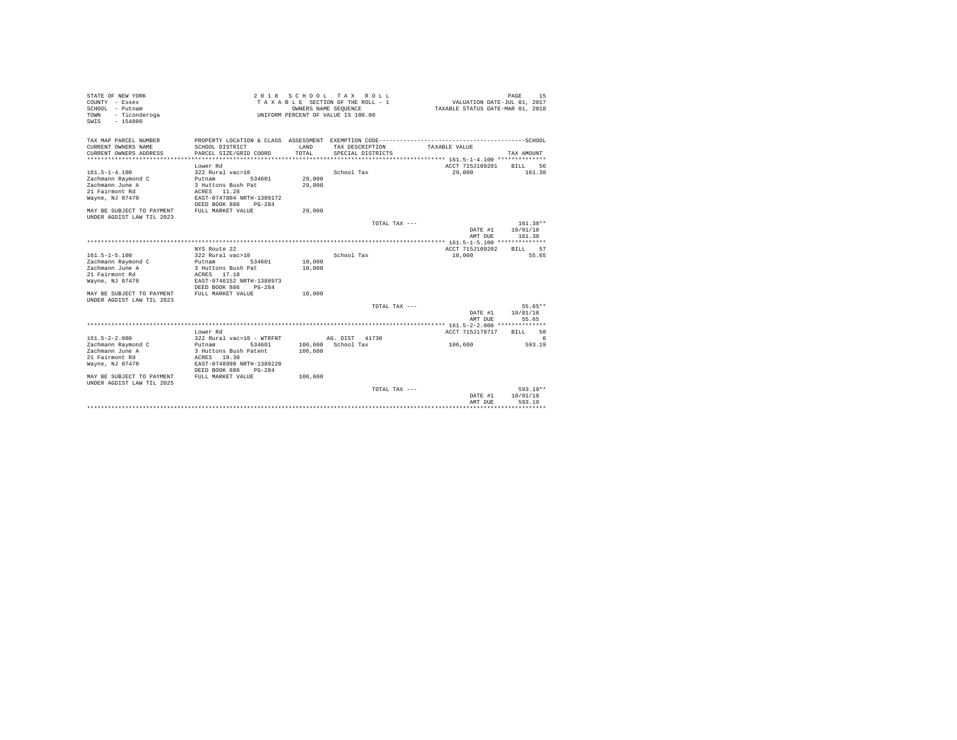| STATE OF NEW YORK<br>COUNTY - Essex<br>$SCHOM.$ - $Pufnam$<br>- Ticonderoga<br>TOWN<br>$-154800$<br>SWIS |                                                        |               | 2018 SCHOOL TAX ROLL<br>TAXABLE SECTION OF THE ROLL - 1<br>OWNERS NAME SEQUENCE<br>UNIFORM PERCENT OF VALUE IS 100.00 | VALUATION DATE-JUL 01, 2017<br>TAXABLE STATUS DATE-MAR 01, 2018           | PAGE<br>15            |
|----------------------------------------------------------------------------------------------------------|--------------------------------------------------------|---------------|-----------------------------------------------------------------------------------------------------------------------|---------------------------------------------------------------------------|-----------------------|
| TAX MAP PARCEL NUMBER<br>CURRENT OWNERS NAME<br>CURRENT OWNERS ADDRESS                                   | SCHOOL DISTRICT<br>PARCEL SIZE/GRID COORD              | LAND<br>TOTAL | TAX DESCRIPTION<br>SPECIAL DISTRICTS                                                                                  | TAXABLE VALUE<br>**************************** 161.5-1-4.100 ************* | TAX AMOUNT            |
|                                                                                                          |                                                        |               |                                                                                                                       | ACCT 715J109201                                                           |                       |
| $161.5 - 1 - 4.100$                                                                                      | Lower Rd<br>322 Rural vac>10                           |               | School Tax                                                                                                            | 29,000                                                                    | RTLL.<br>56<br>161.38 |
| Zachmann Raymond C                                                                                       | Putnam<br>534601                                       | 29,000        |                                                                                                                       |                                                                           |                       |
| Zachmann June A                                                                                          | 3 Huttons Bush Pat                                     | 29,000        |                                                                                                                       |                                                                           |                       |
| 21 Fairmont Rd                                                                                           | ACRES 11.28                                            |               |                                                                                                                       |                                                                           |                       |
| Wayne, NJ 07470                                                                                          | EAST-0747804 NRTH-1389172<br>DEED BOOK 886<br>$PG-284$ |               |                                                                                                                       |                                                                           |                       |
| MAY BE SUBJECT TO PAYMENT<br>UNDER AGDIST LAW TIL 2023                                                   | FULL MARKET VALUE                                      | 29,000        |                                                                                                                       |                                                                           |                       |
|                                                                                                          |                                                        |               | TOTAL TAX ---                                                                                                         |                                                                           | 161.38**              |
|                                                                                                          |                                                        |               |                                                                                                                       | DATE #1<br>AMT DUE                                                        | 10/01/18<br>161.38    |
|                                                                                                          |                                                        |               |                                                                                                                       | ************** 161.5-1-5.100 **************                               |                       |
|                                                                                                          | NYS Route 22                                           |               |                                                                                                                       | ACCT 715J109202                                                           | 57<br><b>BILL</b>     |
| $161.5 - 1 - 5.100$                                                                                      | 322 Rural vac>10                                       |               | School Tax                                                                                                            | 10,000                                                                    | 55.65                 |
| Zachmann Raymond C                                                                                       | 534601<br>Putnam                                       | 10,000        |                                                                                                                       |                                                                           |                       |
| Zachmann June A                                                                                          | 3 Huttons Bush Pat                                     | 10,000        |                                                                                                                       |                                                                           |                       |
| 21 Fairmont Rd                                                                                           | ACRES 17.18                                            |               |                                                                                                                       |                                                                           |                       |
| Wayne, NJ 07470                                                                                          | EAST-0746152 NRTH-1388973<br>DEED BOOK 886<br>$PG-284$ |               |                                                                                                                       |                                                                           |                       |
| MAY RE SUBJECT TO PAYMENT<br>UNDER AGDIST LAW TIL 2023                                                   | FULL MARKET VALUE                                      | 10,000        |                                                                                                                       |                                                                           |                       |
|                                                                                                          |                                                        |               | TOTAL TAX ---                                                                                                         |                                                                           | 55.65**               |
|                                                                                                          |                                                        |               |                                                                                                                       | DATE #1                                                                   | 10/01/18              |
|                                                                                                          |                                                        |               |                                                                                                                       | AMT DUE                                                                   | 55.65                 |
|                                                                                                          |                                                        |               |                                                                                                                       |                                                                           |                       |
|                                                                                                          | Lower Rd                                               |               |                                                                                                                       | ACCT 715J178717                                                           | 58<br><b>BILL</b>     |
| $161.5 - 2 - 2.000$                                                                                      | 322 Rural vac>10 - WTRFNT                              |               | AG. DIST 41730                                                                                                        |                                                                           | $\Omega$              |
| Zachmann Raymond C                                                                                       | Putnam<br>534601                                       |               | 106,600 School Tax                                                                                                    | 106,600                                                                   | 593.19                |
| Zachmann June A                                                                                          | 3 Huttons Bush Patent                                  | 106,600       |                                                                                                                       |                                                                           |                       |
| 21 Fairmont Rd                                                                                           | ACRES 10.30                                            |               |                                                                                                                       |                                                                           |                       |
|                                                                                                          | EAST-0748998 NRTH-1389220                              |               |                                                                                                                       |                                                                           |                       |
| Wayne, NJ 07470                                                                                          | DEED BOOK 886<br>$PG-284$                              |               |                                                                                                                       |                                                                           |                       |
| MAY BE SUBJECT TO PAYMENT<br>UNDER AGDIST LAW TIL 2025                                                   | FULL MARKET VALUE                                      | 106,600       |                                                                                                                       |                                                                           |                       |
|                                                                                                          |                                                        |               | TOTAL TAX ---                                                                                                         |                                                                           | 593.19**              |
|                                                                                                          |                                                        |               |                                                                                                                       | DATE #1                                                                   | 10/01/18<br>593.19    |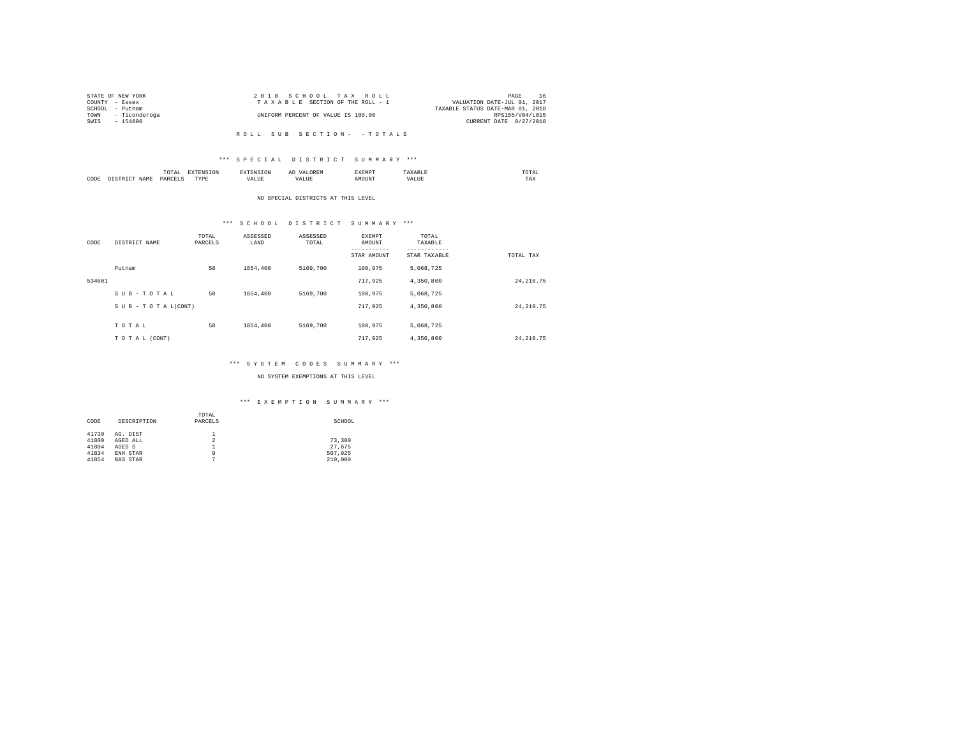|      | STATE OF NEW YORK  | 2018 SCHOOL TAX ROLL               | PAGE                             | 16 |
|------|--------------------|------------------------------------|----------------------------------|----|
|      | COUNTY - Essex     | TAXABLE SECTION OF THE ROLL - 1    | VALUATION DATE-JUL 01, 2017      |    |
|      | SCHOOL - Putnam    |                                    | TAXABLE STATUS DATE-MAR 01, 2018 |    |
|      | TOWN - Ticonderoga | UNIFORM PERCENT OF VALUE IS 100.00 | RPS155/V04/L015                  |    |
| SWIS | - 154800           |                                    | CURRENT DATE 8/27/2018           |    |
|      |                    |                                    |                                  |    |

#### \*\*\* S P E C I A L D I S T R I C T S U M M A R Y \*\*\*

|      | <b>TRAFFIC</b><br>TAI<br>the contract of the contract of the contract of |            | A. | <b>************</b><br>عدد |   | JIAI<br>the contract of the contract of the contract of |
|------|--------------------------------------------------------------------------|------------|----|----------------------------|---|---------------------------------------------------------|
| CODE | PARC                                                                     | TVDR.<br>. |    | זר                         | n | 1 M.A                                                   |

#### NO SPECIAL DISTRICTS AT THIS LEVEL

# \*\*\* S C H O O L D I S T R I C T S U M M A R Y \*\*\*

| CODE   | DISTRICT NAME   | TOTAL<br>PARCELS | ASSESSED<br>LAND | ASSESSED<br>TOTAL | <b>EXEMPT</b><br>AMOUNT<br>--------<br>STAR AMOUNT | TOTAL<br>TAXABLE<br>---------<br>STAR TAXABLE | TOTAL TAX   |
|--------|-----------------|------------------|------------------|-------------------|----------------------------------------------------|-----------------------------------------------|-------------|
|        | Putnam          | 58               | 1854,400         | 5169,700          | 100.975                                            | 5,068,725                                     |             |
| 534601 |                 |                  |                  |                   | 717.925                                            | 4,350,800                                     | 24, 210, 75 |
|        | SUB-TOTAL       | 58               | 1854,400         | 5169,700          | 100.975                                            | 5,068,725                                     |             |
|        | SUB-TOTAL(CONT) |                  |                  |                   | 717.925                                            | 4,350,800                                     | 24, 210, 75 |
|        |                 | 58               | 1854,400         | 5169,700          | 100.975                                            |                                               |             |
|        | TOTAL           |                  |                  |                   |                                                    | 5,068,725                                     |             |
|        | TO TAL (CONT)   |                  |                  |                   | 717.925                                            | 4,350,800                                     | 24, 210, 75 |

#### \*\*\* S Y S T E M C O D E S S U M M A R Y \*\*\*

#### NO SYSTEM EXEMPTIONS AT THIS LEVEL

|       |                 | TOTAL   |         |
|-------|-----------------|---------|---------|
| CODE  | DESCRIPTION     | PARCELS | SCHOOL  |
|       |                 |         |         |
| 41730 | AG. DIST        |         |         |
| 41800 | AGED ALL        | 2       | 73,300  |
| 41804 | AGED S          |         | 27.675  |
| 41834 | ENH STAR        | ٩       | 507.925 |
| 41854 | <b>BAS STAR</b> |         | 210,000 |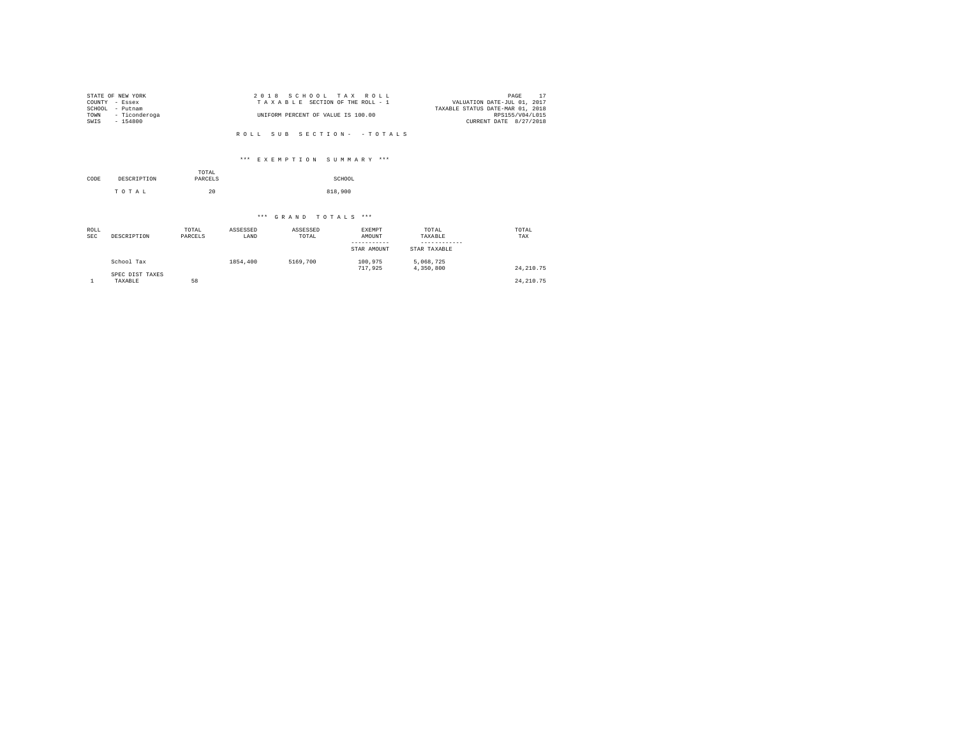|        | STATE OF NEW YORK | 2018 SCHOOL TAX ROLL               | PAGE                             |
|--------|-------------------|------------------------------------|----------------------------------|
|        | COUNTY - Essex    | TAXABLE SECTION OF THE ROLL - 1    | VALUATION DATE-JUL 01, 2017      |
| SCHOOL | - Putnam          |                                    | TAXABLE STATUS DATE-MAR 01, 2018 |
| TOWN   | - Ticonderoga     | UNIFORM PERCENT OF VALUE IS 100.00 | RPS155/V04/L015                  |
| SWIS   | $-154800$         |                                    | CURRENT DATE 8/27/2018           |
|        |                   |                                    |                                  |

#### \*\*\* E X E M P T I O N S U M M A R Y \*\*\*

|      |             | TOTAL   |         |
|------|-------------|---------|---------|
| CODE | DESCRIPTION | PARCELS | SCHOOL  |
|      | TOTAL       | 20      | 818,900 |

| ROLL<br><b>SEC</b> | DESCRIPTION                | TOTAL<br>PARCELS | ASSESSED<br>LAND | ASSESSED<br>TOTAL | EXEMPT<br>AMOUNT<br>STAR AMOUNT | TOTAL<br>TAXABLE<br>STAR TAXABLE | TOTAL<br>TAX |
|--------------------|----------------------------|------------------|------------------|-------------------|---------------------------------|----------------------------------|--------------|
|                    | School Tax                 |                  | 1854,400         | 5169,700          | 100,975<br>717.925              | 5.068.725<br>4,350,800           | 24, 210, 75  |
|                    | SPEC DIST TAXES<br>TAXABLE | 58               |                  |                   |                                 |                                  | 24, 210, 75  |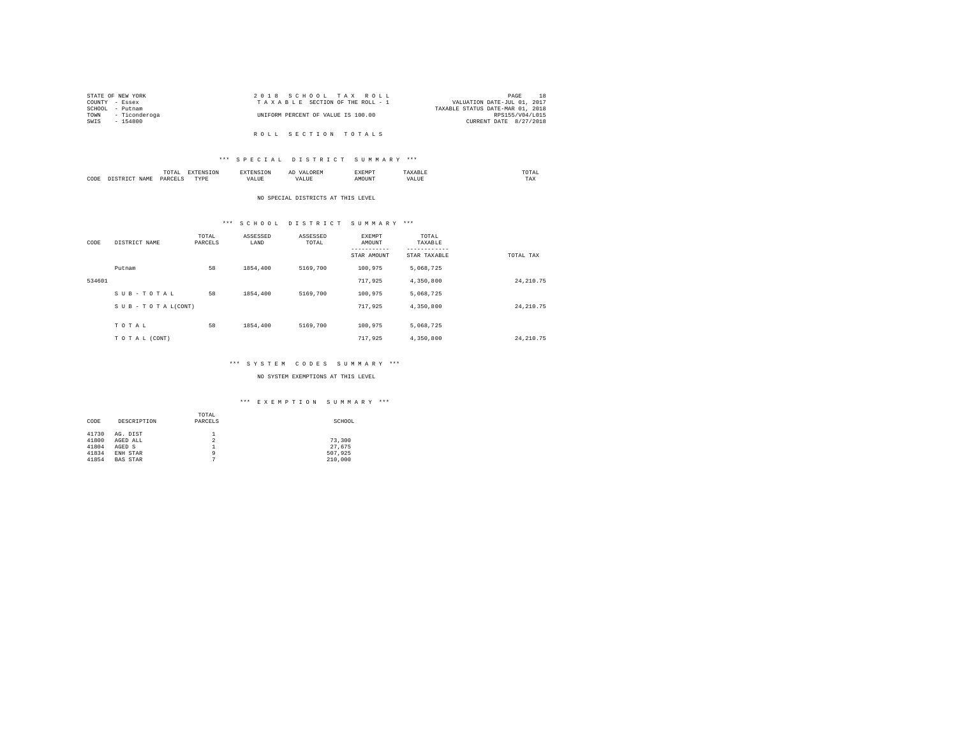|                 | STATE OF NEW YORK  | 2018 SCHOOL TAX ROLL               | PAGE                             |
|-----------------|--------------------|------------------------------------|----------------------------------|
| COUNTY - Essex  |                    | TAXABLE SECTION OF THE ROLL - 1    | VALUATION DATE-JUL 01, 2017      |
| SCHOOL - Putnam |                    |                                    | TAXABLE STATUS DATE-MAR 01, 2018 |
|                 | TOWN - Ticonderoga | UNIFORM PERCENT OF VALUE IS 100.00 | RPS155/V04/L015                  |
| SWIS            | - 154800           |                                    | CURRENT DATE 8/27/2018           |
|                 |                    |                                    |                                  |
|                 |                    | ROLL SECTION TOTALS                |                                  |

# TOTAL EXTENSION EXTENSION AD VALOREM EXEMPT TAXABLE TOTAL CODE DISTRICT NAME PARCELS TYPE VALUE VALUE AMOUNT VALUE TAX

## NO SPECIAL DISTRICTS AT THIS LEVEL

#### \*\*\* S C H O O L D I S T R I C T S U M M A R Y \*\*\*

| CODE   | DISTRICT NAME   | TOTAL<br>PARCELS | ASSESSED<br>LAND | ASSESSED<br>TOTAL | EXEMPT<br>AMOUNT<br>---------<br>STAR AMOUNT | TOTAL<br>TAXABLE<br>---------<br>STAR TAXABLE | TOTAL TAX   |
|--------|-----------------|------------------|------------------|-------------------|----------------------------------------------|-----------------------------------------------|-------------|
|        | Putnam          | 58               | 1854,400         | 5169,700          | 100.975                                      | 5,068,725                                     |             |
| 534601 |                 |                  |                  |                   | 717.925                                      | 4,350,800                                     | 24, 210, 75 |
|        | SUB-TOTAL       | 58               | 1854,400         | 5169,700          | 100.975                                      | 5,068,725                                     |             |
|        | SUB-TOTAL(CONT) |                  |                  |                   | 717.925                                      | 4,350,800                                     | 24, 210.75  |
|        | TOTAL           | 58               | 1854,400         | 5169,700          | 100.975                                      | 5.068.725                                     |             |
|        | TO TAL (CONT)   |                  |                  |                   | 717.925                                      | 4,350,800                                     | 24, 210, 75 |

#### \*\*\* S Y S T E M C O D E S S U M M A R Y \*\*\*

#### NO SYSTEM EXEMPTIONS AT THIS LEVEL

|       |                 | TOTAL   |         |
|-------|-----------------|---------|---------|
| CODE  | DESCRIPTION     | PARCELS | SCHOOL  |
|       |                 |         |         |
| 41730 | AG. DIST        |         |         |
| 41800 | AGED ALL        | 2       | 73,300  |
| 41804 | AGED S          |         | 27.675  |
| 41834 | ENH STAR        | ٩       | 507.925 |
| 41854 | <b>BAS STAR</b> | n       | 210,000 |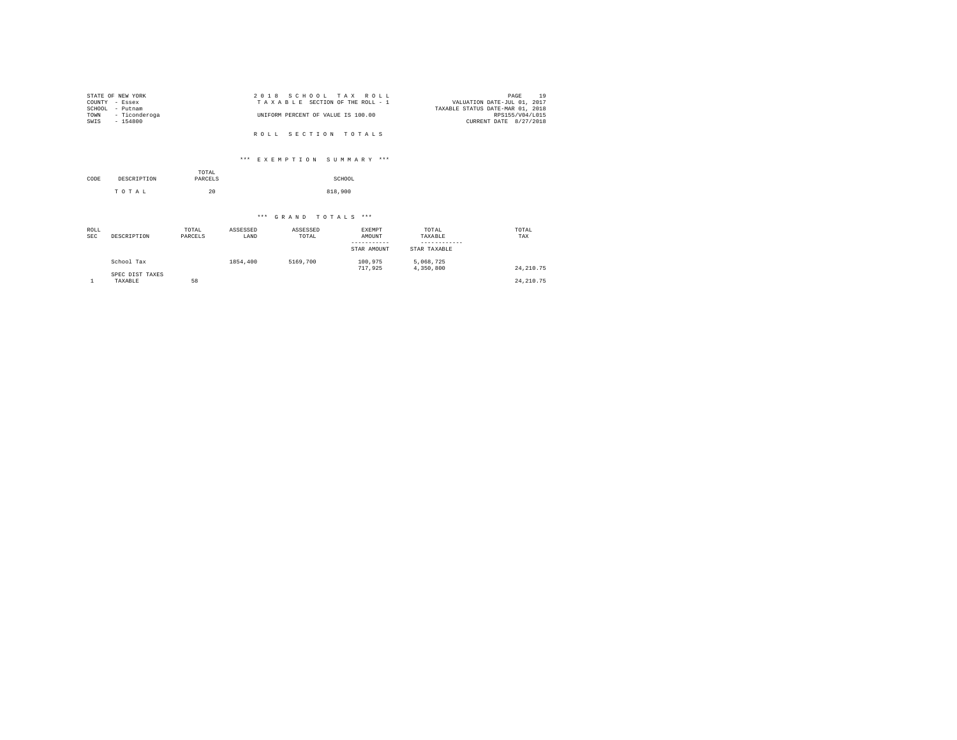| STATE OF NEW YORK  | 2018 SCHOOL TAX ROLL               | 19<br>PAGE                       |
|--------------------|------------------------------------|----------------------------------|
| COUNTY - Essex     | TAXABLE SECTION OF THE ROLL - 1    | VALUATION DATE-JUL 01, 2017      |
| SCHOOL<br>- Putnam |                                    | TAXABLE STATUS DATE-MAR 01, 2018 |
| TOWN - Ticonderoga | UNIFORM PERCENT OF VALUE IS 100.00 | RPS155/V04/L015                  |
| SWIS<br>$-154800$  |                                    | CURRENT DATE 8/27/2018           |
|                    |                                    |                                  |
|                    | ROLL SECTION TOTALS                |                                  |

# \*\*\* E X E M P T I O N S U M M A R Y \*\*\*

| CODE | DESCRIPTION | TOTAL<br>PARCELS | SCHOOL  |
|------|-------------|------------------|---------|
|      | TOTAL       | 20               | 818,900 |

| ROLL<br><b>SEC</b> | DESCRIPTION                | TOTAL<br>PARCELS | ASSESSED<br>LAND | ASSESSED<br>TOTAL | EXEMPT<br>AMOUNT<br>-----------<br>STAR AMOUNT | TOTAL<br>TAXABLE<br>STAR TAXABLE | TOTAL<br>TAX |
|--------------------|----------------------------|------------------|------------------|-------------------|------------------------------------------------|----------------------------------|--------------|
|                    | School Tax                 |                  | 1854,400         | 5169,700          | 100.975<br>717.925                             | 5,068,725<br>4,350,800           | 24, 210, 75  |
|                    | SPEC DIST TAXES<br>TAXABLE | 58               |                  |                   |                                                |                                  | 24, 210, 75  |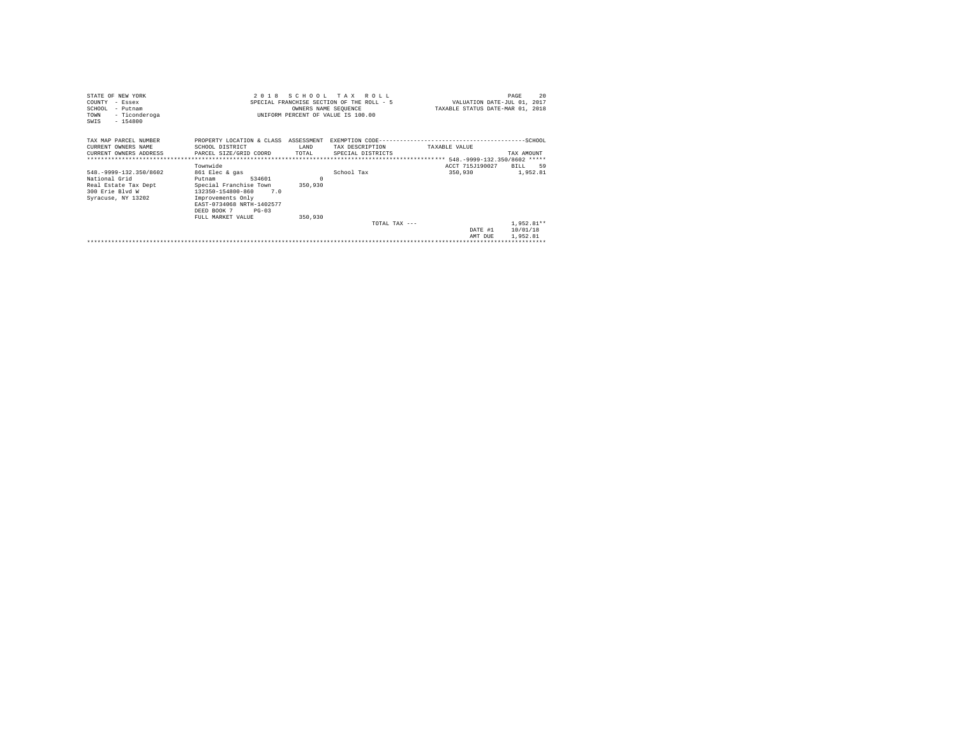| STATE OF NEW YORK                             | 2018                                 |          | SCHOOL TAX ROLL                           |                                  | 20<br>PAGE                  |
|-----------------------------------------------|--------------------------------------|----------|-------------------------------------------|----------------------------------|-----------------------------|
| COUNTY - Essex                                |                                      |          | SPECIAL FRANCHISE SECTION OF THE ROLL - 5 |                                  | VALUATION DATE-JUL 01, 2017 |
| SCHOOL<br>- Putnam                            |                                      |          | OWNERS NAME SEQUENCE                      | TAXABLE STATUS DATE-MAR 01, 2018 |                             |
| - Ticonderoga<br>TOWN                         |                                      |          | UNIFORM PERCENT OF VALUE IS 100.00        |                                  |                             |
| $-154800$<br>SWIS                             |                                      |          |                                           |                                  |                             |
|                                               |                                      |          |                                           |                                  |                             |
| TAX MAP PARCEL NUMBER                         | PROPERTY LOCATION & CLASS ASSESSMENT |          |                                           |                                  |                             |
| CURRENT OWNERS NAME                           | SCHOOL DISTRICT                      | LAND     | TAX DESCRIPTION                           | TAXABLE VALUE                    |                             |
| CURRENT OWNERS ADDRESS PARCEL SIZE/GRID COORD |                                      | TOTAL    | SPECIAL DISTRICTS                         |                                  | TAX AMOUNT                  |
|                                               |                                      |          |                                           |                                  |                             |
|                                               | Townwide                             |          |                                           | ACCT 715J190027                  | BILL.<br>59                 |
| 548. - 9999 - 132. 350/8602                   | 861 Elec & gas                       |          | School Tax                                | 350,930                          | 1,952.81                    |
|                                               |                                      | $\Omega$ |                                           |                                  |                             |
| National Grid                                 | 534601<br>Putnam                     |          |                                           |                                  |                             |
| Real Estate Tax Dept                          | Special Franchise Town               | 350,930  |                                           |                                  |                             |
| 300 Erie Blyd W                               | 132350-154800-860 7.0                |          |                                           |                                  |                             |
| Syracuse, NY 13202                            | Improvements Only                    |          |                                           |                                  |                             |
|                                               | EAST-0734068 NRTH-1402577            |          |                                           |                                  |                             |
|                                               | DEED BOOK 7<br>$PG - 03$             |          |                                           |                                  |                             |
|                                               | FULL MARKET VALUE                    | 350,930  |                                           |                                  |                             |
|                                               |                                      |          | TOTAL TAX $---$                           |                                  | $1.952.81**$                |
|                                               |                                      |          |                                           | DATE #1                          | 10/01/18                    |
|                                               |                                      |          |                                           | AMT DUR                          | 1,952.81                    |
|                                               |                                      |          |                                           |                                  |                             |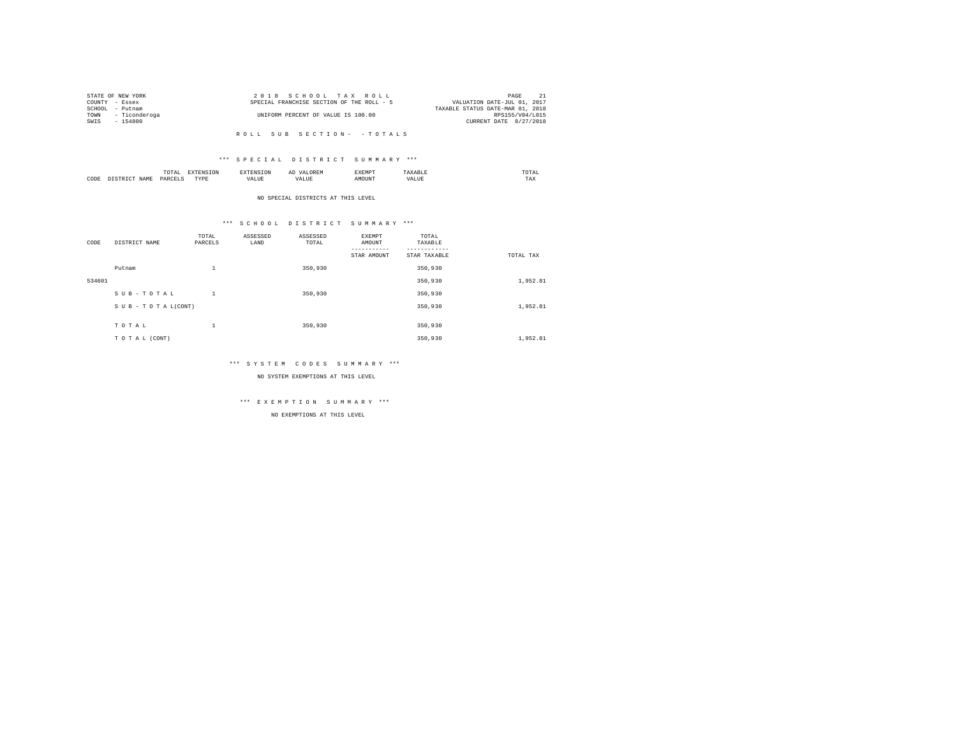|                | STATE OF NEW YORK  | 2018 SCHOOL TAX ROLL                      | PAGE                             |
|----------------|--------------------|-------------------------------------------|----------------------------------|
| COUNTY - Essex |                    | SPECIAL FRANCHISE SECTION OF THE ROLL - 5 | VALUATION DATE-JUL 01, 2017      |
| SCHOOL         | - Putnam           |                                           | TAXABLE STATUS DATE-MAR 01, 2018 |
|                | TOWN - Ticonderoga | UNIFORM PERCENT OF VALUE IS 100.00        | RPS155/V04/L015                  |
| SWIS           | $-154800$          |                                           | CURRENT DATE 8/27/2018           |
|                |                    |                                           |                                  |

#### \*\*\* S P E C I A L D I S T R I C T S U M M A R Y \*\*\*

|      | $\cdots$<br>.<br>the contract of the contract of the contract of | the contract of the contract of the contract of the contract of the contract of |         | ▵<br>- |   | the contract of the contract of the contract of |  |
|------|------------------------------------------------------------------|---------------------------------------------------------------------------------|---------|--------|---|-------------------------------------------------|--|
| CODE | DARCEL.<br>.                                                     | $- - - -$<br>.                                                                  | ٠.<br>. |        | . | ----<br>1'A.X                                   |  |

NO SPECIAL DISTRICTS AT THIS LEVEL

#### \*\*\* S C H O O L D I S T R I C T S U M M A R Y \*\*\*

| CODE   | DISTRICT NAME   | TOTAL<br>PARCELS | ASSESSED<br>LAND | ASSESSED<br>TOTAL | EXEMPT<br>AMOUNT | TOTAL<br>TAXABLE |           |
|--------|-----------------|------------------|------------------|-------------------|------------------|------------------|-----------|
|        |                 |                  |                  |                   | STAR AMOUNT      | STAR TAXABLE     | TOTAL TAX |
|        | Putnam          | $\mathbf{1}$     |                  | 350,930           |                  | 350,930          |           |
| 534601 |                 |                  |                  |                   |                  | 350,930          | 1,952.81  |
|        | SUB-TOTAL       | 1                |                  | 350,930           |                  | 350,930          |           |
|        | SUB-TOTAL(CONT) |                  |                  |                   |                  | 350,930          | 1,952.81  |
|        |                 |                  |                  |                   |                  |                  |           |
|        | TOTAL           | $\mathbf{1}$     |                  | 350,930           |                  | 350,930          |           |
|        | TO TAL (CONT)   |                  |                  |                   |                  | 350,930          | 1,952.81  |

#### \*\*\* S Y S T E M C O D E S S U M M A R Y \*\*\*

NO SYSTEM EXEMPTIONS AT THIS LEVEL

# \*\*\* E X E M P T I O N S U M M A R Y \*\*\*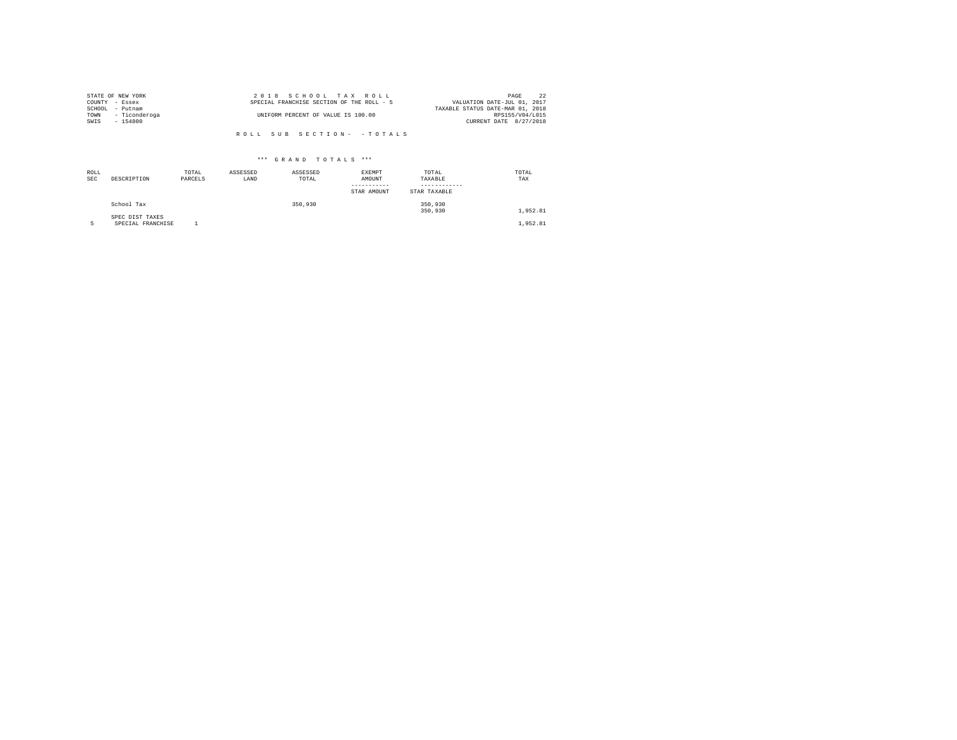|                | STATE OF NEW YORK  | 2018 SCHOOL TAX ROLL                      | PAGE                             |  |
|----------------|--------------------|-------------------------------------------|----------------------------------|--|
| COUNTY - Essex |                    | SPECIAL FRANCHISE SECTION OF THE ROLL - 5 | VALUATION DATE-JUL 01, 2017      |  |
|                | SCHOOL - Putnam    |                                           | TAXABLE STATUS DATE-MAR 01, 2018 |  |
|                | TOWN - Ticonderoga | UNIFORM PERCENT OF VALUE IS 100.00        | RPS155/V04/L015                  |  |
| SWIS           | - 154800           |                                           | CURRENT DATE 8/27/2018           |  |
|                |                    |                                           |                                  |  |
|                |                    | ROLL SUB SECTION- - TOTALS                |                                  |  |

| ROLL<br><b>SEC</b> | DESCRIPTION                          | TOTAL<br>PARCELS | ASSESSED<br>LAND | ASSESSED<br>TOTAL | EXEMPT<br>AMOUNT<br>-----------<br>STAR AMOUNT | TOTAL<br>TAXABLE<br>STAR TAXABLE | TOTAL<br>TAX |
|--------------------|--------------------------------------|------------------|------------------|-------------------|------------------------------------------------|----------------------------------|--------------|
|                    | School Tax                           |                  |                  | 350,930           |                                                | 350,930<br>350,930               | 1,952.81     |
|                    | SPEC DIST TAXES<br>SPECIAL FRANCHISE |                  |                  |                   |                                                |                                  | 1,952.81     |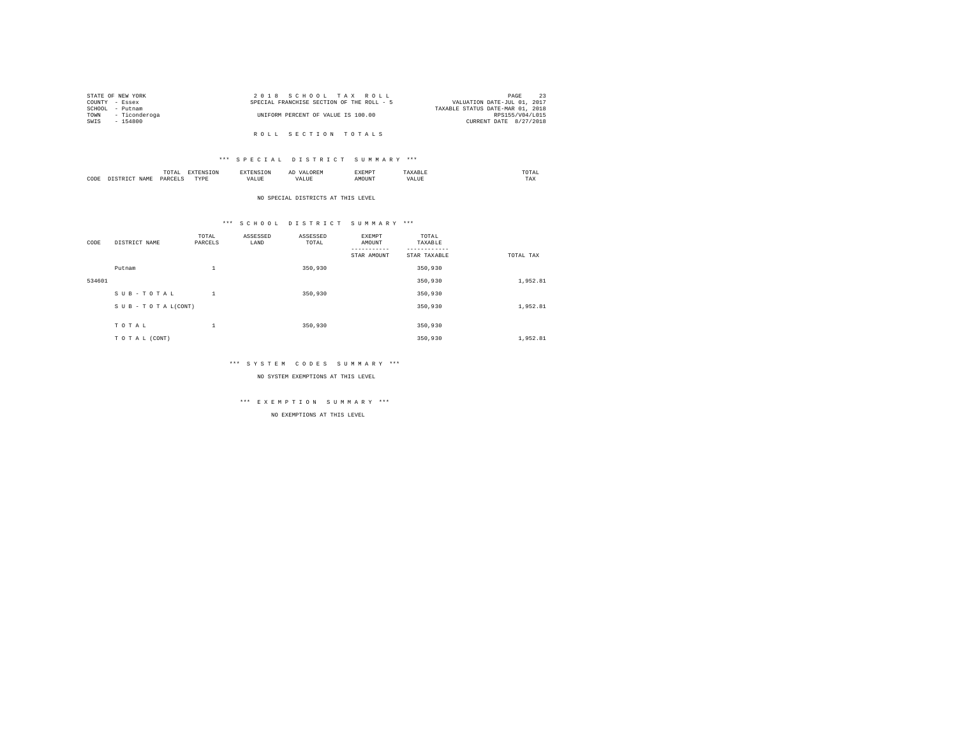|                | STATE OF NEW YORK | 2018 SCHOOL TAX ROLL                      | 23<br>PAGE                       |
|----------------|-------------------|-------------------------------------------|----------------------------------|
| COUNTY - Essex |                   | SPECIAL FRANCHISE SECTION OF THE ROLL - 5 | VALUATION DATE-JUL 01, 2017      |
| SCHOOL         | - Putnam          |                                           | TAXABLE STATUS DATE-MAR 01, 2018 |
| TOWN           | - Ticonderoga     | UNIFORM PERCENT OF VALUE IS 100.00        | RPS155/V04/L015                  |
| SWIS           | - 154800          |                                           | CURRENT DATE 8/27/2018           |
|                |                   |                                           |                                  |
|                |                   | ROLL SECTION TOTALS                       |                                  |

|      | $\cdots$<br>1017<br>the contract of the contract of the contract of | the contract of the contract of the contract of the contract of the contract of |    | ▵<br>.<br>a. | .             |          | the contract of the contract of the contract of |
|------|---------------------------------------------------------------------|---------------------------------------------------------------------------------|----|--------------|---------------|----------|-------------------------------------------------|
| CODE | <b>DARCET</b><br>.                                                  | -----<br>.                                                                      | ٠. |              | <b>NETATI</b> | .<br>--- | TAX                                             |

NO SPECIAL DISTRICTS AT THIS LEVEL

#### \*\*\* S C H O O L D I S T R I C T S U M M A R Y \*\*\*

| CODE   | DISTRICT NAME   | TOTAL<br>PARCELS | ASSESSED<br>LAND | ASSESSED<br>TOTAL | EXEMPT<br>AMOUNT | TOTAL<br>TAXABLE |           |
|--------|-----------------|------------------|------------------|-------------------|------------------|------------------|-----------|
|        |                 |                  |                  |                   | STAR AMOUNT      | STAR TAXABLE     | TOTAL TAX |
|        | Putnam          | $\mathbf{1}$     |                  | 350,930           |                  | 350,930          |           |
| 534601 |                 |                  |                  |                   |                  | 350,930          | 1,952.81  |
|        | SUB-TOTAL       | $\mathbf{1}$     |                  | 350,930           |                  | 350,930          |           |
|        | SUB-TOTAL(CONT) |                  |                  |                   |                  | 350,930          | 1,952.81  |
|        | TOTAL           | $\mathbf{1}$     |                  | 350,930           |                  | 350,930          |           |
|        | TO TAL (CONT)   |                  |                  |                   |                  | 350,930          | 1,952.81  |

#### \*\*\* S Y S T E M C O D E S S U M M A R Y \*\*\*

NO SYSTEM EXEMPTIONS AT THIS LEVEL

# \*\*\* E X E M P T I O N S U M M A R Y \*\*\*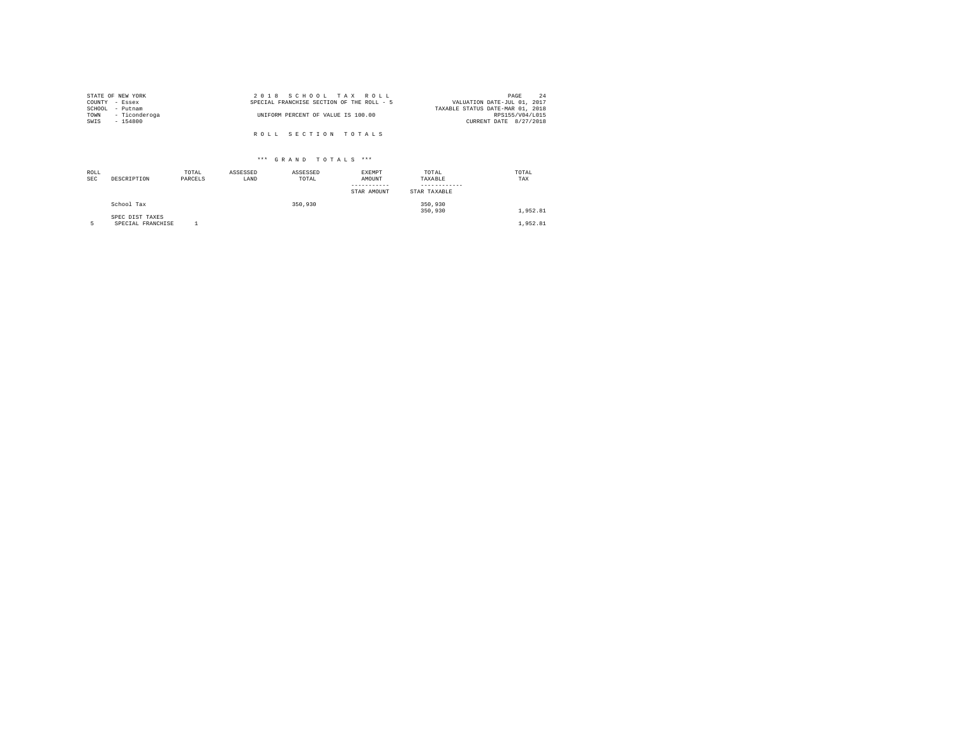|                | STATE OF NEW YORK | 2018 SCHOOL TAX ROLL                      | PAGE                        | 24 |
|----------------|-------------------|-------------------------------------------|-----------------------------|----|
| COUNTY - Essex |                   | SPECIAL FRANCHISE SECTION OF THE ROLL - 5 | VALUATION DATE-JUL 01, 2017 |    |
|                | SCHOOL - Putnam   | TAXABLE STATUS DATE-MAR 01, 2018          |                             |    |
| TOWN           | - Ticonderoga     | UNIFORM PERCENT OF VALUE IS 100.00        | RPS155/V04/L015             |    |
| SWIS           | $-154800$         |                                           | CURRENT DATE 8/27/2018      |    |
|                |                   |                                           |                             |    |
|                |                   | ROLL SECTION TOTALS                       |                             |    |

| ROLL<br><b>SEC</b> | DESCRIPTION                          | TOTAL<br>PARCELS | ASSESSED<br>LAND | ASSESSED<br>TOTAL | EXEMPT<br>AMOUNT<br>-----------<br>STAR AMOUNT | TOTAL<br>TAXABLE<br>STAR TAXABLE | TOTAL<br>TAX |
|--------------------|--------------------------------------|------------------|------------------|-------------------|------------------------------------------------|----------------------------------|--------------|
|                    | School Tax                           |                  |                  | 350,930           |                                                | 350,930<br>350,930               | 1,952.81     |
|                    | SPEC DIST TAXES<br>SPECIAL FRANCHISE |                  |                  |                   |                                                |                                  | 1,952.81     |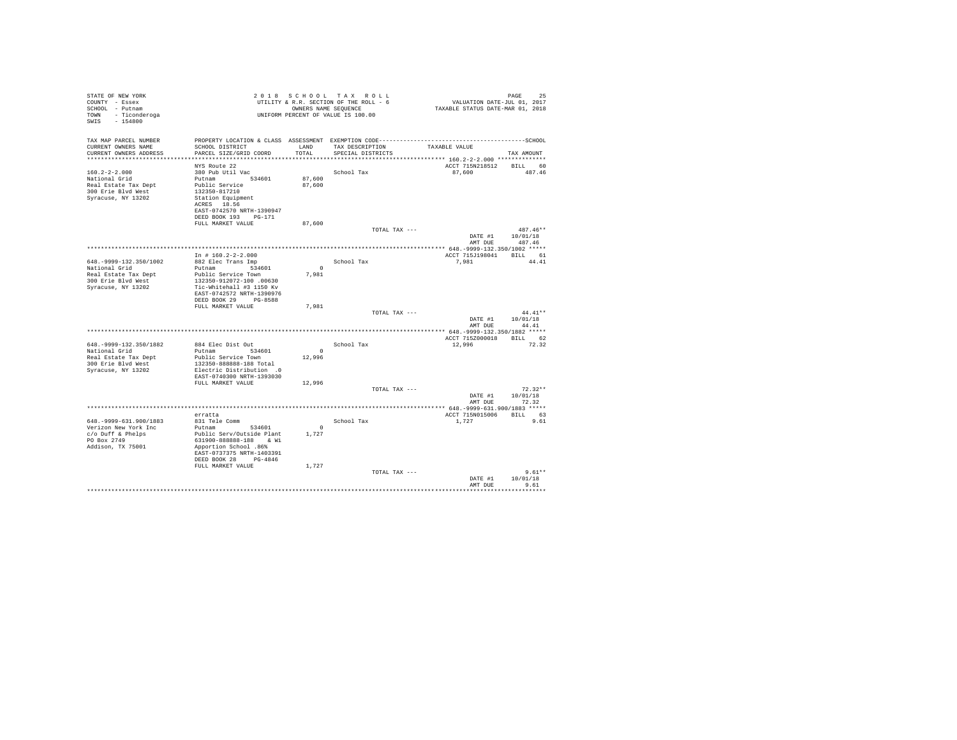| STATE OF NEW YORK<br>COUNTY - Essex<br>SCHOOL - Putnam<br>TOWN - Ticonderoga<br>$-154800$<br>SWIS              |                                                                                                                                                                                                     |                              | 2018 SCHOOL TAX ROLL<br>UTILITY & R.R. SECTION OF THE ROLL - 6<br>OWNERS NAME SEQUENCE<br>UNIFORM PERCENT OF VALUE IS 100.00 | VALUATION DATE-JUL $01, 2017$<br>TAXABLE STATUS DATE-MAR 01, 2018                                                                                                | PAGE<br>25                       |
|----------------------------------------------------------------------------------------------------------------|-----------------------------------------------------------------------------------------------------------------------------------------------------------------------------------------------------|------------------------------|------------------------------------------------------------------------------------------------------------------------------|------------------------------------------------------------------------------------------------------------------------------------------------------------------|----------------------------------|
| TAX MAP PARCEL NUMBER<br>CURRENT OWNERS NAME<br>CURRENT OWNERS ADDRESS                                         | SCHOOL DISTRICT<br>PARCEL SIZE/GRID COORD                                                                                                                                                           | LAND<br>TOTAL                | TAX DESCRIPTION<br>SPECIAL DISTRICTS                                                                                         | PROPERTY LOCATION & CLASS ASSESSMENT EXEMPTION CODE-----------------------------------SCHOOL<br>TAXABLE VALUE<br>****************** 160.2-2-2.000 ************** | TAX AMOUNT                       |
| $160.2 - 2 - 2.000$<br>National Grid<br>Real Estate Tax Dept<br>300 Erie Blvd West<br>Syracuse, NY 13202       | NYS Route 22<br>380 Pub Util Vac<br>Putnam 534601<br>Public Service<br>132350-817210<br>Station Equipment<br>ACRES 18.56<br>EAST-0742570 NRTH-1390947<br>DEED BOOK 193 PG-171                       | 87,600<br>87,600             | School Tax                                                                                                                   | ACCT 715N218512<br>87,600                                                                                                                                        | BILL 60<br>487.46                |
|                                                                                                                | FULL MARKET VALUE                                                                                                                                                                                   | 87,600                       | TOTAL TAX ---                                                                                                                | DATE #1<br>AMT DUE                                                                                                                                               | $487.46**$<br>10/01/18<br>487.46 |
|                                                                                                                |                                                                                                                                                                                                     |                              |                                                                                                                              |                                                                                                                                                                  |                                  |
| 648. - 9999 - 132. 350/1002<br>National Grid<br>Real Estate Tax Dept<br>300 Erie Blvd West                     | In # $160.2 - 2 - 2.000$<br>882 Elec Trans Imp<br>Putnam 534601<br>Public Service Town<br>132350-912072-100.00630<br>Tic-Whitehall #3 1150 Kv                                                       | $\Omega$<br>7,981            | School Tax                                                                                                                   | ACCT 715J198041 BILL 61<br>7.981                                                                                                                                 | 44.41                            |
| Syracuse, NY 13202                                                                                             | EAST-0742572 NRTH-1390976<br>DEED BOOK 29 PG-8588<br>FULL MARKET VALUE                                                                                                                              | 7,981                        | TOTAL TAX ---                                                                                                                | DATE #1                                                                                                                                                          | $44.41**$<br>10/01/18            |
|                                                                                                                |                                                                                                                                                                                                     |                              |                                                                                                                              | AMT DUE                                                                                                                                                          | 44.41                            |
| 648. - 9999-132. 350/1882<br>National Grid<br>Real Estate Tax Dept<br>300 Erie Blyd West<br>Syracuse, NY 13202 | 884 Elec Dist Out<br>Putnam 534601<br>Public Service Town<br>132350-888888-188 Total<br>Electric Distribution .0                                                                                    | $\sim$<br>12,996             | School Tax                                                                                                                   | ACCT 715Z000018 BILL 62<br>12,996                                                                                                                                | 72.32                            |
|                                                                                                                | EAST-0740300 NRTH-1393030<br>FULL MARKET VALUE                                                                                                                                                      | 12,996                       | TOTAL TAX ---                                                                                                                | DATE #1<br>AMT DUE                                                                                                                                               | $72.32**$<br>10/01/18<br>72.32   |
|                                                                                                                |                                                                                                                                                                                                     |                              |                                                                                                                              |                                                                                                                                                                  |                                  |
| 648. - 9999-631. 900/1883<br>Verizon New York Inc<br>$c$ /o Duff & Phelps<br>PO Box 2749<br>Addison, TX 75001  | erratta<br>831 Tele Comm<br>Putnam 534601<br>Public Serv/Outside Plant<br>631900-888888-188 & Wi<br>Apportion School .86%<br>EAST-0737375 NRTH-1403391<br>DEED BOOK 28 PG-4846<br>FULL MARKET VALUE | $^{\circ}$<br>1.727<br>1,727 | School Tax                                                                                                                   | ACCT 715N015006<br>1,727                                                                                                                                         | BILL 63<br>9.61                  |
|                                                                                                                |                                                                                                                                                                                                     |                              | TOTAL TAX ---                                                                                                                | DATE #1<br>AMT DUE                                                                                                                                               | $9.61**$<br>10/01/18<br>9.61     |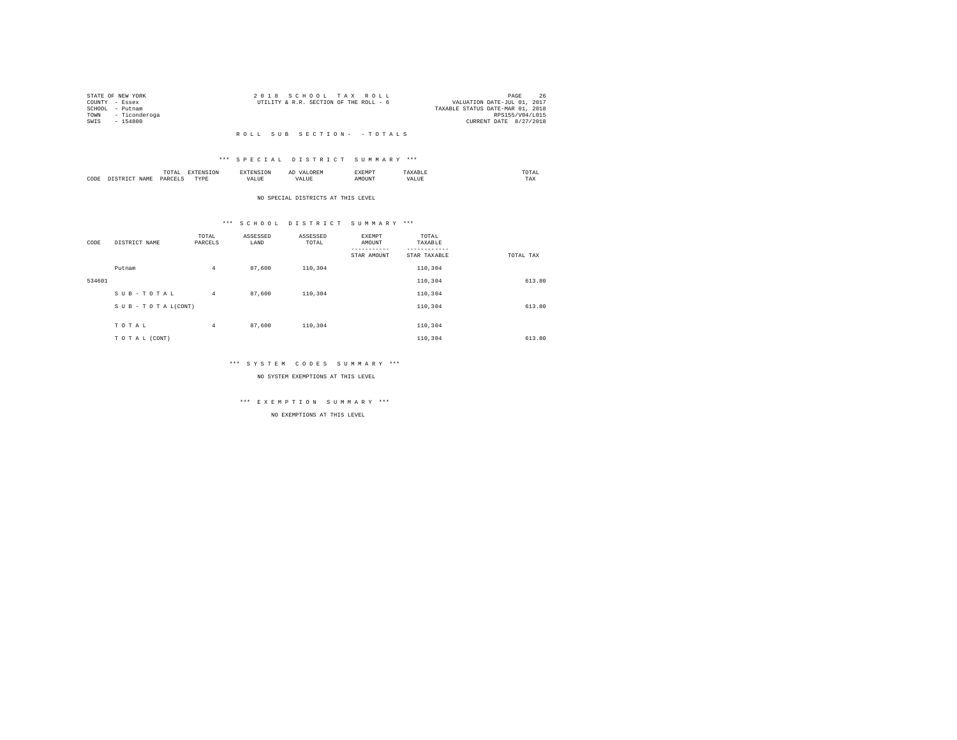|                 | STATE OF NEW YORK  | 2018 SCHOOL TAX ROLL                                                  | PAGE            | 26 |
|-----------------|--------------------|-----------------------------------------------------------------------|-----------------|----|
| COUNTY - Essex  |                    | VALUATION DATE-JUL 01, 2017<br>UTILITY & R.R. SECTION OF THE ROLL - 6 |                 |    |
| SCHOOL - Putnam |                    | TAXABLE STATUS DATE-MAR 01, 2018                                      |                 |    |
|                 | TOWN - Ticonderoga |                                                                       | RPS155/V04/L015 |    |
| SWIS            | - 154800           | CURRENT DATE 8/27/2018                                                |                 |    |
|                 |                    |                                                                       |                 |    |

#### \*\*\* S P E C I A L D I S T R I C T S U M M A R Y \*\*\*

|      |       | .             |                  |    | -- | <b>EXEMPT</b><br>----- |           | ™UIAL<br>the contract of the contract of the contract of |  |
|------|-------|---------------|------------------|----|----|------------------------|-----------|----------------------------------------------------------|--|
| CODE | 1 A M | <b>DARCEL</b> | <b>TVDL</b><br>. | ,, |    | )UN.                   | - 19<br>. | $- - - -$<br>1 A.A                                       |  |

#### NO SPECIAL DISTRICTS AT THIS LEVEL

#### \*\*\* S C H O O L D I S T R I C T S U M M A R Y \*\*\*

| CODE   | DISTRICT NAME   | TOTAL<br>PARCELS | ASSESSED<br>LAND | ASSESSED<br>TOTAL | EXEMPT<br>AMOUNT | TOTAL<br>TAXABLE |           |
|--------|-----------------|------------------|------------------|-------------------|------------------|------------------|-----------|
|        |                 |                  |                  |                   | STAR AMOUNT      | STAR TAXABLE     | TOTAL TAX |
|        | Putnam          | $\overline{4}$   | 87,600           | 110,304           |                  | 110,304          |           |
| 534601 |                 |                  |                  |                   |                  | 110,304          | 613.80    |
|        | SUB-TOTAL       | $\overline{4}$   | 87,600           | 110,304           |                  | 110,304          |           |
|        | SUB-TOTAL(CONT) |                  |                  |                   |                  | 110,304          | 613.80    |
|        |                 |                  |                  |                   |                  |                  |           |
|        | TOTAL           | $\overline{4}$   | 87,600           | 110,304           |                  | 110,304          |           |
|        | TO TAL (CONT)   |                  |                  |                   |                  | 110,304          | 613.80    |

#### \*\*\* S Y S T E M C O D E S S U M M A R Y \*\*\*

NO SYSTEM EXEMPTIONS AT THIS LEVEL

# \*\*\* E X E M P T I O N S U M M A R Y \*\*\*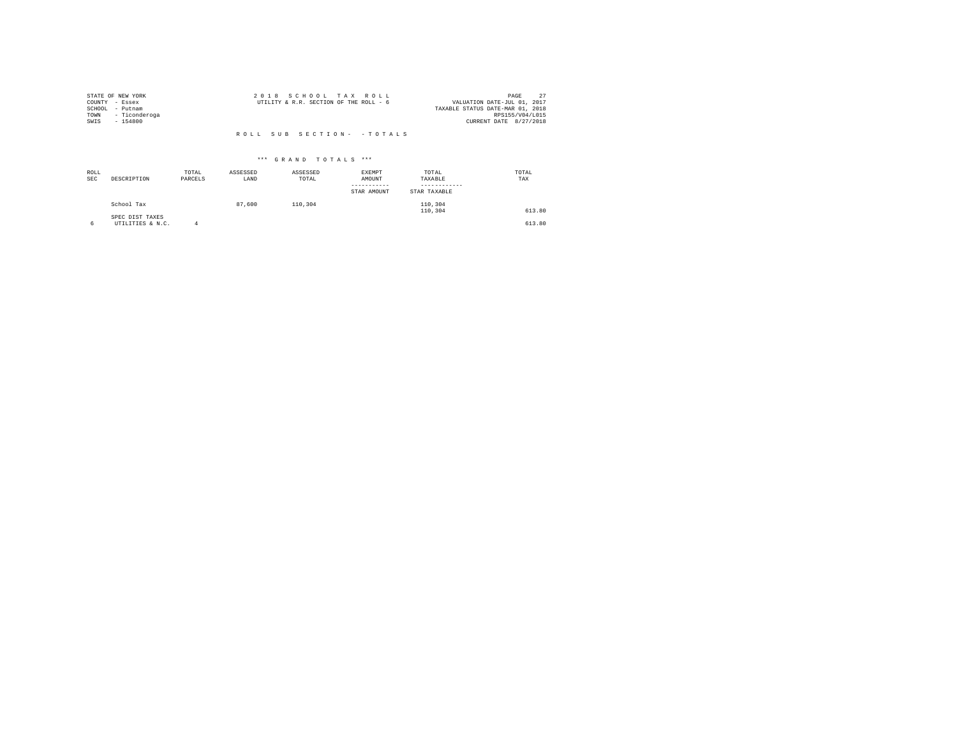| STATE OF NEW YORK     | 2018 SCHOOL TAX ROLL                   | PAGE                             |
|-----------------------|----------------------------------------|----------------------------------|
| COUNTY<br>- Essex     | UTILITY & R.R. SECTION OF THE ROLL - 6 | VALUATION DATE-JUL 01, 2017      |
| SCHOOL<br>- Putnam    |                                        | TAXABLE STATUS DATE-MAR 01, 2018 |
| - Ticonderoga<br>TOWN |                                        | RPS155/V04/L015                  |
| SWIS<br>$-154800$     |                                        | CURRENT DATE 8/27/2018           |
|                       |                                        |                                  |

| ROLL<br><b>SEC</b> | DESCRIPTION                         | TOTAL<br>PARCELS | ASSESSED<br>LAND | ASSESSED<br>TOTAL | EXEMPT<br>AMOUNT<br>--------<br>STAR AMOUNT | TOTAL<br>TAXABLE<br>STAR TAXABLE | TOTAL<br>TAX |
|--------------------|-------------------------------------|------------------|------------------|-------------------|---------------------------------------------|----------------------------------|--------------|
|                    | School Tax                          |                  | 87,600           | 110,304           |                                             | 110,304<br>110,304               | 613.80       |
| 6                  | SPEC DIST TAXES<br>UTILITIES & N.C. |                  |                  |                   |                                             |                                  | 613.80       |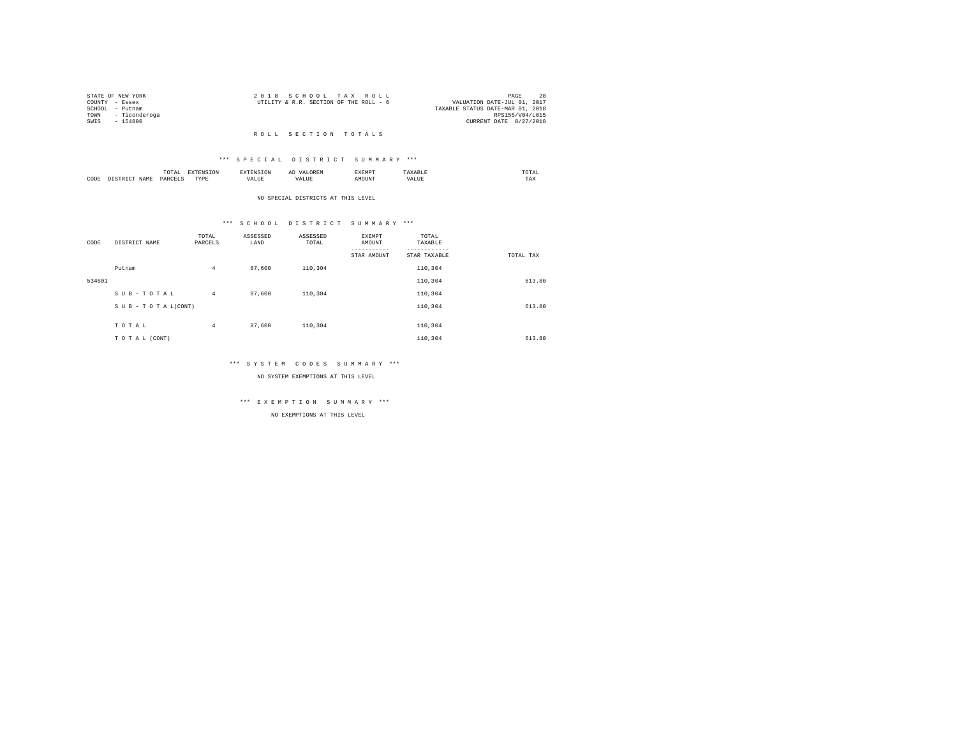|                 | STATE OF NEW YORK  | 2018 SCHOOL TAX ROLL                                                  | PAGE            | 28 |
|-----------------|--------------------|-----------------------------------------------------------------------|-----------------|----|
| COUNTY - Essex  |                    | VALUATION DATE-JUL 01, 2017<br>UTILITY & R.R. SECTION OF THE ROLL - 6 |                 |    |
| SCHOOL - Putnam |                    | TAXABLE STATUS DATE-MAR 01, 2018                                      |                 |    |
|                 | TOWN - Ticonderoga |                                                                       | RPS155/V04/L015 |    |
| SWTS            | - 154800           | CURRENT DATE 8/27/2018                                                |                 |    |
|                 |                    |                                                                       |                 |    |

#### R O L L S E C T I O N T O T A L S

#### \*\*\* S P E C I A L D I S T R I C T S U M M A R Y \*\*\*

|      |       | .<br>the contract of the contract of the contract of | the contract of the contract of the contract of the contract of the contract of |          | АΙ<br>. | <b>RYEMPT</b> |              | UIAL<br>the contract of the contract of the contract of |
|------|-------|------------------------------------------------------|---------------------------------------------------------------------------------|----------|---------|---------------|--------------|---------------------------------------------------------|
| CODE | 1 A M | $0 \Delta F'$                                        | <b>TVD</b><br>.                                                                 | $\cdots$ |         | ۱UN.          | n<br>حائلاته | ----<br>1'AX                                            |

#### NO SPECIAL DISTRICTS AT THIS LEVEL

#### \*\*\* S C H O O L D I S T R I C T S U M M A R Y \*\*\*

| CODE   | DISTRICT NAME   | TOTAL<br>PARCELS | ASSESSED<br>LAND | ASSESSED<br>TOTAL | EXEMPT<br>AMOUNT<br>STAR AMOUNT | TOTAL<br>TAXABLE<br>---------<br>STAR TAXABLE | TOTAL TAX |
|--------|-----------------|------------------|------------------|-------------------|---------------------------------|-----------------------------------------------|-----------|
|        | Putnam          | $\overline{4}$   | 87,600           | 110,304           |                                 | 110,304                                       |           |
| 534601 |                 |                  |                  |                   |                                 | 110,304                                       | 613.80    |
|        | SUB-TOTAL       | $\overline{4}$   | 87,600           | 110,304           |                                 | 110,304                                       |           |
|        | SUB-TOTAL(CONT) |                  |                  |                   |                                 | 110,304                                       | 613.80    |
|        | TOTAL           | $\overline{4}$   | 87,600           | 110,304           |                                 | 110,304                                       |           |
|        | TO TAL (CONT)   |                  |                  |                   |                                 | 110,304                                       | 613.80    |

#### \*\*\* S Y S T E M C O D E S S U M M A R Y \*\*\*

NO SYSTEM EXEMPTIONS AT THIS LEVEL

# \*\*\* E X E M P T I O N S U M M A R Y \*\*\*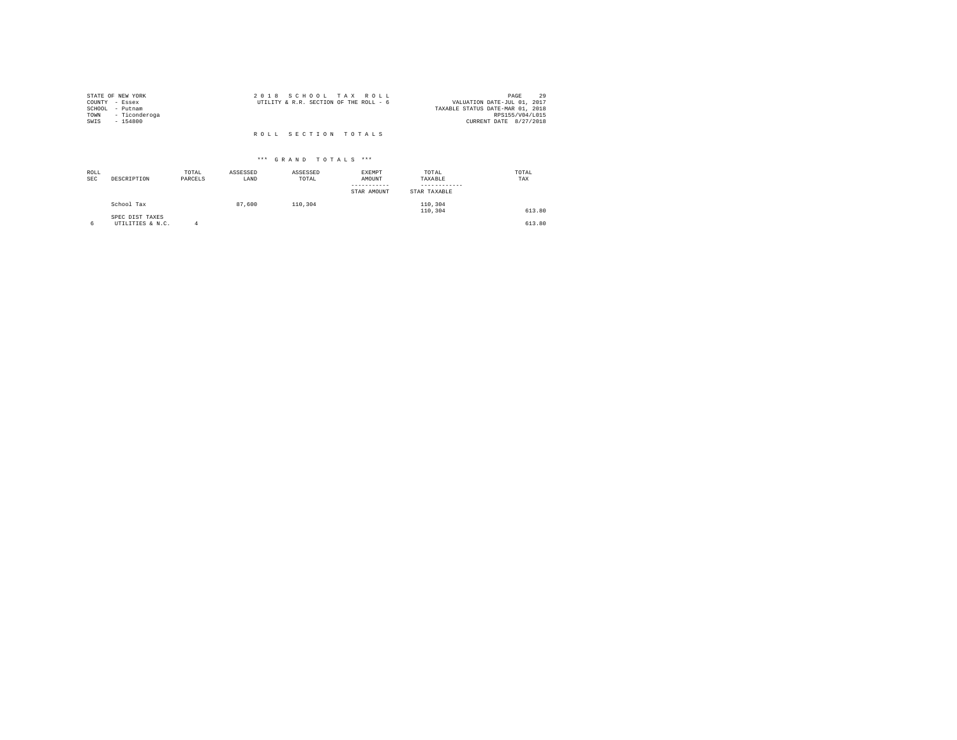| STATE OF NEW YORK<br>COUNTY - Essex<br>SCHOOL<br>- Putnam<br>- Ticonderoga<br>TOWN<br>SWIS<br>$-154800$ | 2018 SCHOOL TAX ROLL<br>UTILITY & R.R. SECTION OF THE ROLL - 6 | 29<br>PAGE<br>VALUATION DATE-JUL 01, 2017<br>TAXABLE STATUS DATE-MAR 01, 2018<br>RPS155/V04/L015<br>CURRENT DATE 8/27/2018 |
|---------------------------------------------------------------------------------------------------------|----------------------------------------------------------------|----------------------------------------------------------------------------------------------------------------------------|
|                                                                                                         | ROLL SECTION TOTALS                                            |                                                                                                                            |

| ROLL<br><b>SEC</b> | DESCRIPTION                         | TOTAL<br>PARCELS | ASSESSED<br>LAND | ASSESSED<br>TOTAL | EXEMPT<br>AMOUNT<br>STAR AMOUNT | TOTAL<br>TAXABLE<br>STAR TAXABLE | TOTAL<br>TAX |
|--------------------|-------------------------------------|------------------|------------------|-------------------|---------------------------------|----------------------------------|--------------|
|                    | School Tax                          |                  | 87,600           | 110,304           |                                 | 110,304<br>110,304               | 613.80       |
| 6                  | SPEC DIST TAXES<br>UTILITIES & N.C. | Δ                |                  |                   |                                 |                                  | 613.80       |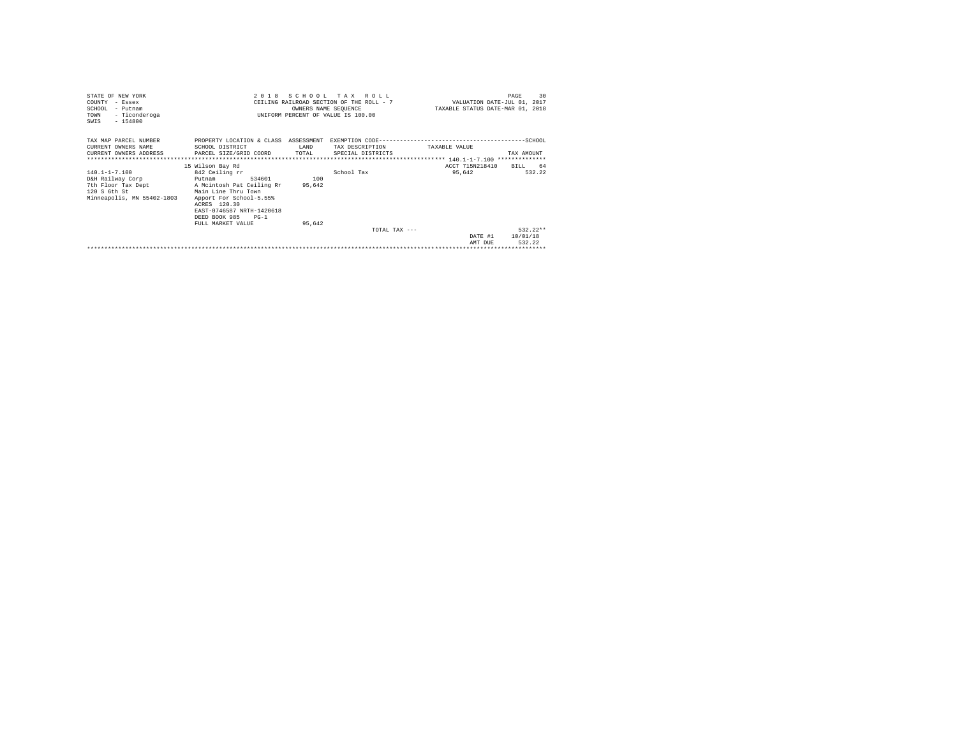| STATE OF NEW YORK<br>COUNTY - Essex<br>SCHOOL - Putnam<br>- Ticonderoga<br>TOWN<br>$-154800$<br>SWIS  | 2018                                                                                                                                                                                                                               | OWNERS NAME SEQUENCE    | SCHOOL TAX ROLL<br>CEILING RAILROAD SECTION OF THE ROLL - 7<br>UNIFORM PERCENT OF VALUE IS 100.00 | VALUATION DATE-JUL 01, 2017<br>TAXABLE STATUS DATE-MAR 01, 2018 | 30<br>PAGE                       |
|-------------------------------------------------------------------------------------------------------|------------------------------------------------------------------------------------------------------------------------------------------------------------------------------------------------------------------------------------|-------------------------|---------------------------------------------------------------------------------------------------|-----------------------------------------------------------------|----------------------------------|
| TAX MAP PARCEL NUMBER<br>CURRENT OWNERS NAME<br>**************************                            | PROPERTY LOCATION & CLASS ASSESSMENT<br>SCHOOL DISTRICT<br>CURRENT OWNERS ADDRESS PARCEL SIZE/GRID COORD                                                                                                                           | T.AND<br>TOTAL          | TAX DESCRIPTION<br>SPECIAL DISTRICTS                                                              | TAXABLE VALUE                                                   | TAX AMOUNT                       |
| 140.1-1-7.100<br>D&H Railway Corp<br>7th Floor Tax Dept<br>120 S 6th St<br>Minneapolis, MN 55402-1803 | 15 Wilson Bay Rd<br>842 Ceiling rr<br>534601<br>Putnam<br>A Mcintosh Pat Ceiling Rr<br>Main Line Thru Town<br>Apport For School-5.55%<br>ACRES 120.30<br>EAST-0746587 NRTH-1420618<br>DEED BOOK 985<br>$PG-1$<br>FULL MARKET VALUE | 100<br>95,642<br>95.642 | School Tax                                                                                        | ACCT 715N218410<br>95,642                                       | 64<br>BTLL.<br>532.22            |
|                                                                                                       |                                                                                                                                                                                                                                    |                         | TOTAL TAX $---$                                                                                   | DATE #1<br>AMT DUE                                              | $532.22**$<br>10/01/18<br>532.22 |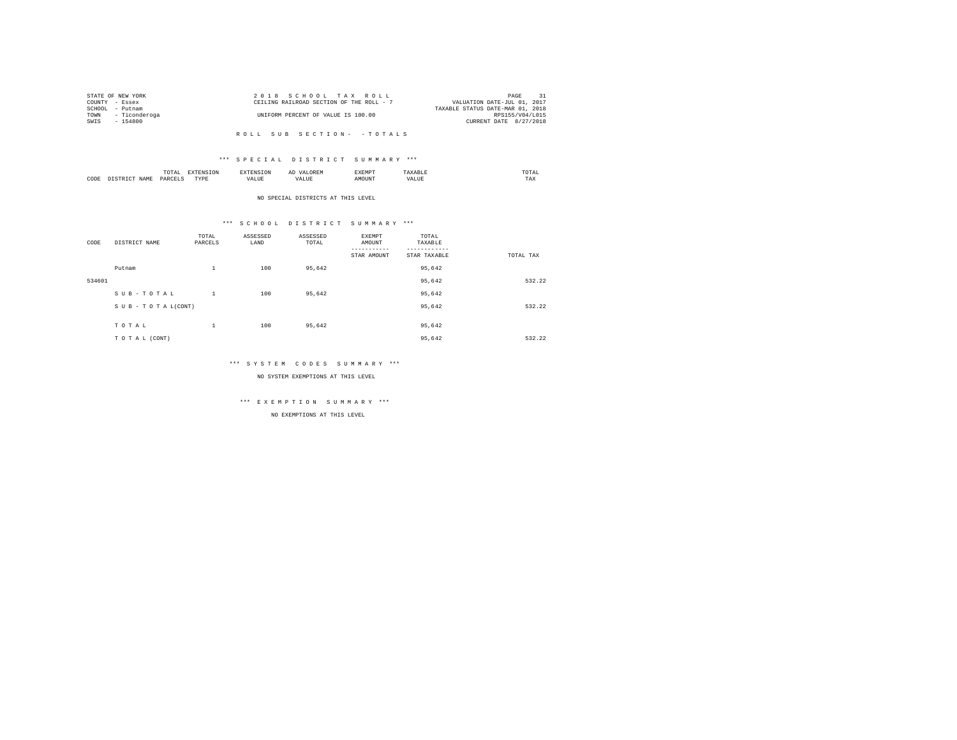|                | STATE OF NEW YORK | 2018 SCHOOL TAX ROLL                                                    | PAGE                   |  |
|----------------|-------------------|-------------------------------------------------------------------------|------------------------|--|
| COUNTY - Essex |                   | VALUATION DATE-JUL 01, 2017<br>CEILING RAILROAD SECTION OF THE ROLL - 7 |                        |  |
|                | SCHOOL - Putnam   | TAXABLE STATUS DATE-MAR 01, 2018                                        |                        |  |
| TOWN           | - Ticonderoga     | UNIFORM PERCENT OF VALUE IS 100.00                                      | RPS155/V04/L015        |  |
| SWIS           | - 154800          |                                                                         | CURRENT DATE 8/27/2018 |  |
|                |                   |                                                                         |                        |  |

#### \*\*\* S P E C I A L D I S T R I C T S U M M A R Y \*\*\*

|      | .<br>the contract of the contract of the contract of | the contract of the contract of the contract of the contract of the contract of |         | ▵<br>a. |              |     | the contract of the contract of the contract of |
|------|------------------------------------------------------|---------------------------------------------------------------------------------|---------|---------|--------------|-----|-------------------------------------------------|
| CODE | DARCEL'<br>.                                         | $- - - -$<br>.                                                                  | ''Alili |         | <b>NETNE</b> | $-$ | ---<br>1'A.X                                    |

NO SPECIAL DISTRICTS AT THIS LEVEL

#### \*\*\* S C H O O L D I S T R I C T S U M M A R Y \*\*\*

| CODE   | DISTRICT NAME   | TOTAL<br>PARCELS | ASSESSED<br>LAND | ASSESSED<br>TOTAL | EXEMPT<br>AMOUNT | TOTAL<br>TAXABLE |           |
|--------|-----------------|------------------|------------------|-------------------|------------------|------------------|-----------|
|        |                 |                  |                  |                   | STAR AMOUNT      | STAR TAXABLE     | TOTAL TAX |
|        | Putnam          | $\mathbf{1}$     | 100              | 95,642            |                  | 95,642           |           |
| 534601 |                 |                  |                  |                   |                  | 95,642           | 532.22    |
|        | SUB-TOTAL       | $\mathbf{1}$     | 100              | 95.642            |                  | 95,642           |           |
|        | SUB-TOTAL(CONT) |                  |                  |                   |                  | 95,642           | 532.22    |
|        |                 |                  |                  |                   |                  |                  |           |
|        | TOTAL           | $\,1\,$          | 100              | 95,642            |                  | 95,642           |           |
|        | TO TAL (CONT)   |                  |                  |                   |                  | 95.642           | 532.22    |

#### \*\*\* S Y S T E M C O D E S S U M M A R Y \*\*\*

NO SYSTEM EXEMPTIONS AT THIS LEVEL

# \*\*\* E X E M P T I O N S U M M A R Y \*\*\*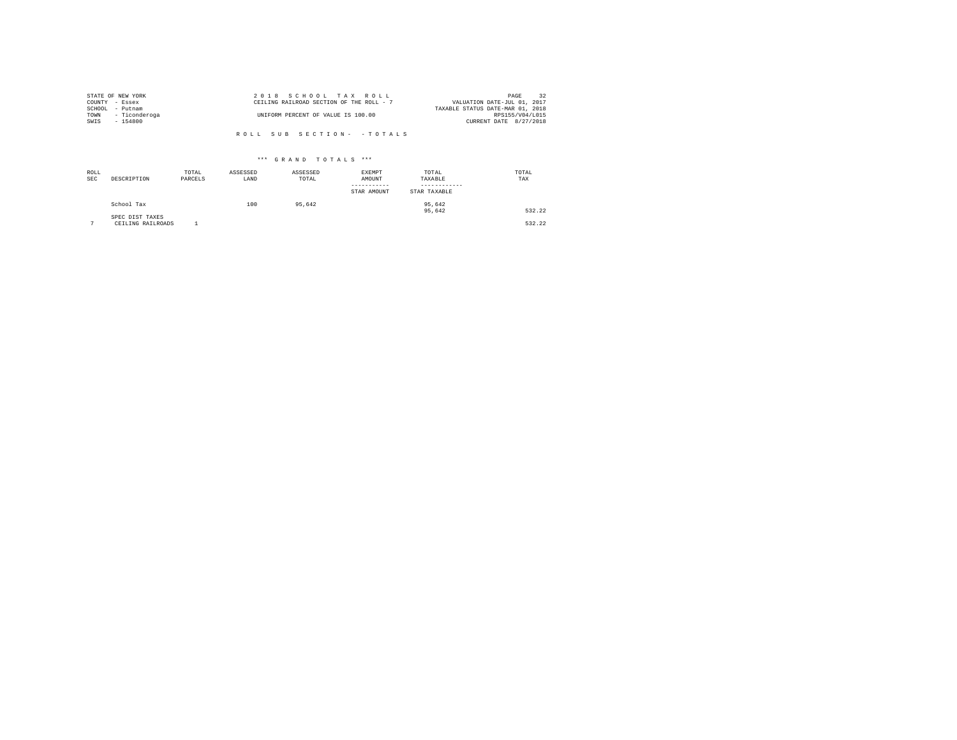|      | STATE OF NEW YORK  | 2018 SCHOOL TAX ROLL                     | 32<br>PAGE                       |
|------|--------------------|------------------------------------------|----------------------------------|
|      | COUNTY - Essex     | CEILING RAILROAD SECTION OF THE ROLL - 7 | VALUATION DATE-JUL 01, 2017      |
|      | SCHOOL - Putnam    |                                          | TAXABLE STATUS DATE-MAR 01, 2018 |
|      | TOWN - Ticonderoga | UNIFORM PERCENT OF VALUE IS 100.00       | RPS155/V04/L015                  |
| SWIS | - 154800           |                                          | CURRENT DATE 8/27/2018           |
|      |                    |                                          |                                  |
|      |                    | ROLL SUB SECTION- - TOTALS               |                                  |

| ROLL<br><b>SEC</b> | DESCRIPTION                          | TOTAL<br>PARCELS | ASSESSED<br>LAND | ASSESSED<br>TOTAL | EXEMPT<br>AMOUNT<br>STAR AMOUNT | TOTAL<br>TAXABLE<br>STAR TAXABLE | TOTAL<br>TAX |
|--------------------|--------------------------------------|------------------|------------------|-------------------|---------------------------------|----------------------------------|--------------|
|                    | School Tax                           |                  | 100              | 95.642            |                                 | 95,642<br>95,642                 | 532.22       |
| $\sim$             | SPEC DIST TAXES<br>CEILING RAILROADS |                  |                  |                   |                                 |                                  | 532.22       |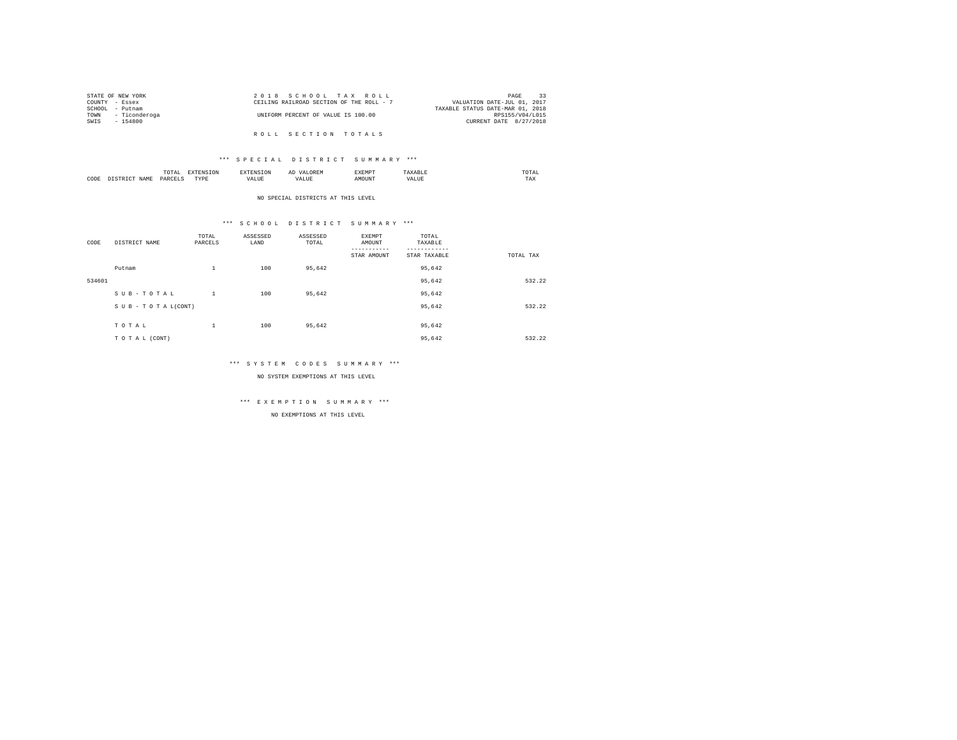| STATE OF NEW YORK |               | 2018 SCHOOL TAX ROLL                     |  |  | -33<br>PAGE                      |
|-------------------|---------------|------------------------------------------|--|--|----------------------------------|
| COUNTY - Essex    |               | CEILING RAILROAD SECTION OF THE ROLL - 7 |  |  | VALUATION DATE-JUL 01, 2017      |
| SCHOOL            | - Putnam      |                                          |  |  | TAXABLE STATUS DATE-MAR 01, 2018 |
| TOWN              | - Ticonderoga | UNIFORM PERCENT OF VALUE IS 100.00       |  |  | RPS155/V04/L015                  |
| SWIS              | - 154800      |                                          |  |  | CURRENT DATE 8/27/2018           |
|                   |               |                                          |  |  |                                  |
|                   |               | ROLL SECTION TOTALS                      |  |  |                                  |

|      | $\cdots$  |   | ▵ |     | the contract of the contract of the contract of |
|------|-----------|---|---|-----|-------------------------------------------------|
| CODE | ⊃¤¤ר<br>. | . |   | $-$ | ---<br>1'A.X                                    |

NO SPECIAL DISTRICTS AT THIS LEVEL

# \*\*\* S C H O O L D I S T R I C T S U M M A R Y \*\*\*

| CODE   | DISTRICT NAME   | TOTAL<br>PARCELS | ASSESSED<br>LAND | ASSESSED<br>TOTAL | EXEMPT<br>AMOUNT | TOTAL<br>TAXABLE |           |
|--------|-----------------|------------------|------------------|-------------------|------------------|------------------|-----------|
|        |                 |                  |                  |                   | STAR AMOUNT      | STAR TAXABLE     | TOTAL TAX |
|        | Putnam          | $\mathbf{1}$     | 100              | 95,642            |                  | 95,642           |           |
| 534601 |                 |                  |                  |                   |                  | 95,642           | 532.22    |
|        | SUB-TOTAL       | 1                | 100              | 95,642            |                  | 95,642           |           |
|        | SUB-TOTAL(CONT) |                  |                  |                   |                  | 95,642           | 532.22    |
|        |                 |                  |                  |                   |                  |                  |           |
|        | TOTAL           | $\,1\,$          | 100              | 95,642            |                  | 95,642           |           |
|        | TO TAL (CONT)   |                  |                  |                   |                  | 95,642           | 532.22    |

#### \*\*\* S Y S T E M C O D E S S U M M A R Y \*\*\*

NO SYSTEM EXEMPTIONS AT THIS LEVEL

# \*\*\* E X E M P T I O N S U M M A R Y \*\*\*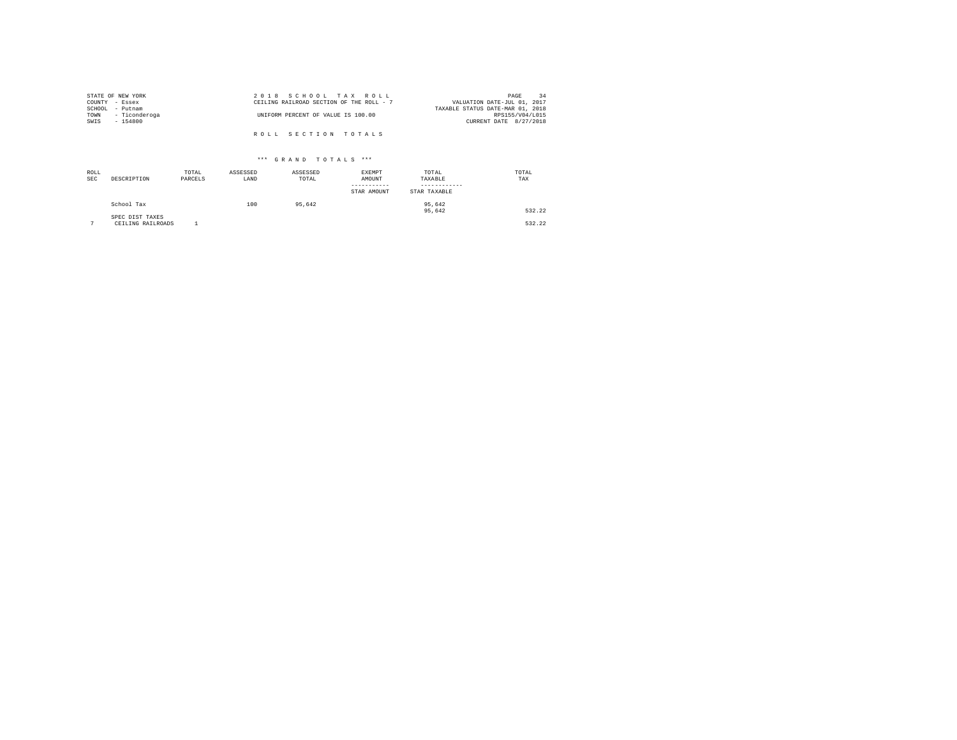|                | STATE OF NEW YORK | 2018 SCHOOL TAX ROLL                                                    | PAGE            | 34 |
|----------------|-------------------|-------------------------------------------------------------------------|-----------------|----|
| COUNTY - Essex |                   | CEILING RAILROAD SECTION OF THE ROLL - 7<br>VALUATION DATE-JUL 01, 2017 |                 |    |
|                | SCHOOL - Putnam   | TAXABLE STATUS DATE-MAR 01, 2018                                        |                 |    |
| TOWN           | - Ticonderoga     | UNIFORM PERCENT OF VALUE IS 100.00                                      | RPS155/V04/L015 |    |
| SWIS           | $-154800$         | CURRENT DATE 8/27/2018                                                  |                 |    |
|                |                   |                                                                         |                 |    |
|                |                   | ROLL SECTION TOTALS                                                     |                 |    |

| ROLL<br><b>SEC</b> | DESCRIPTION                          | TOTAL<br>PARCELS | ASSESSED<br>LAND | ASSESSED<br>TOTAL | <b>EXEMPT</b><br>AMOUNT<br>-----------<br>STAR AMOUNT | TOTAL<br>TAXABLE<br>STAR TAXABLE | TOTAL<br>TAX |
|--------------------|--------------------------------------|------------------|------------------|-------------------|-------------------------------------------------------|----------------------------------|--------------|
|                    | School Tax                           |                  | 100              | 95.642            |                                                       | 95.642<br>95,642                 | 532.22       |
| $\sim$             | SPEC DIST TAXES<br>CEILING RAILROADS |                  |                  |                   |                                                       |                                  | 532.22       |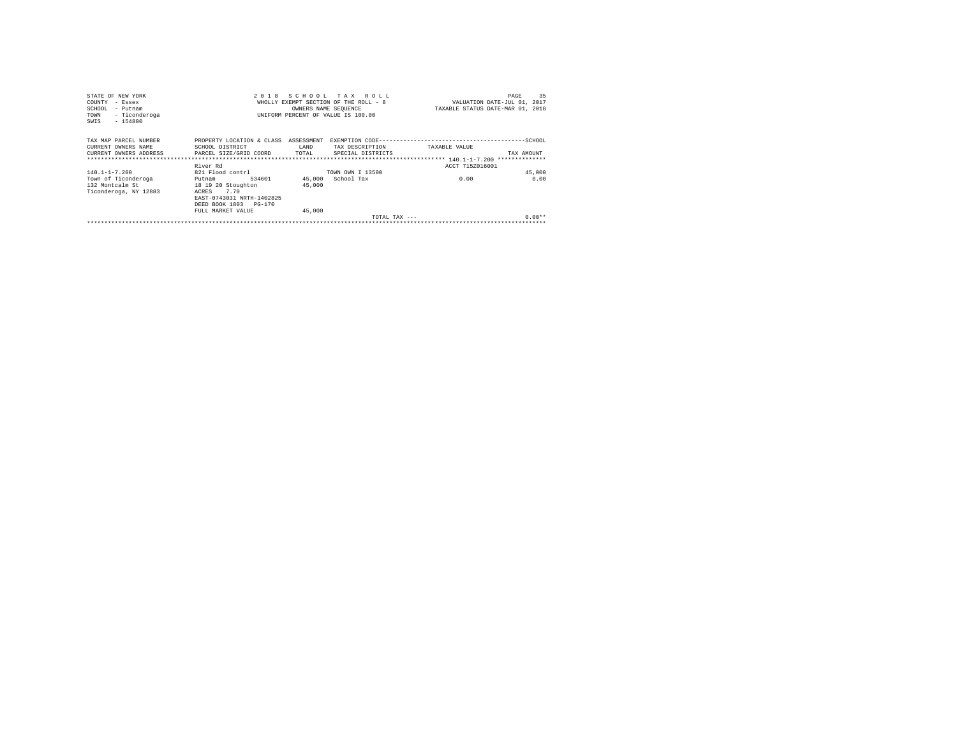| STATE OF NEW YORK                          | 2018                       |                      | SCHOOL TAX ROLL                       |                                  | 35<br>PAGE                  |
|--------------------------------------------|----------------------------|----------------------|---------------------------------------|----------------------------------|-----------------------------|
| COUNTY<br>- Essex                          |                            |                      | WHOLLY EXEMPT SECTION OF THE ROLL - 8 |                                  | VALUATION DATE-JUL 01, 2017 |
| SCHOOL<br>- Putnam                         |                            | OWNERS NAME SEOUENCE |                                       | TAXABLE STATUS DATE-MAR 01, 2018 |                             |
| - Ticonderoga<br>TOWN<br>SWIS<br>$-154800$ |                            |                      | UNIFORM PERCENT OF VALUE IS 100.00    |                                  |                             |
| TAX MAP PARCEL NUMBER                      | PROPERTY LOCATION & CLASS  | ASSESSMENT           |                                       |                                  |                             |
| CURRENT OWNERS NAME                        | SCHOOL DISTRICT            | LAND                 | TAX DESCRIPTION                       | TAXABLE VALUE                    |                             |
| CURRENT OWNERS ADDRESS                     | PARCEL SIZE/GRID COORD     | TOTAL                | SPECIAL DISTRICTS                     |                                  | TAX AMOUNT                  |
|                                            |                            |                      |                                       |                                  |                             |
|                                            | River Rd                   |                      |                                       | ACCT 715Z016001                  |                             |
| $140.1 - 1 - 7.200$                        | 821 Flood contrl           |                      | TOWN OWN I 13500                      |                                  | 45,000                      |
| Town of Ticonderoga                        | 534601<br>Putnam           |                      | 45,000 School Tax                     | 0.00                             | 0.00                        |
| 132 Montcalm St                            | 18 19 20 Stoughton         | 45,000               |                                       |                                  |                             |
| Ticonderoga, NY 12883                      | ACRES<br>7.70              |                      |                                       |                                  |                             |
|                                            | EAST-0743031 NRTH-1402825  |                      |                                       |                                  |                             |
|                                            | DEED BOOK 1803<br>$PG-170$ |                      |                                       |                                  |                             |
|                                            | FULL MARKET VALUE          | 45,000               |                                       |                                  |                             |
|                                            |                            |                      | TOTAL TAX $---$                       |                                  | $0.00**$                    |
|                                            |                            |                      |                                       |                                  |                             |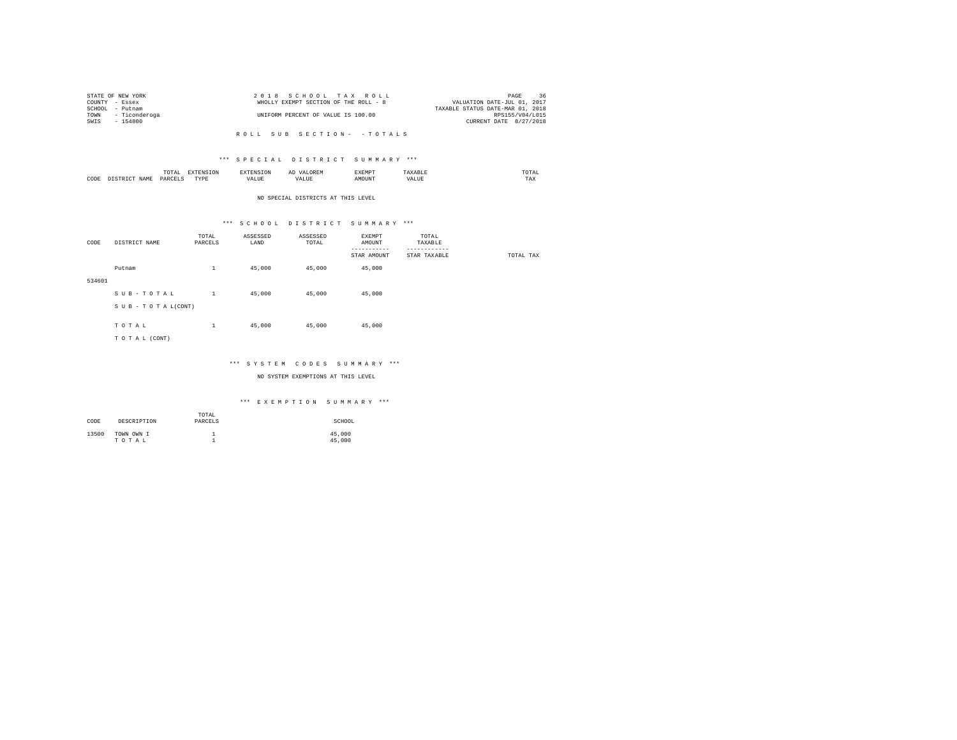|  |                                                                                          | PAGE                 | 36                                                                                                           |
|--|------------------------------------------------------------------------------------------|----------------------|--------------------------------------------------------------------------------------------------------------|
|  | WHOLLY EXEMPT SECTION OF THE ROLL - 8                                                    |                      |                                                                                                              |
|  |                                                                                          |                      |                                                                                                              |
|  | UNIFORM PERCENT OF VALUE IS 100.00                                                       |                      |                                                                                                              |
|  |                                                                                          |                      |                                                                                                              |
|  | STATE OF NEW YORK<br>COUNTY - Essex<br>SCHOOL - Putnam<br>TOWN - Ticonderoga<br>- 154800 | 2018 SCHOOL TAX ROLL | VALUATION DATE-JUL 01, 2017<br>TAXABLE STATUS DATE-MAR 01, 2018<br>RPS155/V04/L015<br>CURRENT DATE 8/27/2018 |

#### \*\*\* S P E C I A L D I S T R I C T S U M M A R Y \*\*\*

|      |   | moms<br>TAI<br>the contract of the contract of the contract of | the contract of the contract of the contract of the contract of the contract of | SION  | д١ | <b>************</b><br>ہ دے تا | .      | the contract of the contract of the contract of |
|------|---|----------------------------------------------------------------|---------------------------------------------------------------------------------|-------|----|--------------------------------|--------|-------------------------------------------------|
| CODE | . | PARCEL                                                         | <b>TVDL</b><br>.                                                                | 'ALUL | .  | MOTIN'                         | $\sim$ | 1 M.A                                           |

#### NO SPECIAL DISTRICTS AT THIS LEVEL

#### \*\*\* S C H O O L D I S T R I C T S U M M A R Y \*\*\*

| CODE   | DISTRICT NAME      | TOTAL<br>PARCELS | ASSESSED<br>LAND | ASSESSED<br>TOTAL | EXEMPT<br>AMOUNT        | TOTAL<br>TAXABLE         |           |
|--------|--------------------|------------------|------------------|-------------------|-------------------------|--------------------------|-----------|
|        |                    |                  |                  |                   | --------<br>STAR AMOUNT | --------<br>STAR TAXABLE | TOTAL TAX |
|        | Putnam             | $\mathbf{1}$     | 45,000           | 45,000            | 45,000                  |                          |           |
| 534601 |                    |                  |                  |                   |                         |                          |           |
|        | SUB-TOTAL          | $\mathbf{1}$     | 45,000           | 45,000            | 45,000                  |                          |           |
|        | SUB - TO TAL(CONT) |                  |                  |                   |                         |                          |           |
|        | TOTAL              | $\mathbf{1}$     | 45,000           | 45,000            | 45,000                  |                          |           |
|        | TO TAL (CONT)      |                  |                  |                   |                         |                          |           |
|        |                    |                  |                  |                   |                         |                          |           |

#### \*\*\* S Y S T E M C O D E S S U M M A R Y \*\*\*

#### NO SYSTEM EXEMPTIONS AT THIS LEVEL

| CODE  | DESCRIPTION         | TOTAL<br>PARCELS | SCHOOL           |
|-------|---------------------|------------------|------------------|
| 13500 | TOWN OWN I<br>TOTAL |                  | 45,000<br>45,000 |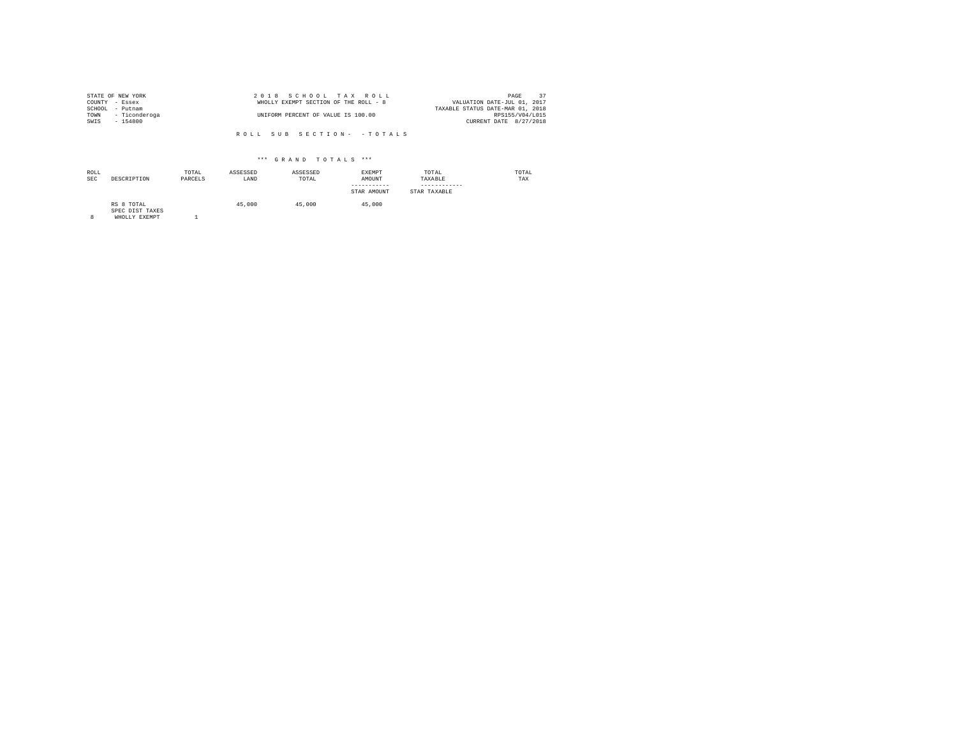| STATE OF NEW YORK |                    | 2018 SCHOOL TAX ROLL                  | 37<br>PAGE                       |
|-------------------|--------------------|---------------------------------------|----------------------------------|
| COUNTY - Essex    |                    | WHOLLY EXEMPT SECTION OF THE ROLL - 8 | VALUATION DATE-JUL 01, 2017      |
| SCHOOL            | - Putnam           |                                       | TAXABLE STATUS DATE-MAR 01, 2018 |
|                   | TOWN - Ticonderoga | UNIFORM PERCENT OF VALUE IS 100.00    | RPS155/V04/L015                  |
| SWIS              | - 154800           |                                       | CURRENT DATE 8/27/2018           |

| ROLL<br><b>SEC</b> | DESCRIPTION                                    | TOTAL<br>PARCELS | ASSESSED<br>LAND | ASSESSED<br>TOTAL | <b>EXEMPT</b><br>AMOUNT<br>-----------<br>STAR AMOUNT | TOTAL<br>TAXABLE<br>STAR TAXABLE | TOTAL<br>TAX |
|--------------------|------------------------------------------------|------------------|------------------|-------------------|-------------------------------------------------------|----------------------------------|--------------|
| 8                  | RS 8 TOTAL<br>SPEC DIST TAXES<br>WHOLLY EXEMPT |                  | 45,000           | 45,000            | 45,000                                                |                                  |              |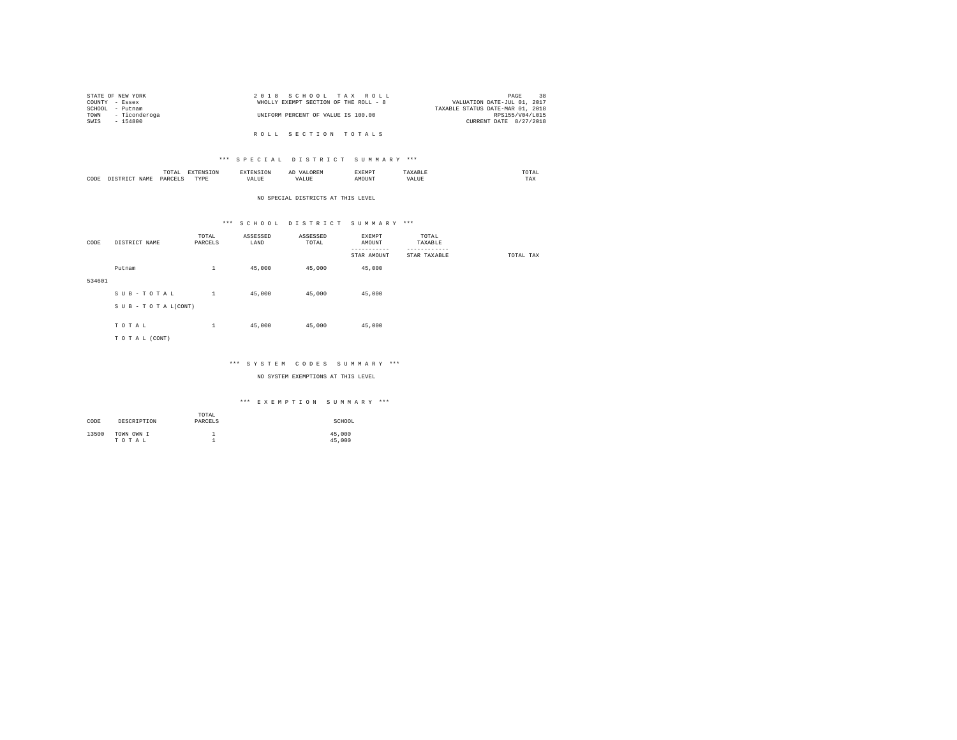|                | STATE OF NEW YORK | 2018 SCHOOL TAX ROLL                                                 | 38<br>PAGE             |
|----------------|-------------------|----------------------------------------------------------------------|------------------------|
| COUNTY - Essex |                   | WHOLLY EXEMPT SECTION OF THE ROLL - 8<br>VALUATION DATE-JUL 01, 2017 |                        |
|                | SCHOOL - Putnam   | TAXABLE STATUS DATE-MAR 01, 2018                                     |                        |
| TOWN           | - Ticonderoga     | UNIFORM PERCENT OF VALUE IS 100.00                                   | RPS155/V04/L015        |
| SWIS           | - 154800          |                                                                      | CURRENT DATE 8/27/2018 |
|                |                   |                                                                      |                        |
|                |                   | ROLL SECTION TOTALS                                                  |                        |

|      | $m \wedge m$<br>.<br>the contract of the contract of the contract of | the contract of the contract of the contract of the contract of the contract of | $\cdots$<br>and the contract of the contract of the contract of the contract of the contract of the contract of the contract of the contract of the contract of the contract of the contract of the contract of the contract of the contra | . | , , , ,<br>the contract of the contract of the contract of |
|------|----------------------------------------------------------------------|---------------------------------------------------------------------------------|--------------------------------------------------------------------------------------------------------------------------------------------------------------------------------------------------------------------------------------------|---|------------------------------------------------------------|
| CODE | YAR                                                                  | <b>TVD</b><br>.                                                                 | uUi                                                                                                                                                                                                                                        |   | 77.3.37<br>⊥n∧                                             |

NO SPECIAL DISTRICTS AT THIS LEVEL

# \*\*\* S C H O O L D I S T R I C T S U M M A R Y \*\*\*

| CODE   | DISTRICT NAME   | TOTAL<br>PARCELS | ASSESSED<br>LAND | ASSESSED<br>TOTAL | EXEMPT<br>AMOUNT<br>--------- | TOTAL<br>TAXABLE<br>--------- |           |
|--------|-----------------|------------------|------------------|-------------------|-------------------------------|-------------------------------|-----------|
|        |                 |                  |                  |                   | STAR AMOUNT                   | STAR TAXABLE                  | TOTAL TAX |
|        | Putnam          | $\mathbf{1}$     | 45,000           | 45,000            | 45,000                        |                               |           |
| 534601 |                 |                  |                  |                   |                               |                               |           |
|        | SUB-TOTAL       | $\mathbf{1}$     | 45,000           | 45,000            | 45,000                        |                               |           |
|        | SUB-TOTAL(CONT) |                  |                  |                   |                               |                               |           |
|        | TOTAL           | $\mathbf{1}$     | 45,000           | 45,000            | 45,000                        |                               |           |
|        | TO TAL (CONT)   |                  |                  |                   |                               |                               |           |
|        |                 |                  |                  |                   |                               |                               |           |

# \*\*\* S Y S T E M C O D E S S U M M A R Y \*\*\*

NO SYSTEM EXEMPTIONS AT THIS LEVEL

| CODE  | DESCRIPTION         | TOTAL<br>PARCELS | SCHOOL           |
|-------|---------------------|------------------|------------------|
| 13500 | TOWN OWN I<br>TOTAL | <b>.</b>         | 45,000<br>45,000 |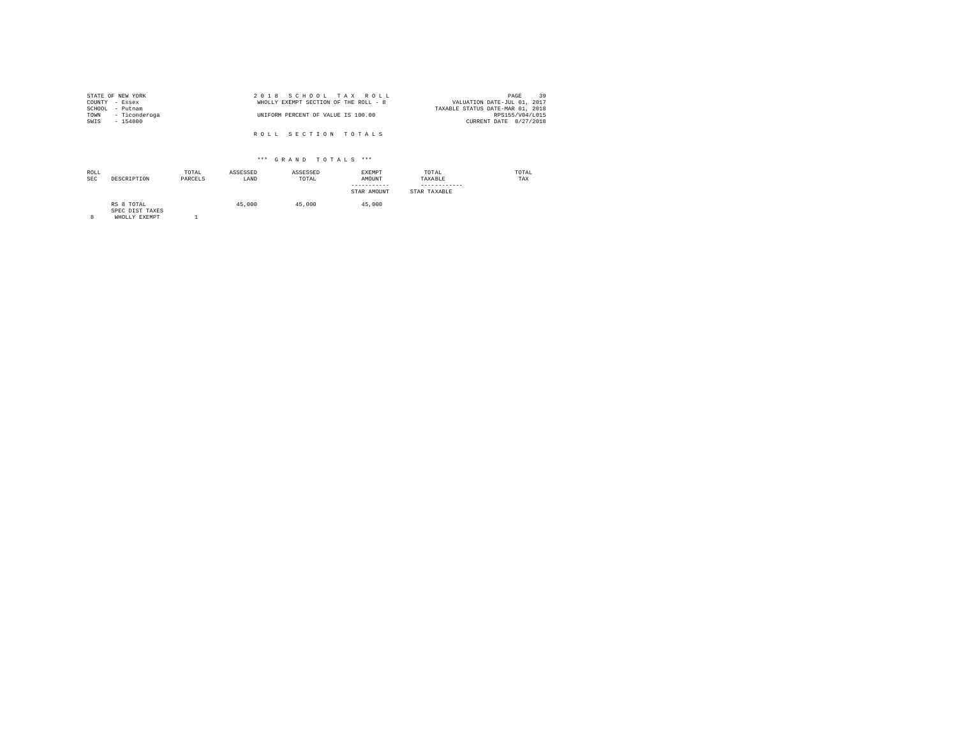| STATE OF NEW YORK  | 2018 SCHOOL TAX ROLL                  | 39<br>PAGE                       |
|--------------------|---------------------------------------|----------------------------------|
| COUNTY - Essex     | WHOLLY EXEMPT SECTION OF THE ROLL - 8 | VALUATION DATE-JUL 01, 2017      |
| SCHOOL<br>- Putnam |                                       | TAXABLE STATUS DATE-MAR 01, 2018 |
| TOWN - Ticonderoga | UNIFORM PERCENT OF VALUE IS 100.00    | RPS155/V04/L015                  |
| SWIS<br>$-154800$  |                                       | CURRENT DATE 8/27/2018           |
|                    |                                       |                                  |
|                    | ROLL SECTION TOTALS                   |                                  |

| ROLL<br><b>SEC</b> | DESCRIPTION                   | TOTAL<br>PARCELS | ASSESSED<br>LAND | ASSESSED<br>TOTAL | <b>EXEMPT</b><br>AMOUNT<br>-----------<br>STAR AMOUNT | TOTAL<br>TAXABLE<br>------------<br>STAR TAXABLE | TOTAL<br>TAX |
|--------------------|-------------------------------|------------------|------------------|-------------------|-------------------------------------------------------|--------------------------------------------------|--------------|
|                    | RS 8 TOTAL<br>SPEC DIST TAXES |                  | 45,000           | 45,000            | 45,000                                                |                                                  |              |

SPEC DIST TAXES 8 WHOLLY EXEMPT 1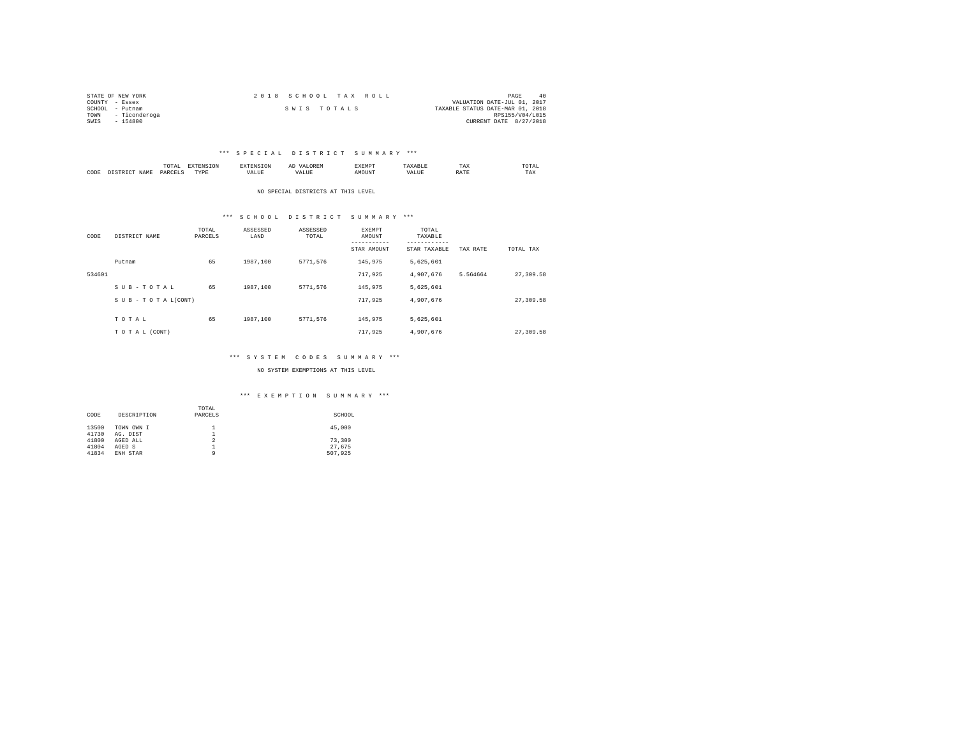| STATE OF NEW YORK     | 2018 SCHOOL TAX ROLL | PAGE<br>4 C                      |
|-----------------------|----------------------|----------------------------------|
| COUNTY - Essex        |                      | VALUATION DATE-JUL 01, 2017      |
| SCHOOL<br>- Putnam    | SWIS TOTALS          | TAXABLE STATUS DATE-MAR 01, 2018 |
| - Ticonderoga<br>TOWN |                      | RPS155/V04/L015                  |
| SWIS<br>$-154800$     |                      | CURRENT DATE 8/27/2018           |

|           |                    | LUTAI<br>the contract of the contract of the contract of | $- - - -$ |      | <br>,,,,,,,,,<br>. |     | TAX         | <b>TOTAL</b><br>the contract of the contract of the contract of |
|-----------|--------------------|----------------------------------------------------------|-----------|------|--------------------|-----|-------------|-----------------------------------------------------------------|
| CODE<br>. | <b>ATMP</b><br>-11 | D∆R                                                      | "VDE<br>. | ALUE | DUN.               | . . | .<br>RA I I | TAX                                                             |

NO SPECIAL DISTRICTS AT THIS LEVEL

#### \*\*\* S C H O O L D I S T R I C T S U M M A R Y \*\*\*

| CODE   | DISTRICT NAME      | TOTAL<br>PARCELS | ASSESSED<br>LAND | ASSESSED<br>TOTAL | <b>EXEMPT</b><br>AMOUNT<br>STAR AMOUNT | TOTAL<br>TAXABLE<br>---------<br>STAR TAXABLE | TAX RATE | TOTAL TAX |
|--------|--------------------|------------------|------------------|-------------------|----------------------------------------|-----------------------------------------------|----------|-----------|
|        | Putnam             | 65               | 1987.100         | 5771.576          | 145,975                                | 5.625.601                                     |          |           |
| 534601 |                    |                  |                  |                   | 717.925                                | 4.907.676                                     | 5.564664 | 27,309.58 |
|        | SUB-TOTAL          | 65               | 1987.100         | 5771.576          | 145,975                                | 5.625.601                                     |          |           |
|        | SUB - TO TAL(CONT) |                  |                  |                   | 717.925                                | 4.907.676                                     |          | 27,309.58 |
|        | TOTAL              | 65               | 1987.100         | 5771.576          | 145,975                                | 5.625.601                                     |          |           |
|        | TO TAL (CONT)      |                  |                  |                   | 717.925                                | 4.907.676                                     |          | 27,309.58 |

#### \*\*\* S Y S T E M C O D E S S U M M A R Y \*\*\*

#### NO SYSTEM EXEMPTIONS AT THIS LEVEL

|       |             | TOTAL          |         |
|-------|-------------|----------------|---------|
| CODE  | DESCRIPTION | PARCELS        | SCHOOL  |
|       |             |                |         |
| 13500 | TOWN OWN I  |                | 45,000  |
| 41730 | AG. DIST    | ∸              |         |
| 41800 | AGED ALL    | $\overline{2}$ | 73,300  |
| 41804 | AGED S      | 1              | 27.675  |
| 41834 | ENH STAR    | Q              | 507.925 |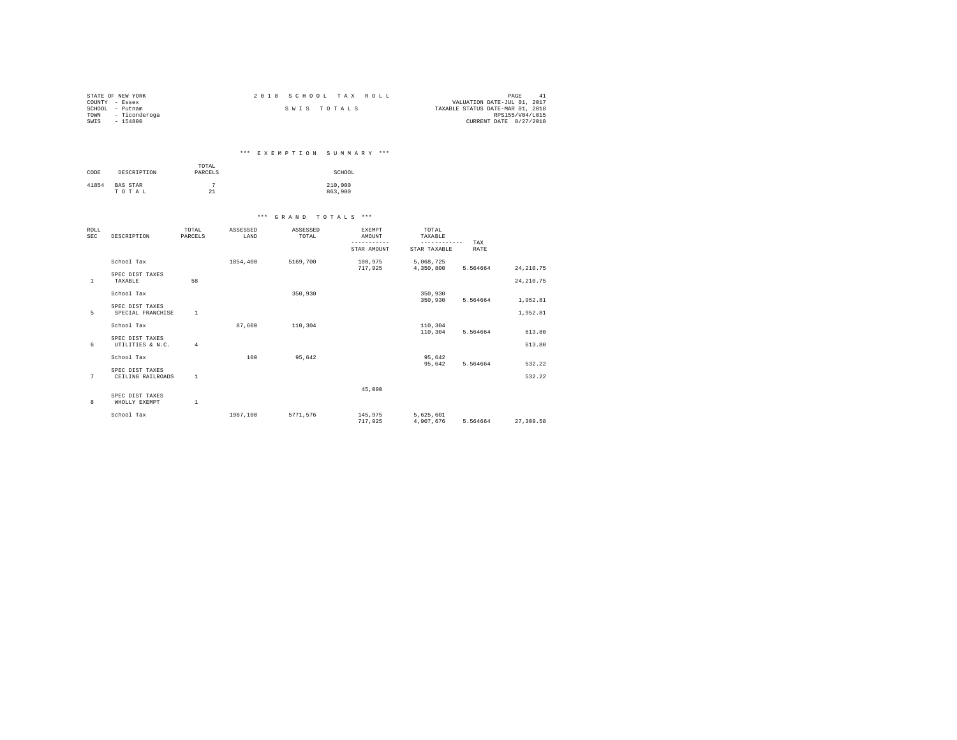| STATE OF NEW YORK     | 2018 SCHOOL TAX ROLL | PAGE                             |
|-----------------------|----------------------|----------------------------------|
| COUNTY - Essex        |                      | VALUATION DATE-JUL 01, 2017      |
| SCHOOL<br>- Putnam    | SWIS TOTALS          | TAXABLE STATUS DATE-MAR 01, 2018 |
| - Ticonderoga<br>TOWN |                      | RPS155/V04/L015                  |
| SWIS<br>$-154800$     |                      | CURRENT DATE 8/27/2018           |

# \*\*\* E X E M P T I O N S U M M A R Y \*\*\*

| CODE  | DESCRIPTION              | TOTAL<br>PARCELS | SCHOOL             |
|-------|--------------------------|------------------|--------------------|
| 41854 | <b>BAS STAR</b><br>TOTAL | 21               | 210,000<br>863,900 |

| ROLL<br><b>SEC</b> | DESCRIPTION                          | TOTAL<br>PARCELS | ASSESSED<br>LAND | ASSESSED<br>TOTAL | <b>EXEMPT</b><br>AMOUNT<br>-----------<br>STAR AMOUNT | TOTAL<br>TAXABLE<br>------------<br>STAR TAXABLE | TAX<br>RATE |             |
|--------------------|--------------------------------------|------------------|------------------|-------------------|-------------------------------------------------------|--------------------------------------------------|-------------|-------------|
|                    | School Tax                           |                  | 1854,400         | 5169,700          | 100,975<br>717.925                                    | 5,068,725<br>4,350,800                           | 5.564664    | 24, 210, 75 |
| $\mathbf{1}$       | SPEC DIST TAXES<br>TAXABLE           | 58               |                  |                   |                                                       |                                                  |             | 24, 210.75  |
|                    | School Tax                           |                  |                  | 350,930           |                                                       | 350,930<br>350,930                               | 5.564664    | 1,952.81    |
| 5                  | SPEC DIST TAXES<br>SPECIAL FRANCHISE | 1                |                  |                   |                                                       |                                                  |             | 1,952.81    |
|                    | School Tax                           |                  | 87.600           | 110,304           |                                                       | 110,304<br>110,304                               | 5.564664    | 613.80      |
| 6                  | SPEC DIST TAXES<br>UTILITIES & N.C.  | $\overline{4}$   |                  |                   |                                                       |                                                  |             | 613.80      |
|                    | School Tax                           |                  | 100              | 95.642            |                                                       | 95.642<br>95.642                                 | 5.564664    | 532.22      |
| 7                  | SPEC DIST TAXES<br>CEILING RAILROADS | 1                |                  |                   |                                                       |                                                  |             | 532.22      |
| 8                  | SPEC DIST TAXES<br>WHOLLY EXEMPT     | $\mathbf{1}$     |                  |                   | 45,000                                                |                                                  |             |             |
|                    | School Tax                           |                  | 1987.100         | 5771.576          | 145,975<br>717.925                                    | 5,625,601<br>4.907.676                           | 5.564664    | 27.309.58   |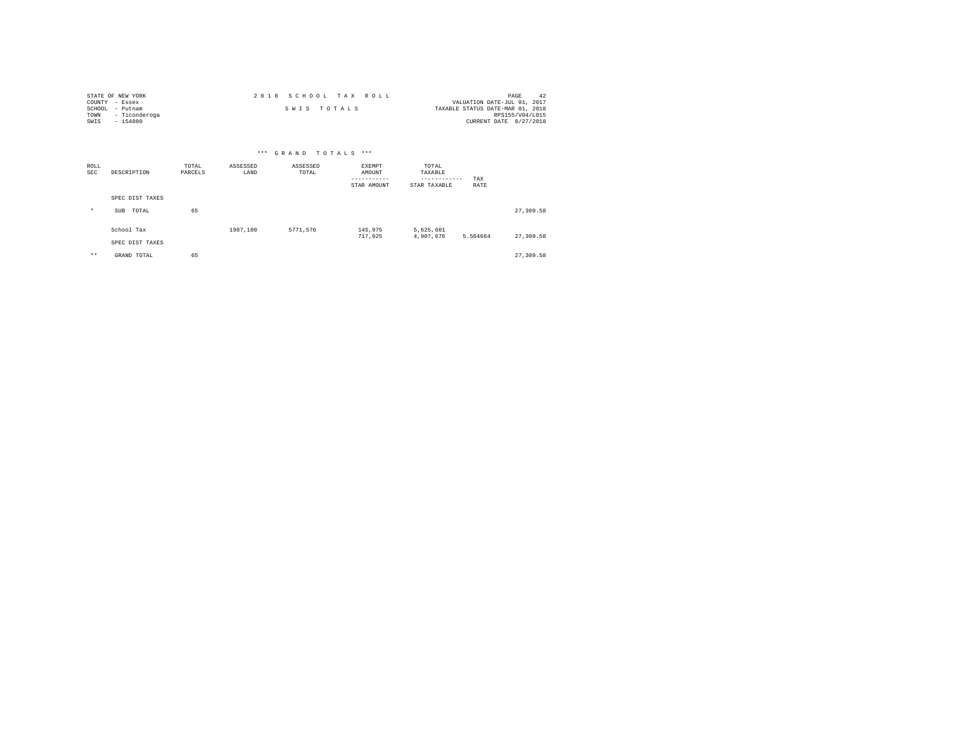| STATE OF NEW YORK     | 2018 SCHOOL TAX ROLL | PAGE<br>-42                      |
|-----------------------|----------------------|----------------------------------|
| COUNTY - Essex        |                      | VALUATION DATE-JUL 01, 2017      |
| SCHOOL<br>- Putnam    | SWIS TOTALS          | TAXABLE STATUS DATE-MAR 01, 2018 |
| - Ticonderoga<br>TOWN |                      | RPS155/V04/L015                  |
| SWIS<br>$-154800$     |                      | CURRENT DATE 8/27/2018           |

|                    |                     |                  |                  | *** GRAND TOTALS  | $***$                           |                                                  |             |           |
|--------------------|---------------------|------------------|------------------|-------------------|---------------------------------|--------------------------------------------------|-------------|-----------|
| ROLL<br><b>SEC</b> | DESCRIPTION         | TOTAL<br>PARCELS | ASSESSED<br>LAND | ASSESSED<br>TOTAL | EXEMPT<br>AMOUNT<br>STAR AMOUNT | TOTAL<br>TAXABLE<br>------------<br>STAR TAXABLE | TAX<br>RATE |           |
|                    | SPEC DIST TAXES     |                  |                  |                   |                                 |                                                  |             |           |
| $\star$            | TOTAL<br><b>SUB</b> | 65               |                  |                   |                                 |                                                  |             | 27,309.58 |
|                    | School Tax          |                  | 1987.100         | 5771.576          | 145,975<br>717,925              | 5,625,601<br>4,907,676                           | 5.564664    | 27,309.58 |
|                    | SPEC DIST TAXES     |                  |                  |                   |                                 |                                                  |             |           |
| $***$              | GRAND TOTAL         | 65               |                  |                   |                                 |                                                  |             | 27.309.58 |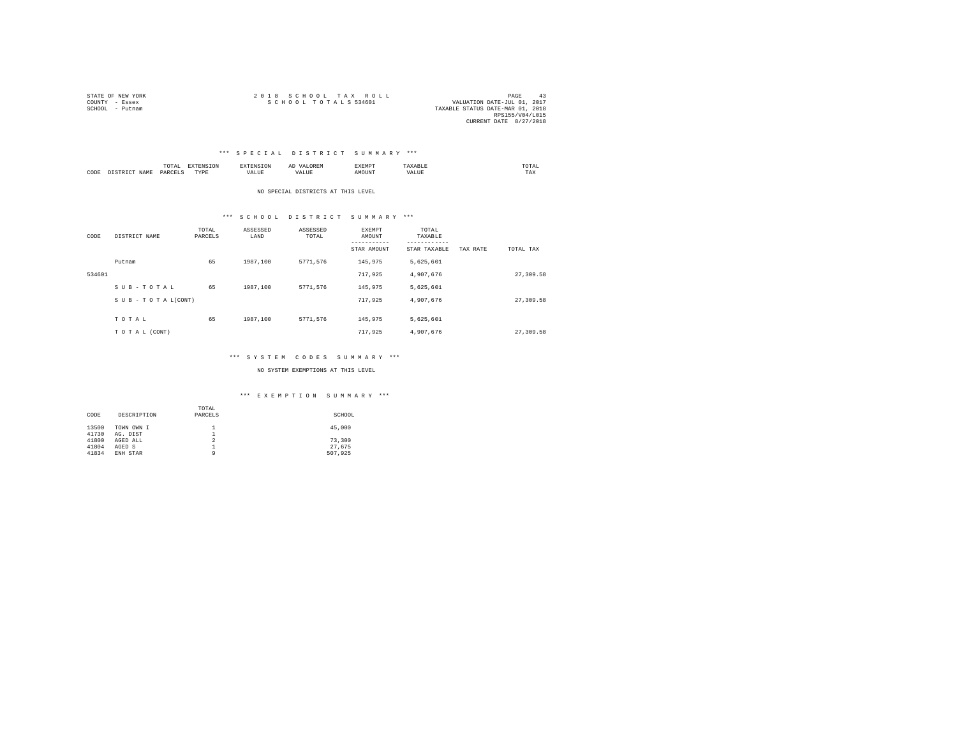| STATE OF NEW YORK | 2018 SCHOOL TAX ROLL | 43<br>PAGE                       |
|-------------------|----------------------|----------------------------------|
| COUNTY - Essex    | SCHOOL TOTALS 534601 | VALUATION DATE-JUL 01, 2017      |
| SCHOOL - Putnam   |                      | TAXABLE STATUS DATE-MAR 01, 2018 |
|                   |                      | RPS155/V04/L015                  |
|                   |                      | CURRENT DATE 8/27/2018           |

|      |           | ٠<br>.<br>the contract of the contract of the contract of |      |      | <br>-41<br>⊔∪≀⊾ | £XEMP?  |      | UTAI<br>the contract of the contract of the contract of |
|------|-----------|-----------------------------------------------------------|------|------|-----------------|---------|------|---------------------------------------------------------|
| CODE | .7.14<br> | DARCET<br>י יוברי                                         | TYPE | ALUE | .               | M(1116) | ALUE | $- - -$<br>1 A.A                                        |

NO SPECIAL DISTRICTS AT THIS LEVEL

#### \*\*\* S C H O O L D I S T R I C T S U M M A R Y \*\*\*

| CODE   | DISTRICT NAME      | TOTAL<br>PARCELS | ASSESSED<br>LAND | ASSESSED<br>TOTAL | <b>EXEMPT</b><br>AMOUNT<br>-----------<br>STAR AMOUNT | TOTAL<br>TAXABLE<br>---------<br>STAR TAXABLE | TAX RATE | TOTAL TAX |
|--------|--------------------|------------------|------------------|-------------------|-------------------------------------------------------|-----------------------------------------------|----------|-----------|
|        | Putnam             | 65               | 1987.100         | 5771.576          | 145.975                                               | 5,625,601                                     |          |           |
| 534601 |                    |                  |                  |                   | 717.925                                               | 4.907.676                                     |          | 27,309.58 |
|        | SUB-TOTAL          | 65               | 1987.100         | 5771.576          | 145.975                                               | 5.625.601                                     |          |           |
|        | SUB - TO TAL(CONT) |                  |                  |                   | 717.925                                               | 4.907.676                                     |          | 27,309.58 |
|        | TOTAL              | 65               | 1987.100         | 5771.576          | 145.975                                               | 5.625.601                                     |          |           |
|        | TO TAL (CONT)      |                  |                  |                   | 717.925                                               | 4.907.676                                     |          | 27,309.58 |

#### \*\*\* S Y S T E M C O D E S S U M M A R Y \*\*\*

#### NO SYSTEM EXEMPTIONS AT THIS LEVEL

|       |             | TOTAL          |         |
|-------|-------------|----------------|---------|
| CODE  | DESCRIPTION | PARCELS        | SCHOOL  |
|       |             |                |         |
| 13500 | TOWN OWN I  | <b>.</b>       | 45,000  |
| 41730 | AG. DIST    | 1<br><b>.</b>  |         |
| 41800 | AGED ALL    | $\overline{2}$ | 73,300  |
| 41804 | AGED S      | <b>.</b>       | 27.675  |
| 41834 | ENH STAR    |                | 507.925 |